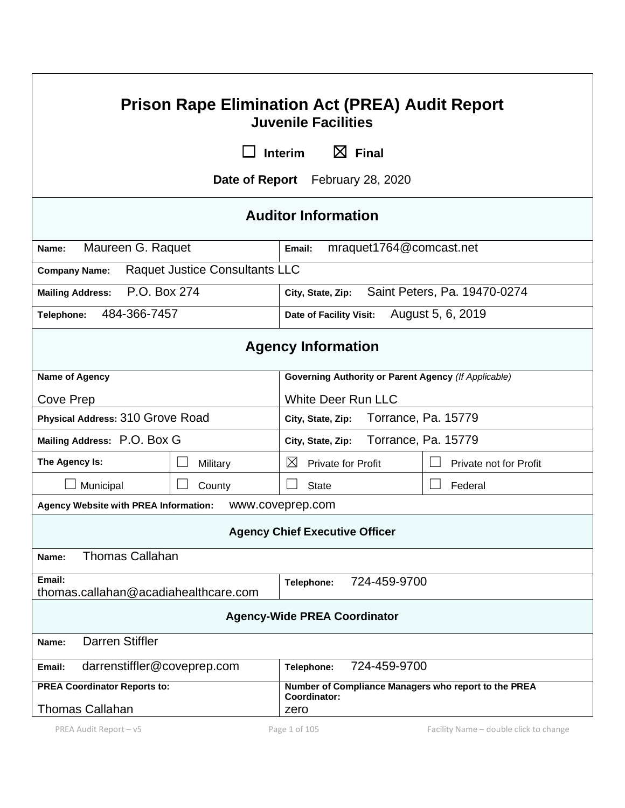| <b>Prison Rape Elimination Act (PREA) Audit Report</b><br><b>Juvenile Facilities</b> |                                       |                                                                      |                              |  |  |  |
|--------------------------------------------------------------------------------------|---------------------------------------|----------------------------------------------------------------------|------------------------------|--|--|--|
|                                                                                      | $\boxtimes$ Final<br><b>Interim</b>   |                                                                      |                              |  |  |  |
|                                                                                      |                                       | <b>Date of Report</b> February 28, 2020                              |                              |  |  |  |
| <b>Auditor Information</b>                                                           |                                       |                                                                      |                              |  |  |  |
| Maureen G. Raquet<br>Name:                                                           |                                       | mraquet1764@comcast.net<br>Email:                                    |                              |  |  |  |
| <b>Company Name:</b>                                                                 | <b>Raquet Justice Consultants LLC</b> |                                                                      |                              |  |  |  |
| P.O. Box 274<br><b>Mailing Address:</b>                                              |                                       | City, State, Zip:                                                    | Saint Peters, Pa. 19470-0274 |  |  |  |
| 484-366-7457<br>Telephone:                                                           |                                       | Date of Facility Visit:                                              | August 5, 6, 2019            |  |  |  |
| <b>Agency Information</b>                                                            |                                       |                                                                      |                              |  |  |  |
| <b>Name of Agency</b>                                                                |                                       | Governing Authority or Parent Agency (If Applicable)                 |                              |  |  |  |
| Cove Prep                                                                            |                                       | <b>White Deer Run LLC</b>                                            |                              |  |  |  |
| Physical Address: 310 Grove Road                                                     |                                       | Torrance, Pa. 15779<br>City, State, Zip:                             |                              |  |  |  |
| Mailing Address: P.O. Box G                                                          |                                       | Torrance, Pa. 15779<br>City, State, Zip:                             |                              |  |  |  |
| The Agency Is:                                                                       | Military                              | $\boxtimes$<br><b>Private for Profit</b>                             | Private not for Profit       |  |  |  |
| Municipal                                                                            | County                                | <b>State</b>                                                         | Federal                      |  |  |  |
| Agency Website with PREA Information:                                                |                                       | www.coveprep.com                                                     |                              |  |  |  |
| <b>Agency Chief Executive Officer</b>                                                |                                       |                                                                      |                              |  |  |  |
| <b>Thomas Callahan</b><br>Name:                                                      |                                       |                                                                      |                              |  |  |  |
| Email:<br>thomas.callahan@acadiahealthcare.com                                       |                                       | 724-459-9700<br>Telephone:                                           |                              |  |  |  |
| <b>Agency-Wide PREA Coordinator</b>                                                  |                                       |                                                                      |                              |  |  |  |
| <b>Darren Stiffler</b><br>Name:                                                      |                                       |                                                                      |                              |  |  |  |
| darrenstiffler@coveprep.com<br>Email:                                                |                                       | 724-459-9700<br>Telephone:                                           |                              |  |  |  |
| <b>PREA Coordinator Reports to:</b>                                                  |                                       | Number of Compliance Managers who report to the PREA<br>Coordinator: |                              |  |  |  |
| <b>Thomas Callahan</b>                                                               |                                       | zero                                                                 |                              |  |  |  |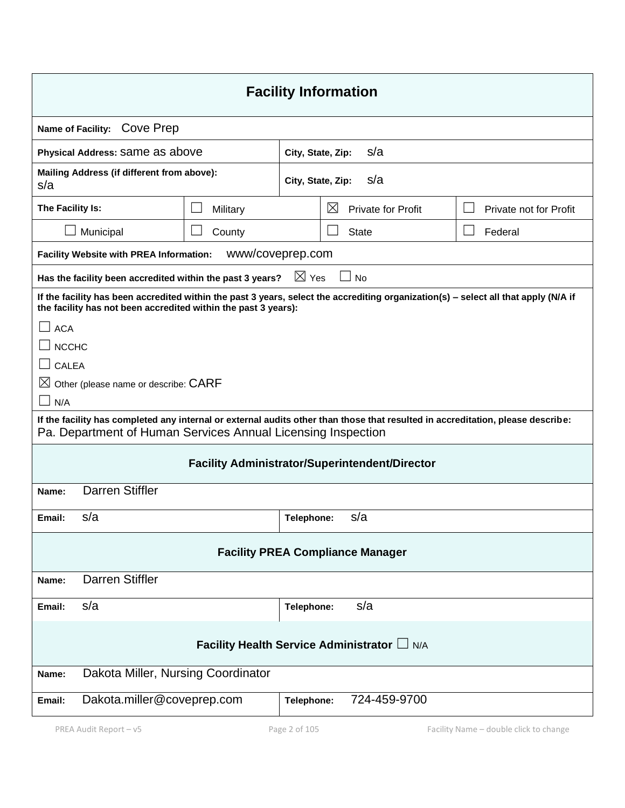| <b>Facility Information</b>                                                                                                                                                                                                                                                                                                                                                                                                                                                                                       |                  |                          |             |                           |                        |
|-------------------------------------------------------------------------------------------------------------------------------------------------------------------------------------------------------------------------------------------------------------------------------------------------------------------------------------------------------------------------------------------------------------------------------------------------------------------------------------------------------------------|------------------|--------------------------|-------------|---------------------------|------------------------|
| Name of Facility: Cove Prep                                                                                                                                                                                                                                                                                                                                                                                                                                                                                       |                  |                          |             |                           |                        |
| Physical Address: Same as above                                                                                                                                                                                                                                                                                                                                                                                                                                                                                   |                  | s/a<br>City, State, Zip: |             |                           |                        |
| Mailing Address (if different from above):<br>s/a                                                                                                                                                                                                                                                                                                                                                                                                                                                                 |                  | s/a<br>City, State, Zip: |             |                           |                        |
| The Facility Is:                                                                                                                                                                                                                                                                                                                                                                                                                                                                                                  | Military         |                          | $\boxtimes$ | <b>Private for Profit</b> | Private not for Profit |
| Municipal                                                                                                                                                                                                                                                                                                                                                                                                                                                                                                         | County           |                          |             | <b>State</b>              | Federal                |
| Facility Website with PREA Information:                                                                                                                                                                                                                                                                                                                                                                                                                                                                           | www/coveprep.com |                          |             |                           |                        |
| Has the facility been accredited within the past 3 years?                                                                                                                                                                                                                                                                                                                                                                                                                                                         |                  | $\boxtimes$ Yes          |             | <b>No</b>                 |                        |
| If the facility has been accredited within the past 3 years, select the accrediting organization(s) - select all that apply (N/A if<br>the facility has not been accredited within the past 3 years):<br><b>ACA</b><br><b>NCCHC</b><br><b>CALEA</b><br>$\boxtimes$ Other (please name or describe: CARF<br>N/A<br>If the facility has completed any internal or external audits other than those that resulted in accreditation, please describe:<br>Pa. Department of Human Services Annual Licensing Inspection |                  |                          |             |                           |                        |
| <b>Facility Administrator/Superintendent/Director</b>                                                                                                                                                                                                                                                                                                                                                                                                                                                             |                  |                          |             |                           |                        |
| <b>Darren Stiffler</b><br>Name:                                                                                                                                                                                                                                                                                                                                                                                                                                                                                   |                  |                          |             |                           |                        |
| s/a<br>Email:                                                                                                                                                                                                                                                                                                                                                                                                                                                                                                     |                  | Telephone:               |             | s/a                       |                        |
| <b>Facility PREA Compliance Manager</b>                                                                                                                                                                                                                                                                                                                                                                                                                                                                           |                  |                          |             |                           |                        |
| <b>Darren Stiffler</b><br>Name:                                                                                                                                                                                                                                                                                                                                                                                                                                                                                   |                  |                          |             |                           |                        |
| s/a<br>Email:                                                                                                                                                                                                                                                                                                                                                                                                                                                                                                     |                  | Telephone:               |             | s/a                       |                        |
| Facility Health Service Administrator L N/A                                                                                                                                                                                                                                                                                                                                                                                                                                                                       |                  |                          |             |                           |                        |
| Dakota Miller, Nursing Coordinator<br>Name:                                                                                                                                                                                                                                                                                                                                                                                                                                                                       |                  |                          |             |                           |                        |
| Dakota.miller@coveprep.com<br>724-459-9700<br>Telephone:<br>Email:                                                                                                                                                                                                                                                                                                                                                                                                                                                |                  |                          |             |                           |                        |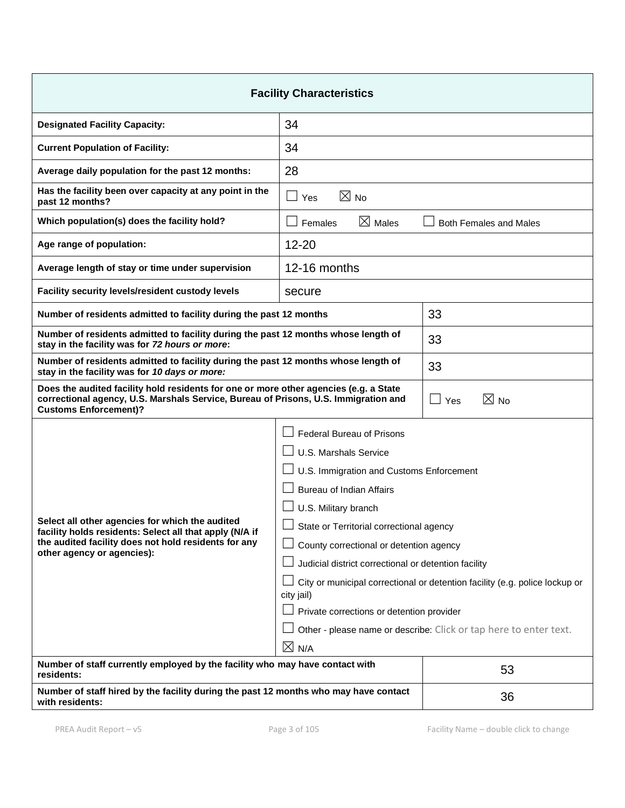| <b>Facility Characteristics</b>                                                                                                                                                                                                                                                                                                                                                                                                                                                                                                                                                                       |                                            |                                                                                                                                                  |  |  |
|-------------------------------------------------------------------------------------------------------------------------------------------------------------------------------------------------------------------------------------------------------------------------------------------------------------------------------------------------------------------------------------------------------------------------------------------------------------------------------------------------------------------------------------------------------------------------------------------------------|--------------------------------------------|--------------------------------------------------------------------------------------------------------------------------------------------------|--|--|
| <b>Designated Facility Capacity:</b>                                                                                                                                                                                                                                                                                                                                                                                                                                                                                                                                                                  | 34                                         |                                                                                                                                                  |  |  |
| <b>Current Population of Facility:</b>                                                                                                                                                                                                                                                                                                                                                                                                                                                                                                                                                                | 34                                         |                                                                                                                                                  |  |  |
| Average daily population for the past 12 months:                                                                                                                                                                                                                                                                                                                                                                                                                                                                                                                                                      | 28                                         |                                                                                                                                                  |  |  |
| Has the facility been over capacity at any point in the<br>past 12 months?                                                                                                                                                                                                                                                                                                                                                                                                                                                                                                                            | $\boxtimes$ No<br>$\vert \ \ \vert$<br>Yes |                                                                                                                                                  |  |  |
| Which population(s) does the facility hold?                                                                                                                                                                                                                                                                                                                                                                                                                                                                                                                                                           | $\boxtimes$ Males<br>Females               | <b>Both Females and Males</b>                                                                                                                    |  |  |
| Age range of population:                                                                                                                                                                                                                                                                                                                                                                                                                                                                                                                                                                              | $12 - 20$                                  |                                                                                                                                                  |  |  |
| Average length of stay or time under supervision                                                                                                                                                                                                                                                                                                                                                                                                                                                                                                                                                      | 12-16 months                               |                                                                                                                                                  |  |  |
| Facility security levels/resident custody levels<br>secure                                                                                                                                                                                                                                                                                                                                                                                                                                                                                                                                            |                                            |                                                                                                                                                  |  |  |
| Number of residents admitted to facility during the past 12 months                                                                                                                                                                                                                                                                                                                                                                                                                                                                                                                                    |                                            | 33                                                                                                                                               |  |  |
| Number of residents admitted to facility during the past 12 months whose length of<br>stay in the facility was for 72 hours or more:                                                                                                                                                                                                                                                                                                                                                                                                                                                                  |                                            | 33                                                                                                                                               |  |  |
| Number of residents admitted to facility during the past 12 months whose length of<br>stay in the facility was for 10 days or more:                                                                                                                                                                                                                                                                                                                                                                                                                                                                   |                                            | 33                                                                                                                                               |  |  |
| Does the audited facility hold residents for one or more other agencies (e.g. a State<br>$\boxtimes$ No<br>correctional agency, U.S. Marshals Service, Bureau of Prisons, U.S. Immigration and<br>Yes<br><b>Customs Enforcement)?</b>                                                                                                                                                                                                                                                                                                                                                                 |                                            |                                                                                                                                                  |  |  |
| <b>Federal Bureau of Prisons</b><br>U.S. Marshals Service<br>U.S. Immigration and Customs Enforcement<br><b>Bureau of Indian Affairs</b><br>U.S. Military branch<br>Select all other agencies for which the audited<br>$\Box$ State or Territorial correctional agency<br>facility holds residents: Select all that apply (N/A if<br>the audited facility does not hold residents for any<br>County correctional or detention agency<br>other agency or agencies):<br>Judicial district correctional or detention facility<br>city jail)<br>Private corrections or detention provider<br>$\times$ N/A |                                            | City or municipal correctional or detention facility (e.g. police lockup or<br>Other - please name or describe: Click or tap here to enter text. |  |  |
| Number of staff currently employed by the facility who may have contact with<br>residents:                                                                                                                                                                                                                                                                                                                                                                                                                                                                                                            |                                            | 53                                                                                                                                               |  |  |
| Number of staff hired by the facility during the past 12 months who may have contact<br>with residents:                                                                                                                                                                                                                                                                                                                                                                                                                                                                                               |                                            | 36                                                                                                                                               |  |  |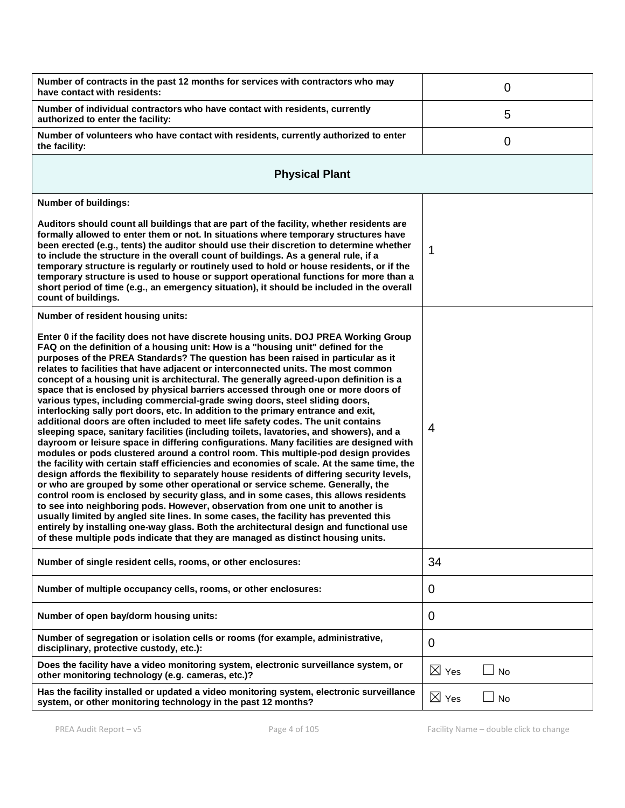| Number of contracts in the past 12 months for services with contractors who may<br>have contact with residents:                                                                                                                                                                                                                                                                                                                                                                                                                                                                                                                                                                                                                                                                                                                                                                                                                                                                                                                                                                                                                                                                                                                                                                                                                                                                                                                                                                                                                                                                                                                                                                                                                                                                                   | 0                              |  |  |  |  |
|---------------------------------------------------------------------------------------------------------------------------------------------------------------------------------------------------------------------------------------------------------------------------------------------------------------------------------------------------------------------------------------------------------------------------------------------------------------------------------------------------------------------------------------------------------------------------------------------------------------------------------------------------------------------------------------------------------------------------------------------------------------------------------------------------------------------------------------------------------------------------------------------------------------------------------------------------------------------------------------------------------------------------------------------------------------------------------------------------------------------------------------------------------------------------------------------------------------------------------------------------------------------------------------------------------------------------------------------------------------------------------------------------------------------------------------------------------------------------------------------------------------------------------------------------------------------------------------------------------------------------------------------------------------------------------------------------------------------------------------------------------------------------------------------------|--------------------------------|--|--|--|--|
| Number of individual contractors who have contact with residents, currently<br>authorized to enter the facility:                                                                                                                                                                                                                                                                                                                                                                                                                                                                                                                                                                                                                                                                                                                                                                                                                                                                                                                                                                                                                                                                                                                                                                                                                                                                                                                                                                                                                                                                                                                                                                                                                                                                                  | 5                              |  |  |  |  |
| Number of volunteers who have contact with residents, currently authorized to enter<br>the facility:                                                                                                                                                                                                                                                                                                                                                                                                                                                                                                                                                                                                                                                                                                                                                                                                                                                                                                                                                                                                                                                                                                                                                                                                                                                                                                                                                                                                                                                                                                                                                                                                                                                                                              | 0                              |  |  |  |  |
| <b>Physical Plant</b>                                                                                                                                                                                                                                                                                                                                                                                                                                                                                                                                                                                                                                                                                                                                                                                                                                                                                                                                                                                                                                                                                                                                                                                                                                                                                                                                                                                                                                                                                                                                                                                                                                                                                                                                                                             |                                |  |  |  |  |
| <b>Number of buildings:</b>                                                                                                                                                                                                                                                                                                                                                                                                                                                                                                                                                                                                                                                                                                                                                                                                                                                                                                                                                                                                                                                                                                                                                                                                                                                                                                                                                                                                                                                                                                                                                                                                                                                                                                                                                                       |                                |  |  |  |  |
| Auditors should count all buildings that are part of the facility, whether residents are<br>formally allowed to enter them or not. In situations where temporary structures have<br>been erected (e.g., tents) the auditor should use their discretion to determine whether<br>to include the structure in the overall count of buildings. As a general rule, if a<br>temporary structure is regularly or routinely used to hold or house residents, or if the<br>temporary structure is used to house or support operational functions for more than a<br>short period of time (e.g., an emergency situation), it should be included in the overall<br>count of buildings.                                                                                                                                                                                                                                                                                                                                                                                                                                                                                                                                                                                                                                                                                                                                                                                                                                                                                                                                                                                                                                                                                                                       | 1                              |  |  |  |  |
| Number of resident housing units:                                                                                                                                                                                                                                                                                                                                                                                                                                                                                                                                                                                                                                                                                                                                                                                                                                                                                                                                                                                                                                                                                                                                                                                                                                                                                                                                                                                                                                                                                                                                                                                                                                                                                                                                                                 |                                |  |  |  |  |
| Enter 0 if the facility does not have discrete housing units. DOJ PREA Working Group<br>FAQ on the definition of a housing unit: How is a "housing unit" defined for the<br>purposes of the PREA Standards? The question has been raised in particular as it<br>relates to facilities that have adjacent or interconnected units. The most common<br>concept of a housing unit is architectural. The generally agreed-upon definition is a<br>space that is enclosed by physical barriers accessed through one or more doors of<br>various types, including commercial-grade swing doors, steel sliding doors,<br>interlocking sally port doors, etc. In addition to the primary entrance and exit,<br>additional doors are often included to meet life safety codes. The unit contains<br>sleeping space, sanitary facilities (including toilets, lavatories, and showers), and a<br>dayroom or leisure space in differing configurations. Many facilities are designed with<br>modules or pods clustered around a control room. This multiple-pod design provides<br>the facility with certain staff efficiencies and economies of scale. At the same time, the<br>design affords the flexibility to separately house residents of differing security levels,<br>or who are grouped by some other operational or service scheme. Generally, the<br>control room is enclosed by security glass, and in some cases, this allows residents<br>to see into neighboring pods. However, observation from one unit to another is<br>usually limited by angled site lines. In some cases, the facility has prevented this<br>entirely by installing one-way glass. Both the architectural design and functional use<br>of these multiple pods indicate that they are managed as distinct housing units. | 4                              |  |  |  |  |
| Number of single resident cells, rooms, or other enclosures:                                                                                                                                                                                                                                                                                                                                                                                                                                                                                                                                                                                                                                                                                                                                                                                                                                                                                                                                                                                                                                                                                                                                                                                                                                                                                                                                                                                                                                                                                                                                                                                                                                                                                                                                      | 34                             |  |  |  |  |
| Number of multiple occupancy cells, rooms, or other enclosures:                                                                                                                                                                                                                                                                                                                                                                                                                                                                                                                                                                                                                                                                                                                                                                                                                                                                                                                                                                                                                                                                                                                                                                                                                                                                                                                                                                                                                                                                                                                                                                                                                                                                                                                                   | 0                              |  |  |  |  |
| Number of open bay/dorm housing units:                                                                                                                                                                                                                                                                                                                                                                                                                                                                                                                                                                                                                                                                                                                                                                                                                                                                                                                                                                                                                                                                                                                                                                                                                                                                                                                                                                                                                                                                                                                                                                                                                                                                                                                                                            | 0                              |  |  |  |  |
| Number of segregation or isolation cells or rooms (for example, administrative,<br>disciplinary, protective custody, etc.):                                                                                                                                                                                                                                                                                                                                                                                                                                                                                                                                                                                                                                                                                                                                                                                                                                                                                                                                                                                                                                                                                                                                                                                                                                                                                                                                                                                                                                                                                                                                                                                                                                                                       | 0                              |  |  |  |  |
| Does the facility have a video monitoring system, electronic surveillance system, or<br>other monitoring technology (e.g. cameras, etc.)?                                                                                                                                                                                                                                                                                                                                                                                                                                                                                                                                                                                                                                                                                                                                                                                                                                                                                                                                                                                                                                                                                                                                                                                                                                                                                                                                                                                                                                                                                                                                                                                                                                                         | $\boxtimes$ Yes<br>$\sqcup$ No |  |  |  |  |
| Has the facility installed or updated a video monitoring system, electronic surveillance<br>system, or other monitoring technology in the past 12 months?                                                                                                                                                                                                                                                                                                                                                                                                                                                                                                                                                                                                                                                                                                                                                                                                                                                                                                                                                                                                                                                                                                                                                                                                                                                                                                                                                                                                                                                                                                                                                                                                                                         | $\boxtimes$ Yes<br>$\Box$ No   |  |  |  |  |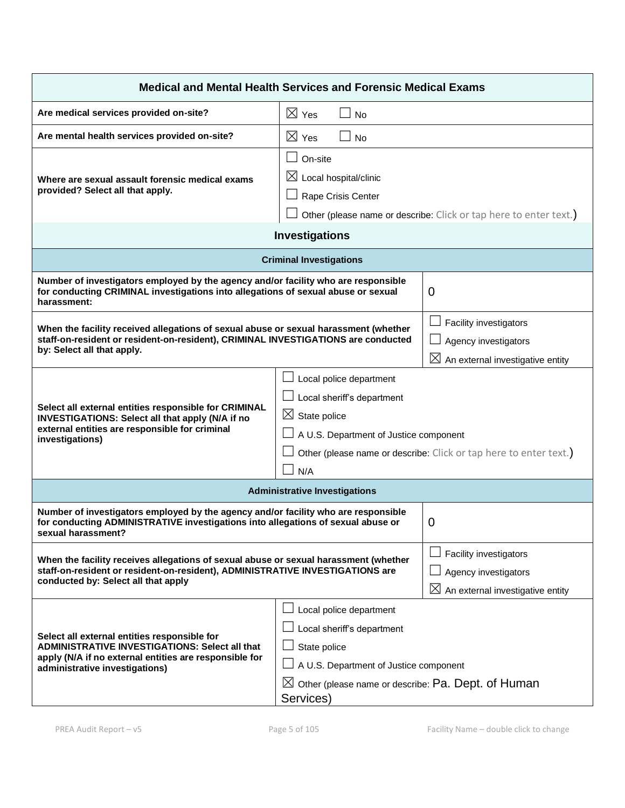| <b>Medical and Mental Health Services and Forensic Medical Exams</b>                                                                                                                                                                                                                                                                                                                         |                                                                                                                                                                                                                 |                                                                                                |  |  |  |
|----------------------------------------------------------------------------------------------------------------------------------------------------------------------------------------------------------------------------------------------------------------------------------------------------------------------------------------------------------------------------------------------|-----------------------------------------------------------------------------------------------------------------------------------------------------------------------------------------------------------------|------------------------------------------------------------------------------------------------|--|--|--|
| Are medical services provided on-site?                                                                                                                                                                                                                                                                                                                                                       | $\boxtimes$ Yes<br><b>No</b>                                                                                                                                                                                    |                                                                                                |  |  |  |
| Are mental health services provided on-site?                                                                                                                                                                                                                                                                                                                                                 | $\boxtimes$ Yes<br><b>No</b>                                                                                                                                                                                    |                                                                                                |  |  |  |
| Where are sexual assault forensic medical exams<br>provided? Select all that apply.                                                                                                                                                                                                                                                                                                          | $\vert \ \ \vert$<br>On-site<br>$\boxtimes$ Local hospital/clinic<br>Rape Crisis Center<br>Other (please name or describe: Click or tap here to enter text.)                                                    |                                                                                                |  |  |  |
| <b>Investigations</b>                                                                                                                                                                                                                                                                                                                                                                        |                                                                                                                                                                                                                 |                                                                                                |  |  |  |
|                                                                                                                                                                                                                                                                                                                                                                                              | <b>Criminal Investigations</b>                                                                                                                                                                                  |                                                                                                |  |  |  |
| Number of investigators employed by the agency and/or facility who are responsible<br>for conducting CRIMINAL investigations into allegations of sexual abuse or sexual<br>harassment:                                                                                                                                                                                                       |                                                                                                                                                                                                                 | 0                                                                                              |  |  |  |
| When the facility received allegations of sexual abuse or sexual harassment (whether<br>staff-on-resident or resident-on-resident), CRIMINAL INVESTIGATIONS are conducted<br>by: Select all that apply.                                                                                                                                                                                      |                                                                                                                                                                                                                 | Facility investigators<br>Agency investigators<br>$\boxtimes$ An external investigative entity |  |  |  |
| Select all external entities responsible for CRIMINAL<br>INVESTIGATIONS: Select all that apply (N/A if no<br>external entities are responsible for criminal<br>investigations)                                                                                                                                                                                                               | Local police department<br>$\perp$ Local sheriff's department<br>$\boxtimes$ State police<br>A U.S. Department of Justice component<br>Other (please name or describe: Click or tap here to enter text.)<br>N/A |                                                                                                |  |  |  |
| <b>Administrative Investigations</b>                                                                                                                                                                                                                                                                                                                                                         |                                                                                                                                                                                                                 |                                                                                                |  |  |  |
| Number of investigators employed by the agency and/or facility who are responsible<br>for conducting ADMINISTRATIVE investigations into allegations of sexual abuse or<br>sexual harassment?                                                                                                                                                                                                 |                                                                                                                                                                                                                 | 0                                                                                              |  |  |  |
| When the facility receives allegations of sexual abuse or sexual harassment (whether<br>staff-on-resident or resident-on-resident), ADMINISTRATIVE INVESTIGATIONS are<br>conducted by: Select all that apply                                                                                                                                                                                 |                                                                                                                                                                                                                 | Facility investigators<br>Agency investigators<br>$\boxtimes$ An external investigative entity |  |  |  |
| Local police department<br>Local sheriff's department<br>Select all external entities responsible for<br>ADMINISTRATIVE INVESTIGATIONS: Select all that<br>State police<br>apply (N/A if no external entities are responsible for<br>A U.S. Department of Justice component<br>administrative investigations)<br>$\boxtimes$ Other (please name or describe: Pa. Dept. of Human<br>Services) |                                                                                                                                                                                                                 |                                                                                                |  |  |  |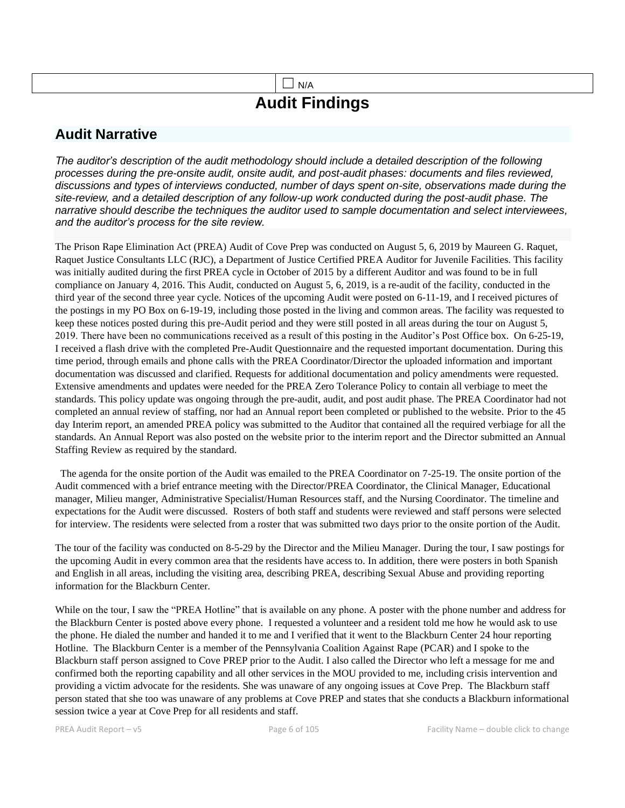## $\Box$  N/A **Audit Findings**

## **Audit Narrative**

*The auditor's description of the audit methodology should include a detailed description of the following processes during the pre-onsite audit, onsite audit, and post-audit phases: documents and files reviewed, discussions and types of interviews conducted, number of days spent on-site, observations made during the site-review, and a detailed description of any follow-up work conducted during the post-audit phase. The narrative should describe the techniques the auditor used to sample documentation and select interviewees, and the auditor's process for the site review.*

The Prison Rape Elimination Act (PREA) Audit of Cove Prep was conducted on August 5, 6, 2019 by Maureen G. Raquet, Raquet Justice Consultants LLC (RJC), a Department of Justice Certified PREA Auditor for Juvenile Facilities. This facility was initially audited during the first PREA cycle in October of 2015 by a different Auditor and was found to be in full compliance on January 4, 2016. This Audit, conducted on August 5, 6, 2019, is a re-audit of the facility, conducted in the third year of the second three year cycle. Notices of the upcoming Audit were posted on 6-11-19, and I received pictures of the postings in my PO Box on 6-19-19, including those posted in the living and common areas. The facility was requested to keep these notices posted during this pre-Audit period and they were still posted in all areas during the tour on August 5, 2019. There have been no communications received as a result of this posting in the Auditor's Post Office box. On 6-25-19, I received a flash drive with the completed Pre-Audit Questionnaire and the requested important documentation. During this time period, through emails and phone calls with the PREA Coordinator/Director the uploaded information and important documentation was discussed and clarified. Requests for additional documentation and policy amendments were requested. Extensive amendments and updates were needed for the PREA Zero Tolerance Policy to contain all verbiage to meet the standards. This policy update was ongoing through the pre-audit, audit, and post audit phase. The PREA Coordinator had not completed an annual review of staffing, nor had an Annual report been completed or published to the website. Prior to the 45 day Interim report, an amended PREA policy was submitted to the Auditor that contained all the required verbiage for all the standards. An Annual Report was also posted on the website prior to the interim report and the Director submitted an Annual Staffing Review as required by the standard.

 The agenda for the onsite portion of the Audit was emailed to the PREA Coordinator on 7-25-19. The onsite portion of the Audit commenced with a brief entrance meeting with the Director/PREA Coordinator, the Clinical Manager, Educational manager, Milieu manger, Administrative Specialist/Human Resources staff, and the Nursing Coordinator. The timeline and expectations for the Audit were discussed. Rosters of both staff and students were reviewed and staff persons were selected for interview. The residents were selected from a roster that was submitted two days prior to the onsite portion of the Audit.

The tour of the facility was conducted on 8-5-29 by the Director and the Milieu Manager. During the tour, I saw postings for the upcoming Audit in every common area that the residents have access to. In addition, there were posters in both Spanish and English in all areas, including the visiting area, describing PREA, describing Sexual Abuse and providing reporting information for the Blackburn Center.

While on the tour, I saw the "PREA Hotline" that is available on any phone. A poster with the phone number and address for the Blackburn Center is posted above every phone. I requested a volunteer and a resident told me how he would ask to use the phone. He dialed the number and handed it to me and I verified that it went to the Blackburn Center 24 hour reporting Hotline. The Blackburn Center is a member of the Pennsylvania Coalition Against Rape (PCAR) and I spoke to the Blackburn staff person assigned to Cove PREP prior to the Audit. I also called the Director who left a message for me and confirmed both the reporting capability and all other services in the MOU provided to me, including crisis intervention and providing a victim advocate for the residents. She was unaware of any ongoing issues at Cove Prep. The Blackburn staff person stated that she too was unaware of any problems at Cove PREP and states that she conducts a Blackburn informational session twice a year at Cove Prep for all residents and staff.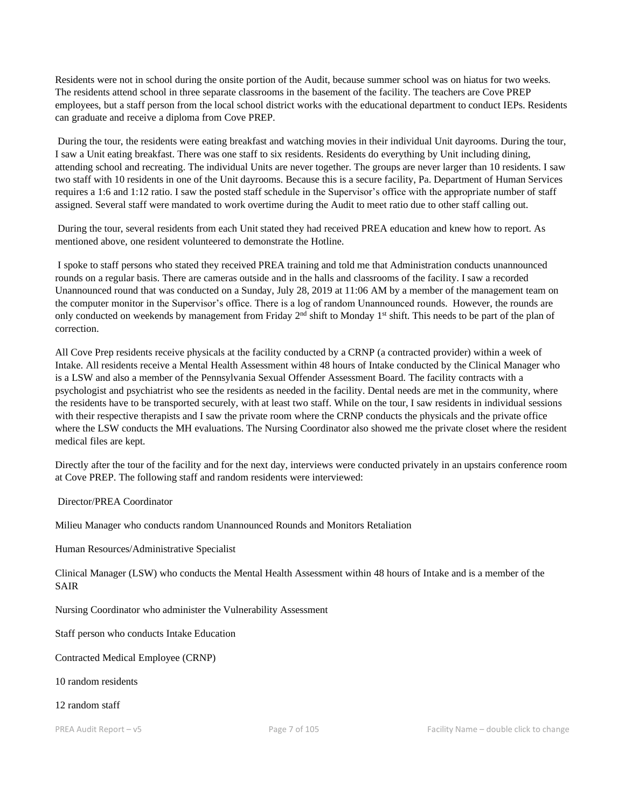Residents were not in school during the onsite portion of the Audit, because summer school was on hiatus for two weeks. The residents attend school in three separate classrooms in the basement of the facility. The teachers are Cove PREP employees, but a staff person from the local school district works with the educational department to conduct IEPs. Residents can graduate and receive a diploma from Cove PREP.

During the tour, the residents were eating breakfast and watching movies in their individual Unit dayrooms. During the tour, I saw a Unit eating breakfast. There was one staff to six residents. Residents do everything by Unit including dining, attending school and recreating. The individual Units are never together. The groups are never larger than 10 residents. I saw two staff with 10 residents in one of the Unit dayrooms. Because this is a secure facility, Pa. Department of Human Services requires a 1:6 and 1:12 ratio. I saw the posted staff schedule in the Supervisor's office with the appropriate number of staff assigned. Several staff were mandated to work overtime during the Audit to meet ratio due to other staff calling out.

During the tour, several residents from each Unit stated they had received PREA education and knew how to report. As mentioned above, one resident volunteered to demonstrate the Hotline.

I spoke to staff persons who stated they received PREA training and told me that Administration conducts unannounced rounds on a regular basis. There are cameras outside and in the halls and classrooms of the facility. I saw a recorded Unannounced round that was conducted on a Sunday, July 28, 2019 at 11:06 AM by a member of the management team on the computer monitor in the Supervisor's office. There is a log of random Unannounced rounds. However, the rounds are only conducted on weekends by management from Friday  $2<sup>nd</sup>$  shift to Monday 1<sup>st</sup> shift. This needs to be part of the plan of correction.

All Cove Prep residents receive physicals at the facility conducted by a CRNP (a contracted provider) within a week of Intake. All residents receive a Mental Health Assessment within 48 hours of Intake conducted by the Clinical Manager who is a LSW and also a member of the Pennsylvania Sexual Offender Assessment Board. The facility contracts with a psychologist and psychiatrist who see the residents as needed in the facility. Dental needs are met in the community, where the residents have to be transported securely, with at least two staff. While on the tour, I saw residents in individual sessions with their respective therapists and I saw the private room where the CRNP conducts the physicals and the private office where the LSW conducts the MH evaluations. The Nursing Coordinator also showed me the private closet where the resident medical files are kept.

Directly after the tour of the facility and for the next day, interviews were conducted privately in an upstairs conference room at Cove PREP. The following staff and random residents were interviewed:

Director/PREA Coordinator

Milieu Manager who conducts random Unannounced Rounds and Monitors Retaliation

Human Resources/Administrative Specialist

Clinical Manager (LSW) who conducts the Mental Health Assessment within 48 hours of Intake and is a member of the SAIR

Nursing Coordinator who administer the Vulnerability Assessment

Staff person who conducts Intake Education

Contracted Medical Employee (CRNP)

10 random residents

12 random staff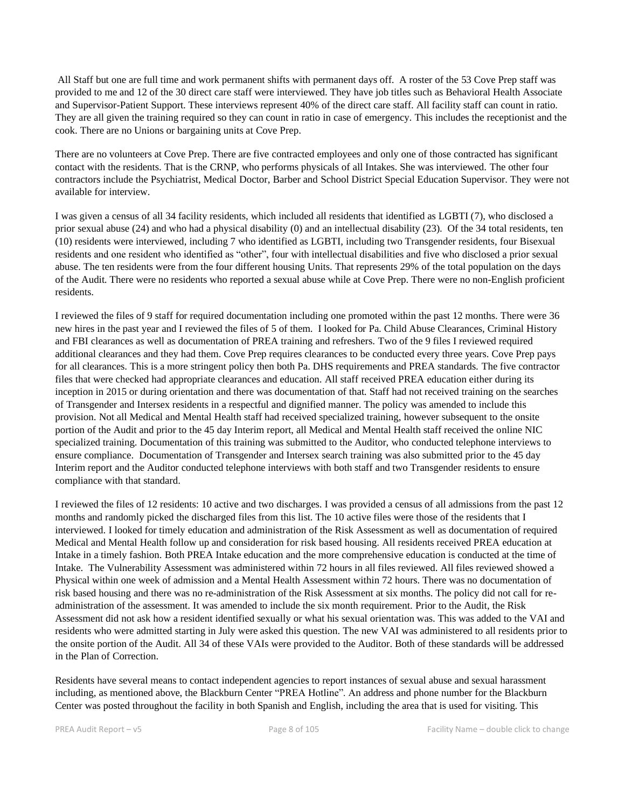All Staff but one are full time and work permanent shifts with permanent days off. A roster of the 53 Cove Prep staff was provided to me and 12 of the 30 direct care staff were interviewed. They have job titles such as Behavioral Health Associate and Supervisor-Patient Support. These interviews represent 40% of the direct care staff. All facility staff can count in ratio. They are all given the training required so they can count in ratio in case of emergency. This includes the receptionist and the cook. There are no Unions or bargaining units at Cove Prep.

There are no volunteers at Cove Prep. There are five contracted employees and only one of those contracted has significant contact with the residents. That is the CRNP, who performs physicals of all Intakes. She was interviewed. The other four contractors include the Psychiatrist, Medical Doctor, Barber and School District Special Education Supervisor. They were not available for interview.

I was given a census of all 34 facility residents, which included all residents that identified as LGBTI (7), who disclosed a prior sexual abuse (24) and who had a physical disability (0) and an intellectual disability (23). Of the 34 total residents, ten (10) residents were interviewed, including 7 who identified as LGBTI, including two Transgender residents, four Bisexual residents and one resident who identified as "other", four with intellectual disabilities and five who disclosed a prior sexual abuse. The ten residents were from the four different housing Units. That represents 29% of the total population on the days of the Audit. There were no residents who reported a sexual abuse while at Cove Prep. There were no non-English proficient residents.

I reviewed the files of 9 staff for required documentation including one promoted within the past 12 months. There were 36 new hires in the past year and I reviewed the files of 5 of them. I looked for Pa. Child Abuse Clearances, Criminal History and FBI clearances as well as documentation of PREA training and refreshers. Two of the 9 files I reviewed required additional clearances and they had them. Cove Prep requires clearances to be conducted every three years. Cove Prep pays for all clearances. This is a more stringent policy then both Pa. DHS requirements and PREA standards. The five contractor files that were checked had appropriate clearances and education. All staff received PREA education either during its inception in 2015 or during orientation and there was documentation of that. Staff had not received training on the searches of Transgender and Intersex residents in a respectful and dignified manner. The policy was amended to include this provision. Not all Medical and Mental Health staff had received specialized training, however subsequent to the onsite portion of the Audit and prior to the 45 day Interim report, all Medical and Mental Health staff received the online NIC specialized training. Documentation of this training was submitted to the Auditor, who conducted telephone interviews to ensure compliance. Documentation of Transgender and Intersex search training was also submitted prior to the 45 day Interim report and the Auditor conducted telephone interviews with both staff and two Transgender residents to ensure compliance with that standard.

I reviewed the files of 12 residents: 10 active and two discharges. I was provided a census of all admissions from the past 12 months and randomly picked the discharged files from this list. The 10 active files were those of the residents that I interviewed. I looked for timely education and administration of the Risk Assessment as well as documentation of required Medical and Mental Health follow up and consideration for risk based housing. All residents received PREA education at Intake in a timely fashion. Both PREA Intake education and the more comprehensive education is conducted at the time of Intake. The Vulnerability Assessment was administered within 72 hours in all files reviewed. All files reviewed showed a Physical within one week of admission and a Mental Health Assessment within 72 hours. There was no documentation of risk based housing and there was no re-administration of the Risk Assessment at six months. The policy did not call for readministration of the assessment. It was amended to include the six month requirement. Prior to the Audit, the Risk Assessment did not ask how a resident identified sexually or what his sexual orientation was. This was added to the VAI and residents who were admitted starting in July were asked this question. The new VAI was administered to all residents prior to the onsite portion of the Audit. All 34 of these VAIs were provided to the Auditor. Both of these standards will be addressed in the Plan of Correction.

Residents have several means to contact independent agencies to report instances of sexual abuse and sexual harassment including, as mentioned above, the Blackburn Center "PREA Hotline". An address and phone number for the Blackburn Center was posted throughout the facility in both Spanish and English, including the area that is used for visiting. This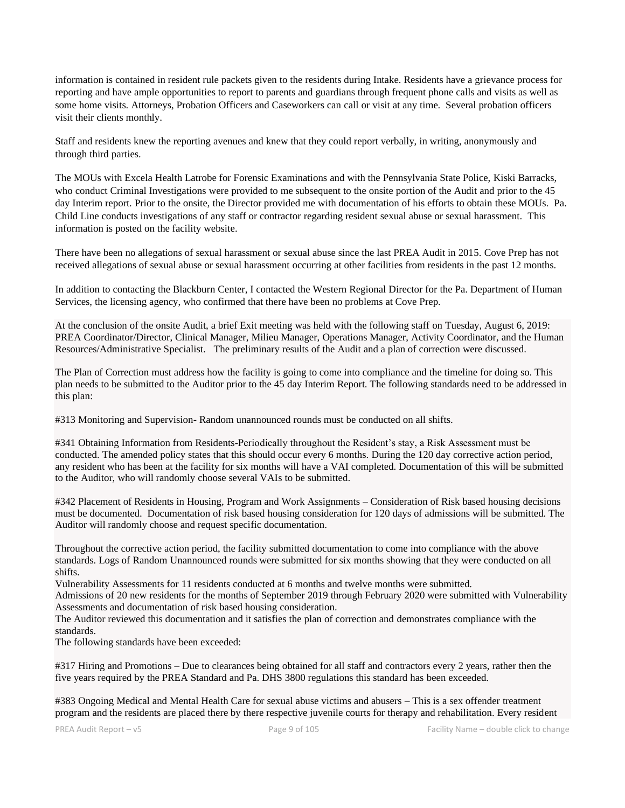information is contained in resident rule packets given to the residents during Intake. Residents have a grievance process for reporting and have ample opportunities to report to parents and guardians through frequent phone calls and visits as well as some home visits. Attorneys, Probation Officers and Caseworkers can call or visit at any time. Several probation officers visit their clients monthly.

Staff and residents knew the reporting avenues and knew that they could report verbally, in writing, anonymously and through third parties.

The MOUs with Excela Health Latrobe for Forensic Examinations and with the Pennsylvania State Police, Kiski Barracks, who conduct Criminal Investigations were provided to me subsequent to the onsite portion of the Audit and prior to the 45 day Interim report. Prior to the onsite, the Director provided me with documentation of his efforts to obtain these MOUs. Pa. Child Line conducts investigations of any staff or contractor regarding resident sexual abuse or sexual harassment. This information is posted on the facility website.

There have been no allegations of sexual harassment or sexual abuse since the last PREA Audit in 2015. Cove Prep has not received allegations of sexual abuse or sexual harassment occurring at other facilities from residents in the past 12 months.

In addition to contacting the Blackburn Center, I contacted the Western Regional Director for the Pa. Department of Human Services, the licensing agency, who confirmed that there have been no problems at Cove Prep.

At the conclusion of the onsite Audit, a brief Exit meeting was held with the following staff on Tuesday, August 6, 2019: PREA Coordinator/Director, Clinical Manager, Milieu Manager, Operations Manager, Activity Coordinator, and the Human Resources/Administrative Specialist. The preliminary results of the Audit and a plan of correction were discussed.

The Plan of Correction must address how the facility is going to come into compliance and the timeline for doing so. This plan needs to be submitted to the Auditor prior to the 45 day Interim Report. The following standards need to be addressed in this plan:

#313 Monitoring and Supervision- Random unannounced rounds must be conducted on all shifts.

#341 Obtaining Information from Residents-Periodically throughout the Resident's stay, a Risk Assessment must be conducted. The amended policy states that this should occur every 6 months. During the 120 day corrective action period, any resident who has been at the facility for six months will have a VAI completed. Documentation of this will be submitted to the Auditor, who will randomly choose several VAIs to be submitted.

#342 Placement of Residents in Housing, Program and Work Assignments – Consideration of Risk based housing decisions must be documented. Documentation of risk based housing consideration for 120 days of admissions will be submitted. The Auditor will randomly choose and request specific documentation.

Throughout the corrective action period, the facility submitted documentation to come into compliance with the above standards. Logs of Random Unannounced rounds were submitted for six months showing that they were conducted on all shifts.

Vulnerability Assessments for 11 residents conducted at 6 months and twelve months were submitted.

Admissions of 20 new residents for the months of September 2019 through February 2020 were submitted with Vulnerability Assessments and documentation of risk based housing consideration.

The Auditor reviewed this documentation and it satisfies the plan of correction and demonstrates compliance with the standards.

The following standards have been exceeded:

#317 Hiring and Promotions – Due to clearances being obtained for all staff and contractors every 2 years, rather then the five years required by the PREA Standard and Pa. DHS 3800 regulations this standard has been exceeded.

#383 Ongoing Medical and Mental Health Care for sexual abuse victims and abusers – This is a sex offender treatment program and the residents are placed there by there respective juvenile courts for therapy and rehabilitation. Every resident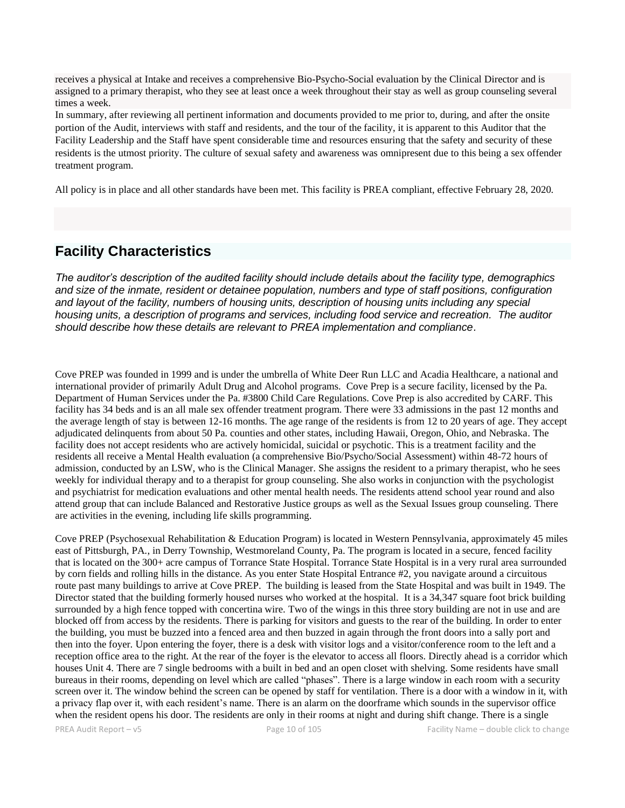receives a physical at Intake and receives a comprehensive Bio-Psycho-Social evaluation by the Clinical Director and is assigned to a primary therapist, who they see at least once a week throughout their stay as well as group counseling several times a week.

In summary, after reviewing all pertinent information and documents provided to me prior to, during, and after the onsite portion of the Audit, interviews with staff and residents, and the tour of the facility, it is apparent to this Auditor that the Facility Leadership and the Staff have spent considerable time and resources ensuring that the safety and security of these residents is the utmost priority. The culture of sexual safety and awareness was omnipresent due to this being a sex offender treatment program.

All policy is in place and all other standards have been met. This facility is PREA compliant, effective February 28, 2020.

## **Facility Characteristics**

*The auditor's description of the audited facility should include details about the facility type, demographics and size of the inmate, resident or detainee population, numbers and type of staff positions, configuration and layout of the facility, numbers of housing units, description of housing units including any special housing units, a description of programs and services, including food service and recreation. The auditor should describe how these details are relevant to PREA implementation and compliance.*

Cove PREP was founded in 1999 and is under the umbrella of White Deer Run LLC and Acadia Healthcare, a national and international provider of primarily Adult Drug and Alcohol programs. Cove Prep is a secure facility, licensed by the Pa. Department of Human Services under the Pa. #3800 Child Care Regulations. Cove Prep is also accredited by CARF. This facility has 34 beds and is an all male sex offender treatment program. There were 33 admissions in the past 12 months and the average length of stay is between 12-16 months. The age range of the residents is from 12 to 20 years of age. They accept adjudicated delinquents from about 50 Pa. counties and other states, including Hawaii, Oregon, Ohio, and Nebraska. The facility does not accept residents who are actively homicidal, suicidal or psychotic. This is a treatment facility and the residents all receive a Mental Health evaluation (a comprehensive Bio/Psycho/Social Assessment) within 48-72 hours of admission, conducted by an LSW, who is the Clinical Manager. She assigns the resident to a primary therapist, who he sees weekly for individual therapy and to a therapist for group counseling. She also works in conjunction with the psychologist and psychiatrist for medication evaluations and other mental health needs. The residents attend school year round and also attend group that can include Balanced and Restorative Justice groups as well as the Sexual Issues group counseling. There are activities in the evening, including life skills programming.

Cove PREP (Psychosexual Rehabilitation & Education Program) is located in Western Pennsylvania, approximately 45 miles east of Pittsburgh, PA., in Derry Township, Westmoreland County, Pa. The program is located in a secure, fenced facility that is located on the 300+ acre campus of Torrance State Hospital. Torrance State Hospital is in a very rural area surrounded by corn fields and rolling hills in the distance. As you enter State Hospital Entrance #2, you navigate around a circuitous route past many buildings to arrive at Cove PREP. The building is leased from the State Hospital and was built in 1949. The Director stated that the building formerly housed nurses who worked at the hospital. It is a 34,347 square foot brick building surrounded by a high fence topped with concertina wire. Two of the wings in this three story building are not in use and are blocked off from access by the residents. There is parking for visitors and guests to the rear of the building. In order to enter the building, you must be buzzed into a fenced area and then buzzed in again through the front doors into a sally port and then into the foyer. Upon entering the foyer, there is a desk with visitor logs and a visitor/conference room to the left and a reception office area to the right. At the rear of the foyer is the elevator to access all floors. Directly ahead is a corridor which houses Unit 4. There are 7 single bedrooms with a built in bed and an open closet with shelving. Some residents have small bureaus in their rooms, depending on level which are called "phases". There is a large window in each room with a security screen over it. The window behind the screen can be opened by staff for ventilation. There is a door with a window in it, with a privacy flap over it, with each resident's name. There is an alarm on the doorframe which sounds in the supervisor office when the resident opens his door. The residents are only in their rooms at night and during shift change. There is a single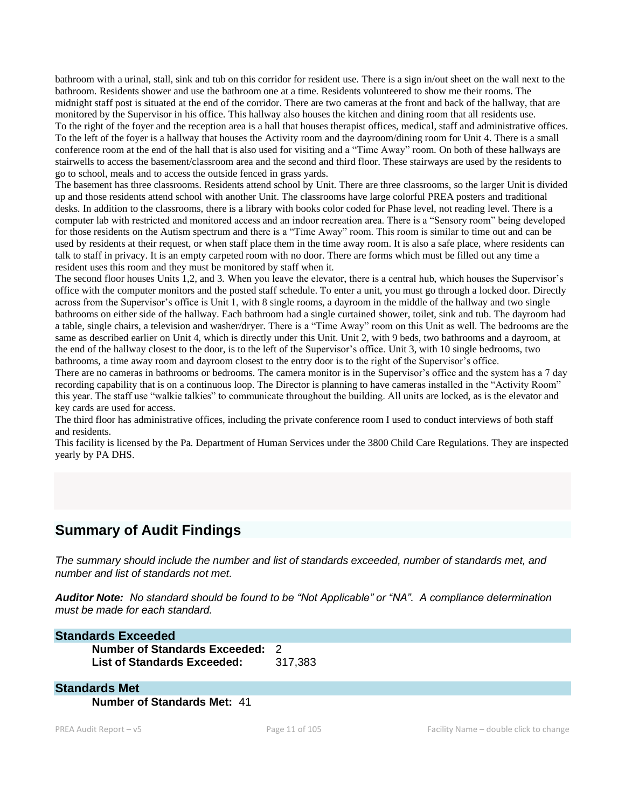bathroom with a urinal, stall, sink and tub on this corridor for resident use. There is a sign in/out sheet on the wall next to the bathroom. Residents shower and use the bathroom one at a time. Residents volunteered to show me their rooms. The midnight staff post is situated at the end of the corridor. There are two cameras at the front and back of the hallway, that are monitored by the Supervisor in his office. This hallway also houses the kitchen and dining room that all residents use. To the right of the foyer and the reception area is a hall that houses therapist offices, medical, staff and administrative offices. To the left of the foyer is a hallway that houses the Activity room and the dayroom/dining room for Unit 4. There is a small conference room at the end of the hall that is also used for visiting and a "Time Away" room. On both of these hallways are stairwells to access the basement/classroom area and the second and third floor. These stairways are used by the residents to go to school, meals and to access the outside fenced in grass yards.

The basement has three classrooms. Residents attend school by Unit. There are three classrooms, so the larger Unit is divided up and those residents attend school with another Unit. The classrooms have large colorful PREA posters and traditional desks. In addition to the classrooms, there is a library with books color coded for Phase level, not reading level. There is a computer lab with restricted and monitored access and an indoor recreation area. There is a "Sensory room" being developed for those residents on the Autism spectrum and there is a "Time Away" room. This room is similar to time out and can be used by residents at their request, or when staff place them in the time away room. It is also a safe place, where residents can talk to staff in privacy. It is an empty carpeted room with no door. There are forms which must be filled out any time a resident uses this room and they must be monitored by staff when it.

The second floor houses Units 1,2, and 3. When you leave the elevator, there is a central hub, which houses the Supervisor's office with the computer monitors and the posted staff schedule. To enter a unit, you must go through a locked door. Directly across from the Supervisor's office is Unit 1, with 8 single rooms, a dayroom in the middle of the hallway and two single bathrooms on either side of the hallway. Each bathroom had a single curtained shower, toilet, sink and tub. The dayroom had a table, single chairs, a television and washer/dryer. There is a "Time Away" room on this Unit as well. The bedrooms are the same as described earlier on Unit 4, which is directly under this Unit. Unit 2, with 9 beds, two bathrooms and a dayroom, at the end of the hallway closest to the door, is to the left of the Supervisor's office. Unit 3, with 10 single bedrooms, two bathrooms, a time away room and dayroom closest to the entry door is to the right of the Supervisor's office.

There are no cameras in bathrooms or bedrooms. The camera monitor is in the Supervisor's office and the system has a 7 day recording capability that is on a continuous loop. The Director is planning to have cameras installed in the "Activity Room" this year. The staff use "walkie talkies" to communicate throughout the building. All units are locked, as is the elevator and key cards are used for access.

The third floor has administrative offices, including the private conference room I used to conduct interviews of both staff and residents.

This facility is licensed by the Pa. Department of Human Services under the 3800 Child Care Regulations. They are inspected yearly by PA DHS.

## **Summary of Audit Findings**

*The summary should include the number and list of standards exceeded, number of standards met, and number and list of standards not met.* 

*Auditor Note: No standard should be found to be "Not Applicable" or "NA". A compliance determination must be made for each standard.*

#### **Standards Exceeded**

**Number of Standards Exceeded:** 2 **List of Standards Exceeded:** 317,383

#### **Standards Met**

**Number of Standards Met:** 41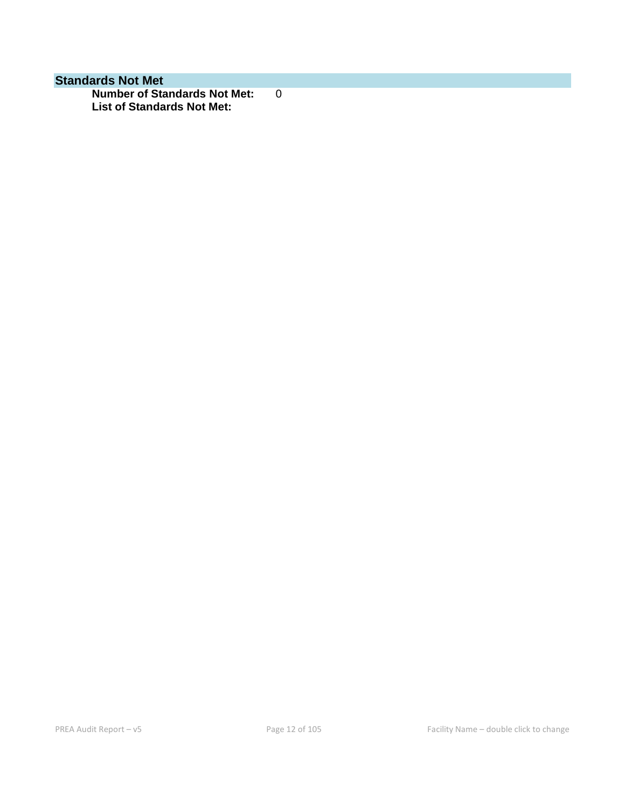## **Standards Not Met**

**Number of Standards Not Met:** 0 **List of Standards Not Met:**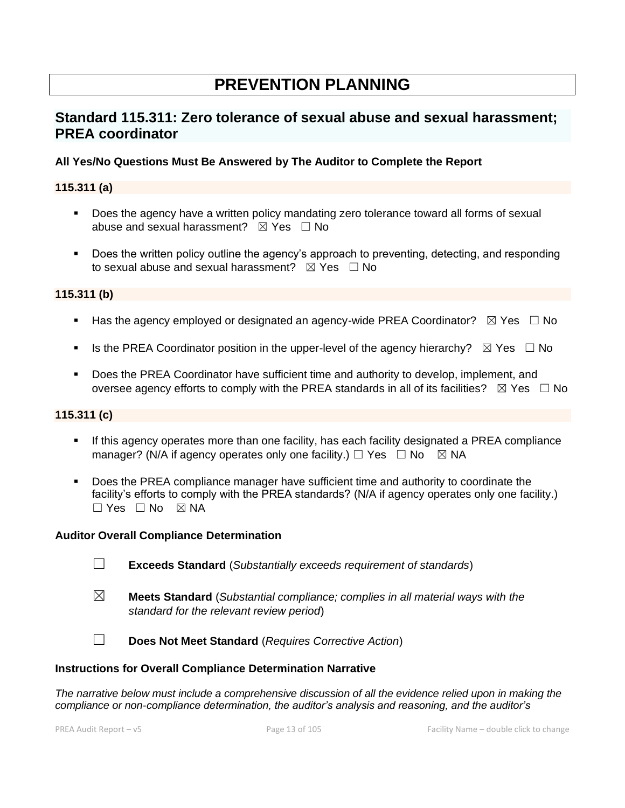# **PREVENTION PLANNING**

## **Standard 115.311: Zero tolerance of sexual abuse and sexual harassment; PREA coordinator**

### **All Yes/No Questions Must Be Answered by The Auditor to Complete the Report**

## **115.311 (a)**

- Does the agency have a written policy mandating zero tolerance toward all forms of sexual abuse and sexual harassment?  $\boxtimes$  Yes  $\Box$  No
- Does the written policy outline the agency's approach to preventing, detecting, and responding to sexual abuse and sexual harassment?  $\boxtimes$  Yes  $\Box$  No

### **115.311 (b)**

- **■** Has the agency employed or designated an agency-wide PREA Coordinator?  $\boxtimes$  Yes  $\Box$  No
- **■** Is the PREA Coordinator position in the upper-level of the agency hierarchy?  $\boxtimes$  Yes  $\Box$  No
- Does the PREA Coordinator have sufficient time and authority to develop, implement, and oversee agency efforts to comply with the PREA standards in all of its facilities?  $\boxtimes$  Yes  $\Box$  No

#### **115.311 (c)**

- If this agency operates more than one facility, has each facility designated a PREA compliance manager? (N/A if agency operates only one facility.)  $\Box$  Yes  $\Box$  No  $\boxtimes$  NA
- Does the PREA compliance manager have sufficient time and authority to coordinate the facility's efforts to comply with the PREA standards? (N/A if agency operates only one facility.)  $\Box$  Yes  $\Box$  No  $\boxtimes$  NA

#### **Auditor Overall Compliance Determination**

- ☐ **Exceeds Standard** (*Substantially exceeds requirement of standards*)
- ☒ **Meets Standard** (*Substantial compliance; complies in all material ways with the standard for the relevant review period*)
- ☐ **Does Not Meet Standard** (*Requires Corrective Action*)

#### **Instructions for Overall Compliance Determination Narrative**

*The narrative below must include a comprehensive discussion of all the evidence relied upon in making the compliance or non-compliance determination, the auditor's analysis and reasoning, and the auditor's*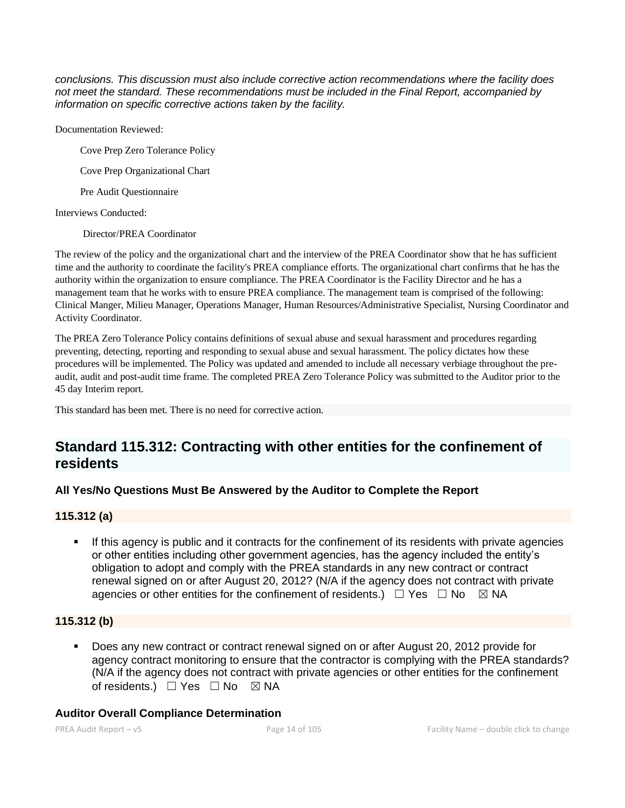*conclusions. This discussion must also include corrective action recommendations where the facility does not meet the standard. These recommendations must be included in the Final Report, accompanied by information on specific corrective actions taken by the facility.*

Documentation Reviewed:

Cove Prep Zero Tolerance Policy

Cove Prep Organizational Chart

Pre Audit Questionnaire

Interviews Conducted:

Director/PREA Coordinator

The review of the policy and the organizational chart and the interview of the PREA Coordinator show that he has sufficient time and the authority to coordinate the facility's PREA compliance efforts. The organizational chart confirms that he has the authority within the organization to ensure compliance. The PREA Coordinator is the Facility Director and he has a management team that he works with to ensure PREA compliance. The management team is comprised of the following: Clinical Manger, Milieu Manager, Operations Manager, Human Resources/Administrative Specialist, Nursing Coordinator and Activity Coordinator.

The PREA Zero Tolerance Policy contains definitions of sexual abuse and sexual harassment and procedures regarding preventing, detecting, reporting and responding to sexual abuse and sexual harassment. The policy dictates how these procedures will be implemented. The Policy was updated and amended to include all necessary verbiage throughout the preaudit, audit and post-audit time frame. The completed PREA Zero Tolerance Policy was submitted to the Auditor prior to the 45 day Interim report.

This standard has been met. There is no need for corrective action.

## **Standard 115.312: Contracting with other entities for the confinement of residents**

## **All Yes/No Questions Must Be Answered by the Auditor to Complete the Report**

### **115.312 (a)**

**•** If this agency is public and it contracts for the confinement of its residents with private agencies or other entities including other government agencies, has the agency included the entity's obligation to adopt and comply with the PREA standards in any new contract or contract renewal signed on or after August 20, 2012? (N/A if the agency does not contract with private agencies or other entities for the confinement of residents.)  $\Box$  Yes  $\Box$  No  $\boxtimes$  NA

## **115.312 (b)**

Does any new contract or contract renewal signed on or after August 20, 2012 provide for agency contract monitoring to ensure that the contractor is complying with the PREA standards? (N/A if the agency does not contract with private agencies or other entities for the confinement of residents.) □ Yes □ No ⊠ NA

### **Auditor Overall Compliance Determination**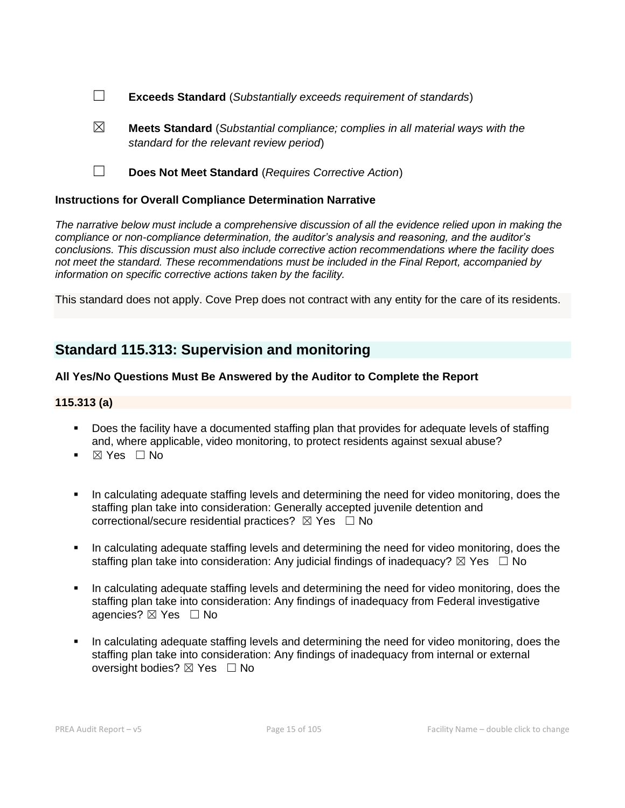- ☐ **Exceeds Standard** (*Substantially exceeds requirement of standards*)
- ☒ **Meets Standard** (*Substantial compliance; complies in all material ways with the standard for the relevant review period*)
- ☐ **Does Not Meet Standard** (*Requires Corrective Action*)

## **Instructions for Overall Compliance Determination Narrative**

*The narrative below must include a comprehensive discussion of all the evidence relied upon in making the compliance or non-compliance determination, the auditor's analysis and reasoning, and the auditor's conclusions. This discussion must also include corrective action recommendations where the facility does not meet the standard. These recommendations must be included in the Final Report, accompanied by information on specific corrective actions taken by the facility.*

This standard does not apply. Cove Prep does not contract with any entity for the care of its residents.

# **Standard 115.313: Supervision and monitoring**

## **All Yes/No Questions Must Be Answered by the Auditor to Complete the Report**

## **115.313 (a)**

- Does the facility have a documented staffing plan that provides for adequate levels of staffing and, where applicable, video monitoring, to protect residents against sexual abuse?
- ⊠ Yes □ No
- In calculating adequate staffing levels and determining the need for video monitoring, does the staffing plan take into consideration: Generally accepted juvenile detention and correctional/secure residential practices?  $\boxtimes$  Yes  $\Box$  No
- **•** In calculating adequate staffing levels and determining the need for video monitoring, does the staffing plan take into consideration: Any judicial findings of inadequacy?  $\boxtimes$  Yes  $\Box$  No
- In calculating adequate staffing levels and determining the need for video monitoring, does the staffing plan take into consideration: Any findings of inadequacy from Federal investigative agencies? ⊠ Yes □ No
- In calculating adequate staffing levels and determining the need for video monitoring, does the staffing plan take into consideration: Any findings of inadequacy from internal or external oversight bodies? ⊠ Yes □ No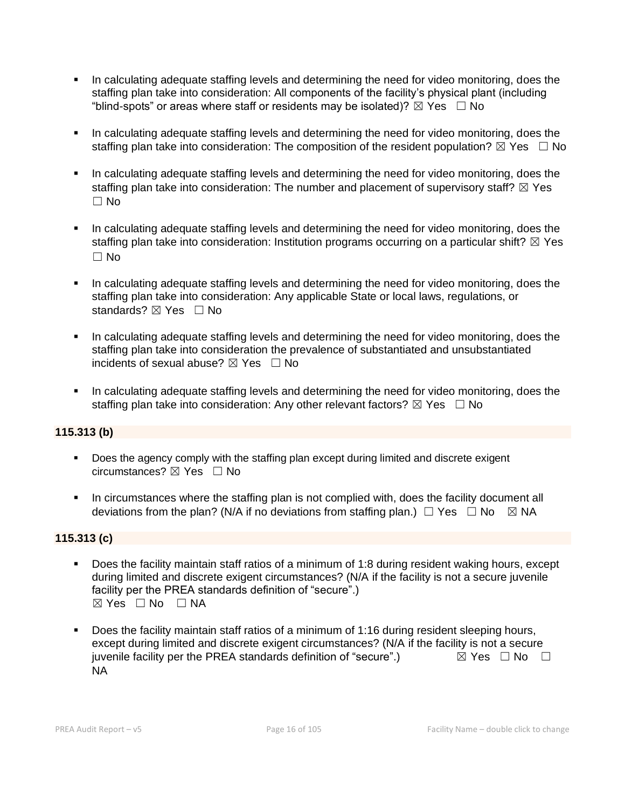- In calculating adequate staffing levels and determining the need for video monitoring, does the staffing plan take into consideration: All components of the facility's physical plant (including "blind-spots" or areas where staff or residents may be isolated)?  $\boxtimes$  Yes  $\Box$  No
- In calculating adequate staffing levels and determining the need for video monitoring, does the staffing plan take into consideration: The composition of the resident population?  $\boxtimes$  Yes  $\Box$  No
- In calculating adequate staffing levels and determining the need for video monitoring, does the staffing plan take into consideration: The number and placement of supervisory staff?  $\boxtimes$  Yes  $\Box$  No
- **•** In calculating adequate staffing levels and determining the need for video monitoring, does the staffing plan take into consideration: Institution programs occurring on a particular shift?  $\boxtimes$  Yes  $\Box$  No
- In calculating adequate staffing levels and determining the need for video monitoring, does the staffing plan take into consideration: Any applicable State or local laws, regulations, or standards? ⊠ Yes □ No
- **•** In calculating adequate staffing levels and determining the need for video monitoring, does the staffing plan take into consideration the prevalence of substantiated and unsubstantiated incidents of sexual abuse?  $\boxtimes$  Yes  $\Box$  No
- **■** In calculating adequate staffing levels and determining the need for video monitoring, does the staffing plan take into consideration: Any other relevant factors?  $\boxtimes$  Yes  $\Box$  No

## **115.313 (b)**

- Does the agency comply with the staffing plan except during limited and discrete exigent circumstances?  $\boxtimes$  Yes  $\Box$  No
- **•** In circumstances where the staffing plan is not complied with, does the facility document all deviations from the plan? (N/A if no deviations from staffing plan.)  $\Box$  Yes  $\Box$  No  $\boxtimes$  NA

### **115.313 (c)**

- Does the facility maintain staff ratios of a minimum of 1:8 during resident waking hours, except during limited and discrete exigent circumstances? (N/A if the facility is not a secure juvenile facility per the PREA standards definition of "secure".) ☒ Yes ☐ No ☐ NA
- Does the facility maintain staff ratios of a minimum of 1:16 during resident sleeping hours, except during limited and discrete exigent circumstances? (N/A if the facility is not a secure juvenile facility per the PREA standards definition of "secure".)  $\boxtimes$  Yes  $\Box$  No  $\Box$ NA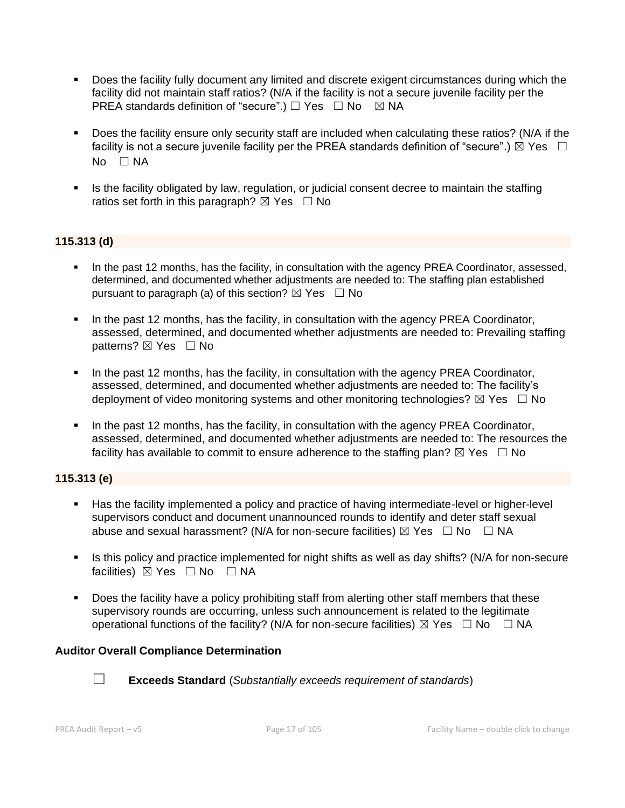- Does the facility fully document any limited and discrete exigent circumstances during which the facility did not maintain staff ratios? (N/A if the facility is not a secure juvenile facility per the PREA standards definition of "secure".)  $\Box$  Yes  $\Box$  No  $\boxtimes$  NA
- Does the facility ensure only security staff are included when calculating these ratios? (N/A if the facility is not a secure juvenile facility per the PREA standards definition of "secure".)  $\boxtimes$  Yes  $\Box$ No □ NA
- **EXECT** Is the facility obligated by law, regulation, or judicial consent decree to maintain the staffing ratios set forth in this paragraph?  $\boxtimes$  Yes  $\Box$  No

### **115.313 (d)**

- In the past 12 months, has the facility, in consultation with the agency PREA Coordinator, assessed, determined, and documented whether adjustments are needed to: The staffing plan established pursuant to paragraph (a) of this section?  $\boxtimes$  Yes  $\Box$  No
- In the past 12 months, has the facility, in consultation with the agency PREA Coordinator, assessed, determined, and documented whether adjustments are needed to: Prevailing staffing patterns? ⊠ Yes □ No
- In the past 12 months, has the facility, in consultation with the agency PREA Coordinator, assessed, determined, and documented whether adjustments are needed to: The facility's deployment of video monitoring systems and other monitoring technologies?  $\boxtimes$  Yes  $\Box$  No
- **■** In the past 12 months, has the facility, in consultation with the agency PREA Coordinator, assessed, determined, and documented whether adjustments are needed to: The resources the facility has available to commit to ensure adherence to the staffing plan?  $\boxtimes$  Yes  $\Box$  No

### **115.313 (e)**

- Has the facility implemented a policy and practice of having intermediate-level or higher-level supervisors conduct and document unannounced rounds to identify and deter staff sexual abuse and sexual harassment? (N/A for non-secure facilities)  $\boxtimes$  Yes  $\Box$  No  $\Box$  NA
- **.** Is this policy and practice implemented for night shifts as well as day shifts? (N/A for non-secure facilities) ⊠ Yes □ No □ NA
- Does the facility have a policy prohibiting staff from alerting other staff members that these supervisory rounds are occurring, unless such announcement is related to the legitimate operational functions of the facility? (N/A for non-secure facilities)  $\boxtimes$  Yes  $\Box$  No  $\Box$  NA

### **Auditor Overall Compliance Determination**



☐ **Exceeds Standard** (*Substantially exceeds requirement of standards*)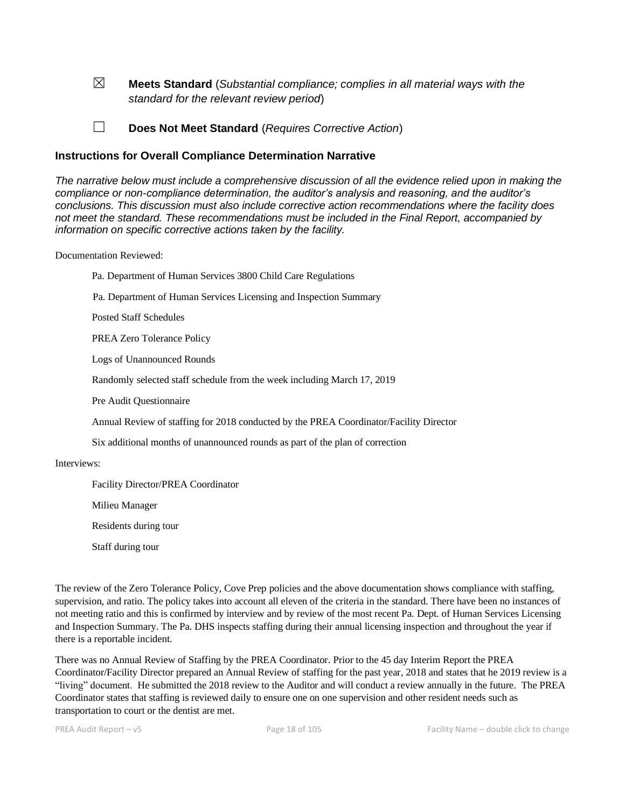☒ **Meets Standard** (*Substantial compliance; complies in all material ways with the standard for the relevant review period*)

☐ **Does Not Meet Standard** (*Requires Corrective Action*)

#### **Instructions for Overall Compliance Determination Narrative**

*The narrative below must include a comprehensive discussion of all the evidence relied upon in making the compliance or non-compliance determination, the auditor's analysis and reasoning, and the auditor's conclusions. This discussion must also include corrective action recommendations where the facility does not meet the standard. These recommendations must be included in the Final Report, accompanied by information on specific corrective actions taken by the facility.*

#### Documentation Reviewed:

Pa. Department of Human Services 3800 Child Care Regulations

Pa. Department of Human Services Licensing and Inspection Summary

Posted Staff Schedules

PREA Zero Tolerance Policy

Logs of Unannounced Rounds

Randomly selected staff schedule from the week including March 17, 2019

Pre Audit Questionnaire

Annual Review of staffing for 2018 conducted by the PREA Coordinator/Facility Director

Six additional months of unannounced rounds as part of the plan of correction

#### Interviews:

Facility Director/PREA Coordinator

Milieu Manager

Residents during tour

Staff during tour

The review of the Zero Tolerance Policy, Cove Prep policies and the above documentation shows compliance with staffing, supervision, and ratio. The policy takes into account all eleven of the criteria in the standard. There have been no instances of not meeting ratio and this is confirmed by interview and by review of the most recent Pa. Dept. of Human Services Licensing and Inspection Summary. The Pa. DHS inspects staffing during their annual licensing inspection and throughout the year if there is a reportable incident.

There was no Annual Review of Staffing by the PREA Coordinator. Prior to the 45 day Interim Report the PREA Coordinator/Facility Director prepared an Annual Review of staffing for the past year, 2018 and states that he 2019 review is a "living" document. He submitted the 2018 review to the Auditor and will conduct a review annually in the future. The PREA Coordinator states that staffing is reviewed daily to ensure one on one supervision and other resident needs such as transportation to court or the dentist are met.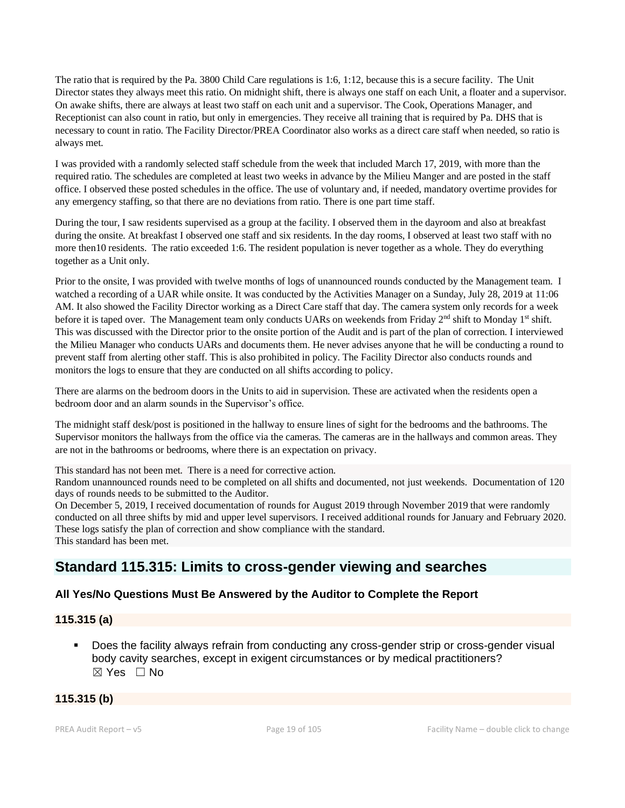The ratio that is required by the Pa. 3800 Child Care regulations is 1:6, 1:12, because this is a secure facility. The Unit Director states they always meet this ratio. On midnight shift, there is always one staff on each Unit, a floater and a supervisor. On awake shifts, there are always at least two staff on each unit and a supervisor. The Cook, Operations Manager, and Receptionist can also count in ratio, but only in emergencies. They receive all training that is required by Pa. DHS that is necessary to count in ratio. The Facility Director/PREA Coordinator also works as a direct care staff when needed, so ratio is always met.

I was provided with a randomly selected staff schedule from the week that included March 17, 2019, with more than the required ratio. The schedules are completed at least two weeks in advance by the Milieu Manger and are posted in the staff office. I observed these posted schedules in the office. The use of voluntary and, if needed, mandatory overtime provides for any emergency staffing, so that there are no deviations from ratio. There is one part time staff.

During the tour, I saw residents supervised as a group at the facility. I observed them in the dayroom and also at breakfast during the onsite. At breakfast I observed one staff and six residents. In the day rooms, I observed at least two staff with no more then10 residents. The ratio exceeded 1:6. The resident population is never together as a whole. They do everything together as a Unit only.

Prior to the onsite, I was provided with twelve months of logs of unannounced rounds conducted by the Management team. I watched a recording of a UAR while onsite. It was conducted by the Activities Manager on a Sunday, July 28, 2019 at 11:06 AM. It also showed the Facility Director working as a Direct Care staff that day. The camera system only records for a week before it is taped over. The Management team only conducts UARs on weekends from Friday 2<sup>nd</sup> shift to Monday 1<sup>st</sup> shift. This was discussed with the Director prior to the onsite portion of the Audit and is part of the plan of correction. I interviewed the Milieu Manager who conducts UARs and documents them. He never advises anyone that he will be conducting a round to prevent staff from alerting other staff. This is also prohibited in policy. The Facility Director also conducts rounds and monitors the logs to ensure that they are conducted on all shifts according to policy.

There are alarms on the bedroom doors in the Units to aid in supervision. These are activated when the residents open a bedroom door and an alarm sounds in the Supervisor's office.

The midnight staff desk/post is positioned in the hallway to ensure lines of sight for the bedrooms and the bathrooms. The Supervisor monitors the hallways from the office via the cameras. The cameras are in the hallways and common areas. They are not in the bathrooms or bedrooms, where there is an expectation on privacy.

This standard has not been met. There is a need for corrective action.

Random unannounced rounds need to be completed on all shifts and documented, not just weekends. Documentation of 120 days of rounds needs to be submitted to the Auditor.

On December 5, 2019, I received documentation of rounds for August 2019 through November 2019 that were randomly conducted on all three shifts by mid and upper level supervisors. I received additional rounds for January and February 2020. These logs satisfy the plan of correction and show compliance with the standard. This standard has been met.

## **Standard 115.315: Limits to cross-gender viewing and searches**

### **All Yes/No Questions Must Be Answered by the Auditor to Complete the Report**

### **115.315 (a)**

Does the facility always refrain from conducting any cross-gender strip or cross-gender visual body cavity searches, except in exigent circumstances or by medical practitioners? ☒ Yes ☐ No

#### **115.315 (b)**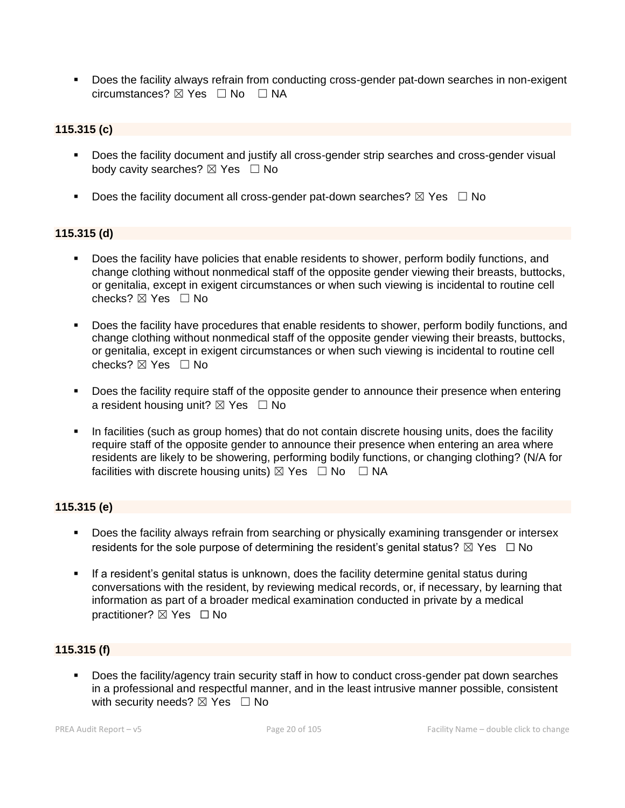■ Does the facility always refrain from conducting cross-gender pat-down searches in non-exigent circumstances? ☒ Yes ☐ No ☐ NA

#### **115.315 (c)**

- Does the facility document and justify all cross-gender strip searches and cross-gender visual body cavity searches?  $\boxtimes$  Yes  $\Box$  No
- Does the facility document all cross-gender pat-down searches?  $\boxtimes$  Yes  $\Box$  No

#### **115.315 (d)**

- Does the facility have policies that enable residents to shower, perform bodily functions, and change clothing without nonmedical staff of the opposite gender viewing their breasts, buttocks, or genitalia, except in exigent circumstances or when such viewing is incidental to routine cell checks? ☒ Yes ☐ No
- Does the facility have procedures that enable residents to shower, perform bodily functions, and change clothing without nonmedical staff of the opposite gender viewing their breasts, buttocks, or genitalia, except in exigent circumstances or when such viewing is incidental to routine cell checks? ☒ Yes ☐ No
- Does the facility require staff of the opposite gender to announce their presence when entering a resident housing unit?  $\boxtimes$  Yes  $\Box$  No
- In facilities (such as group homes) that do not contain discrete housing units, does the facility require staff of the opposite gender to announce their presence when entering an area where residents are likely to be showering, performing bodily functions, or changing clothing? (N/A for facilities with discrete housing units)  $\boxtimes$  Yes  $\Box$  No  $\Box$  NA

### **115.315 (e)**

- Does the facility always refrain from searching or physically examining transgender or intersex residents for the sole purpose of determining the resident's genital status?  $\boxtimes$  Yes  $\Box$  No
- **EXTE:** If a resident's genital status is unknown, does the facility determine genital status during conversations with the resident, by reviewing medical records, or, if necessary, by learning that information as part of a broader medical examination conducted in private by a medical practitioner? **⊠** Yes □ No

### **115.315 (f)**

▪ Does the facility/agency train security staff in how to conduct cross-gender pat down searches in a professional and respectful manner, and in the least intrusive manner possible, consistent with security needs?  $\boxtimes$  Yes  $\Box$  No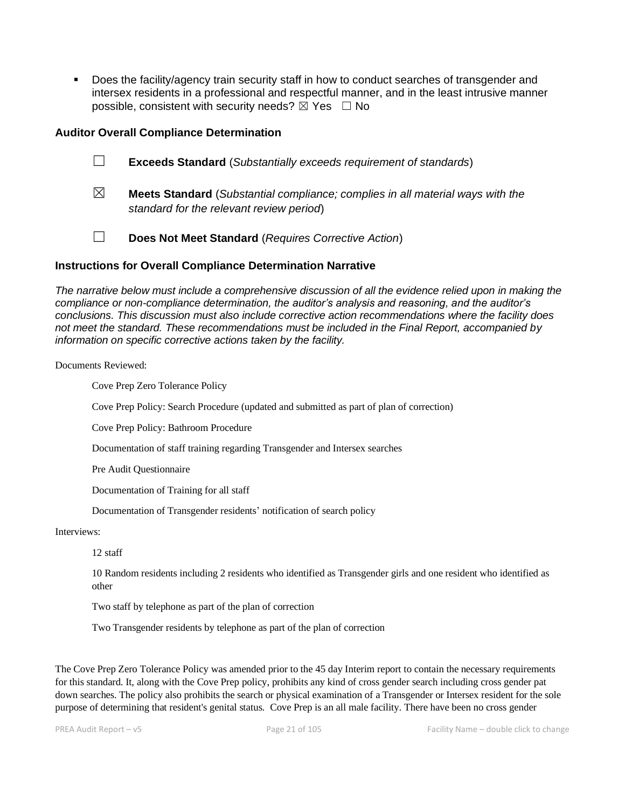▪ Does the facility/agency train security staff in how to conduct searches of transgender and intersex residents in a professional and respectful manner, and in the least intrusive manner possible, consistent with security needs?  $\boxtimes$  Yes  $\Box$  No

#### **Auditor Overall Compliance Determination**

- ☐ **Exceeds Standard** (*Substantially exceeds requirement of standards*)
- ☒ **Meets Standard** (*Substantial compliance; complies in all material ways with the standard for the relevant review period*)
- ☐ **Does Not Meet Standard** (*Requires Corrective Action*)

#### **Instructions for Overall Compliance Determination Narrative**

*The narrative below must include a comprehensive discussion of all the evidence relied upon in making the compliance or non-compliance determination, the auditor's analysis and reasoning, and the auditor's conclusions. This discussion must also include corrective action recommendations where the facility does not meet the standard. These recommendations must be included in the Final Report, accompanied by information on specific corrective actions taken by the facility.*

Documents Reviewed:

Cove Prep Zero Tolerance Policy

Cove Prep Policy: Search Procedure (updated and submitted as part of plan of correction)

Cove Prep Policy: Bathroom Procedure

Documentation of staff training regarding Transgender and Intersex searches

Pre Audit Questionnaire

Documentation of Training for all staff

Documentation of Transgender residents' notification of search policy

Interviews:

12 staff

10 Random residents including 2 residents who identified as Transgender girls and one resident who identified as other

Two staff by telephone as part of the plan of correction

Two Transgender residents by telephone as part of the plan of correction

The Cove Prep Zero Tolerance Policy was amended prior to the 45 day Interim report to contain the necessary requirements for this standard. It, along with the Cove Prep policy, prohibits any kind of cross gender search including cross gender pat down searches. The policy also prohibits the search or physical examination of a Transgender or Intersex resident for the sole purpose of determining that resident's genital status. Cove Prep is an all male facility. There have been no cross gender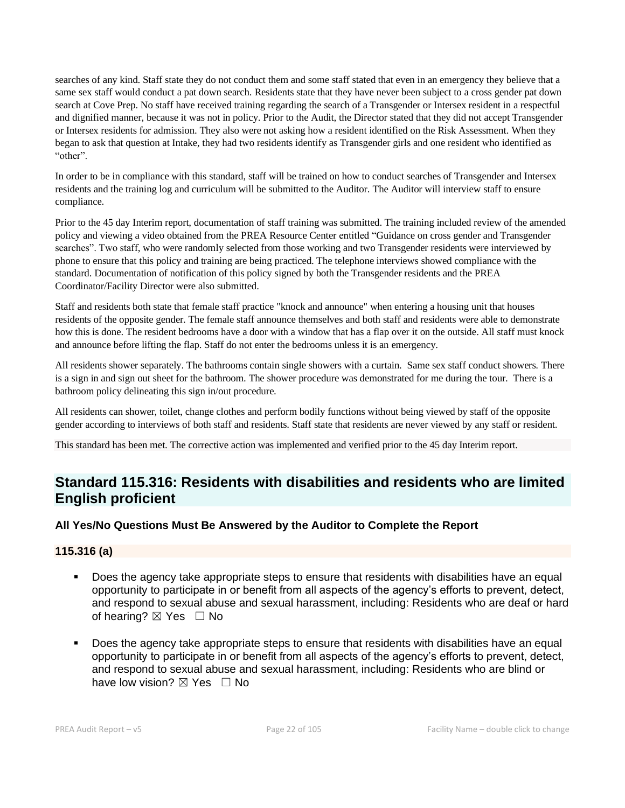searches of any kind. Staff state they do not conduct them and some staff stated that even in an emergency they believe that a same sex staff would conduct a pat down search. Residents state that they have never been subject to a cross gender pat down search at Cove Prep. No staff have received training regarding the search of a Transgender or Intersex resident in a respectful and dignified manner, because it was not in policy. Prior to the Audit, the Director stated that they did not accept Transgender or Intersex residents for admission. They also were not asking how a resident identified on the Risk Assessment. When they began to ask that question at Intake, they had two residents identify as Transgender girls and one resident who identified as "other".

In order to be in compliance with this standard, staff will be trained on how to conduct searches of Transgender and Intersex residents and the training log and curriculum will be submitted to the Auditor. The Auditor will interview staff to ensure compliance.

Prior to the 45 day Interim report, documentation of staff training was submitted. The training included review of the amended policy and viewing a video obtained from the PREA Resource Center entitled "Guidance on cross gender and Transgender searches". Two staff, who were randomly selected from those working and two Transgender residents were interviewed by phone to ensure that this policy and training are being practiced. The telephone interviews showed compliance with the standard. Documentation of notification of this policy signed by both the Transgender residents and the PREA Coordinator/Facility Director were also submitted.

Staff and residents both state that female staff practice "knock and announce" when entering a housing unit that houses residents of the opposite gender. The female staff announce themselves and both staff and residents were able to demonstrate how this is done. The resident bedrooms have a door with a window that has a flap over it on the outside. All staff must knock and announce before lifting the flap. Staff do not enter the bedrooms unless it is an emergency.

All residents shower separately. The bathrooms contain single showers with a curtain. Same sex staff conduct showers. There is a sign in and sign out sheet for the bathroom. The shower procedure was demonstrated for me during the tour. There is a bathroom policy delineating this sign in/out procedure.

All residents can shower, toilet, change clothes and perform bodily functions without being viewed by staff of the opposite gender according to interviews of both staff and residents. Staff state that residents are never viewed by any staff or resident.

This standard has been met. The corrective action was implemented and verified prior to the 45 day Interim report.

## **Standard 115.316: Residents with disabilities and residents who are limited English proficient**

### **All Yes/No Questions Must Be Answered by the Auditor to Complete the Report**

### **115.316 (a)**

- Does the agency take appropriate steps to ensure that residents with disabilities have an equal opportunity to participate in or benefit from all aspects of the agency's efforts to prevent, detect, and respond to sexual abuse and sexual harassment, including: Residents who are deaf or hard of hearing?  $\boxtimes$  Yes  $\Box$  No
- Does the agency take appropriate steps to ensure that residents with disabilities have an equal opportunity to participate in or benefit from all aspects of the agency's efforts to prevent, detect, and respond to sexual abuse and sexual harassment, including: Residents who are blind or have low vision?  $\boxtimes$  Yes  $\Box$  No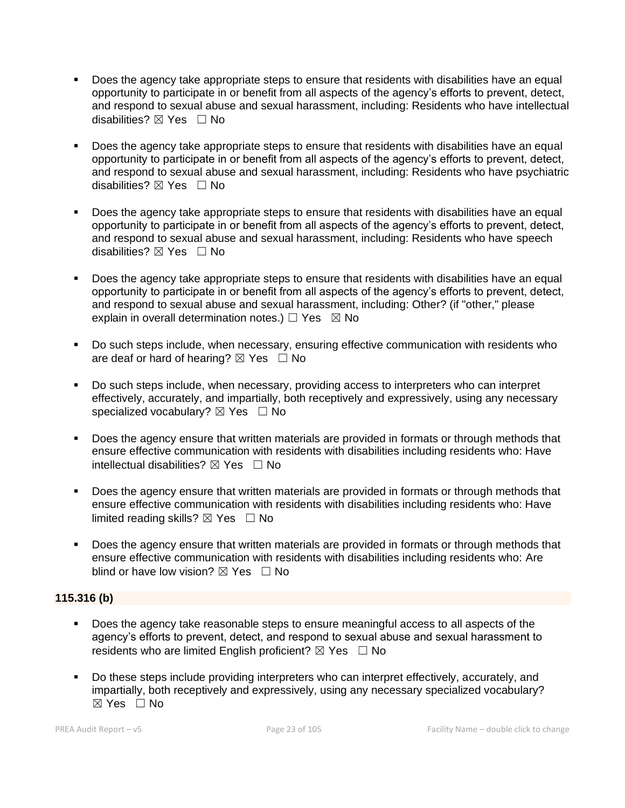- Does the agency take appropriate steps to ensure that residents with disabilities have an equal opportunity to participate in or benefit from all aspects of the agency's efforts to prevent, detect, and respond to sexual abuse and sexual harassment, including: Residents who have intellectual disabilities?  $\boxtimes$  Yes  $\Box$  No
- Does the agency take appropriate steps to ensure that residents with disabilities have an equal opportunity to participate in or benefit from all aspects of the agency's efforts to prevent, detect, and respond to sexual abuse and sexual harassment, including: Residents who have psychiatric disabilities? ⊠ Yes □ No
- Does the agency take appropriate steps to ensure that residents with disabilities have an equal opportunity to participate in or benefit from all aspects of the agency's efforts to prevent, detect, and respond to sexual abuse and sexual harassment, including: Residents who have speech disabilities? ☒ Yes ☐ No
- Does the agency take appropriate steps to ensure that residents with disabilities have an equal opportunity to participate in or benefit from all aspects of the agency's efforts to prevent, detect, and respond to sexual abuse and sexual harassment, including: Other? (if "other," please explain in overall determination notes.)  $\Box$  Yes  $\boxtimes$  No
- Do such steps include, when necessary, ensuring effective communication with residents who are deaf or hard of hearing?  $\boxtimes$  Yes  $\Box$  No
- Do such steps include, when necessary, providing access to interpreters who can interpret effectively, accurately, and impartially, both receptively and expressively, using any necessary specialized vocabulary? ⊠ Yes □ No
- **•** Does the agency ensure that written materials are provided in formats or through methods that ensure effective communication with residents with disabilities including residents who: Have intellectual disabilities?  $\boxtimes$  Yes  $\Box$  No
- **•** Does the agency ensure that written materials are provided in formats or through methods that ensure effective communication with residents with disabilities including residents who: Have limited reading skills?  $\boxtimes$  Yes  $\Box$  No
- **•** Does the agency ensure that written materials are provided in formats or through methods that ensure effective communication with residents with disabilities including residents who: Are blind or have low vision?  $\boxtimes$  Yes  $\Box$  No

### **115.316 (b)**

- Does the agency take reasonable steps to ensure meaningful access to all aspects of the agency's efforts to prevent, detect, and respond to sexual abuse and sexual harassment to residents who are limited English proficient?  $\boxtimes$  Yes  $\Box$  No
- Do these steps include providing interpreters who can interpret effectively, accurately, and impartially, both receptively and expressively, using any necessary specialized vocabulary?  $\boxtimes$  Yes  $\Box$  No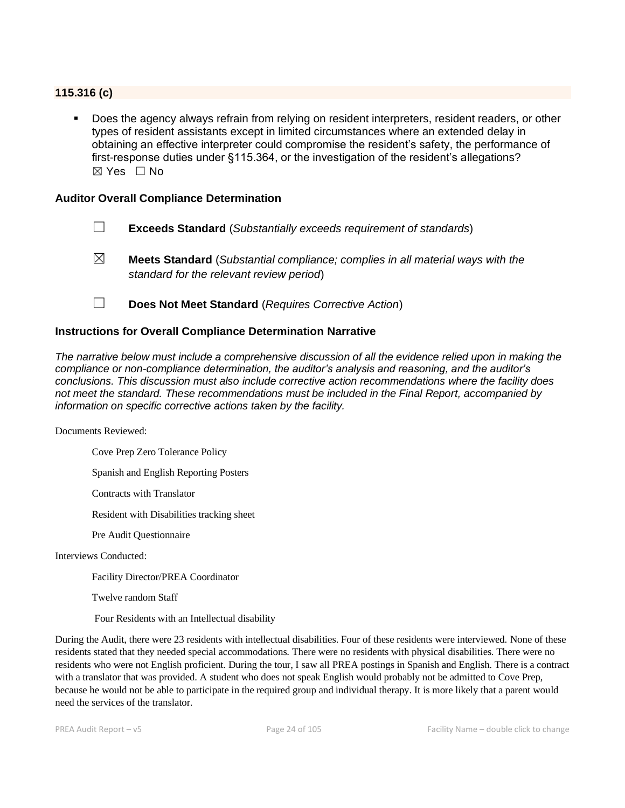#### **115.316 (c)**

Does the agency always refrain from relying on resident interpreters, resident readers, or other types of resident assistants except in limited circumstances where an extended delay in obtaining an effective interpreter could compromise the resident's safety, the performance of first-response duties under §115.364, or the investigation of the resident's allegations? ☒ Yes ☐ No

#### **Auditor Overall Compliance Determination**

- ☐ **Exceeds Standard** (*Substantially exceeds requirement of standards*)
- ☒ **Meets Standard** (*Substantial compliance; complies in all material ways with the standard for the relevant review period*)
- ☐ **Does Not Meet Standard** (*Requires Corrective Action*)

#### **Instructions for Overall Compliance Determination Narrative**

*The narrative below must include a comprehensive discussion of all the evidence relied upon in making the compliance or non-compliance determination, the auditor's analysis and reasoning, and the auditor's conclusions. This discussion must also include corrective action recommendations where the facility does not meet the standard. These recommendations must be included in the Final Report, accompanied by information on specific corrective actions taken by the facility.*

Documents Reviewed:

Cove Prep Zero Tolerance Policy

Spanish and English Reporting Posters

Contracts with Translator

Resident with Disabilities tracking sheet

Pre Audit Questionnaire

Interviews Conducted:

Facility Director/PREA Coordinator

Twelve random Staff

Four Residents with an Intellectual disability

During the Audit, there were 23 residents with intellectual disabilities. Four of these residents were interviewed. None of these residents stated that they needed special accommodations. There were no residents with physical disabilities. There were no residents who were not English proficient. During the tour, I saw all PREA postings in Spanish and English. There is a contract with a translator that was provided. A student who does not speak English would probably not be admitted to Cove Prep, because he would not be able to participate in the required group and individual therapy. It is more likely that a parent would need the services of the translator.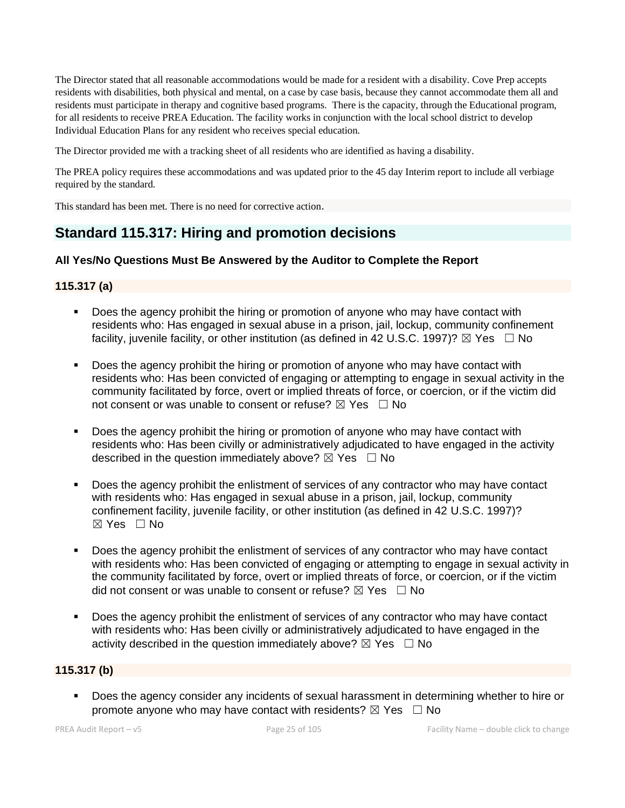The Director stated that all reasonable accommodations would be made for a resident with a disability. Cove Prep accepts residents with disabilities, both physical and mental, on a case by case basis, because they cannot accommodate them all and residents must participate in therapy and cognitive based programs. There is the capacity, through the Educational program, for all residents to receive PREA Education. The facility works in conjunction with the local school district to develop Individual Education Plans for any resident who receives special education.

The Director provided me with a tracking sheet of all residents who are identified as having a disability.

The PREA policy requires these accommodations and was updated prior to the 45 day Interim report to include all verbiage required by the standard.

This standard has been met. There is no need for corrective action.

## **Standard 115.317: Hiring and promotion decisions**

### **All Yes/No Questions Must Be Answered by the Auditor to Complete the Report**

## **115.317 (a)**

- **•** Does the agency prohibit the hiring or promotion of anyone who may have contact with residents who: Has engaged in sexual abuse in a prison, jail, lockup, community confinement facility, juvenile facility, or other institution (as defined in 42 U.S.C. 1997)?  $\boxtimes$  Yes  $\Box$  No
- Does the agency prohibit the hiring or promotion of anyone who may have contact with residents who: Has been convicted of engaging or attempting to engage in sexual activity in the community facilitated by force, overt or implied threats of force, or coercion, or if the victim did not consent or was unable to consent or refuse?  $\boxtimes$  Yes  $\Box$  No
- Does the agency prohibit the hiring or promotion of anyone who may have contact with residents who: Has been civilly or administratively adjudicated to have engaged in the activity described in the question immediately above?  $\boxtimes$  Yes  $\Box$  No
- Does the agency prohibit the enlistment of services of any contractor who may have contact with residents who: Has engaged in sexual abuse in a prison, jail, lockup, community confinement facility, juvenile facility, or other institution (as defined in 42 U.S.C. 1997)?  $\boxtimes$  Yes  $\Box$  No
- Does the agency prohibit the enlistment of services of any contractor who may have contact with residents who: Has been convicted of engaging or attempting to engage in sexual activity in the community facilitated by force, overt or implied threats of force, or coercion, or if the victim did not consent or was unable to consent or refuse?  $\boxtimes$  Yes  $\Box$  No
- Does the agency prohibit the enlistment of services of any contractor who may have contact with residents who: Has been civilly or administratively adjudicated to have engaged in the activity described in the question immediately above?  $\boxtimes$  Yes  $\Box$  No

### **115.317 (b)**

▪ Does the agency consider any incidents of sexual harassment in determining whether to hire or promote anyone who may have contact with residents?  $\boxtimes$  Yes  $\Box$  No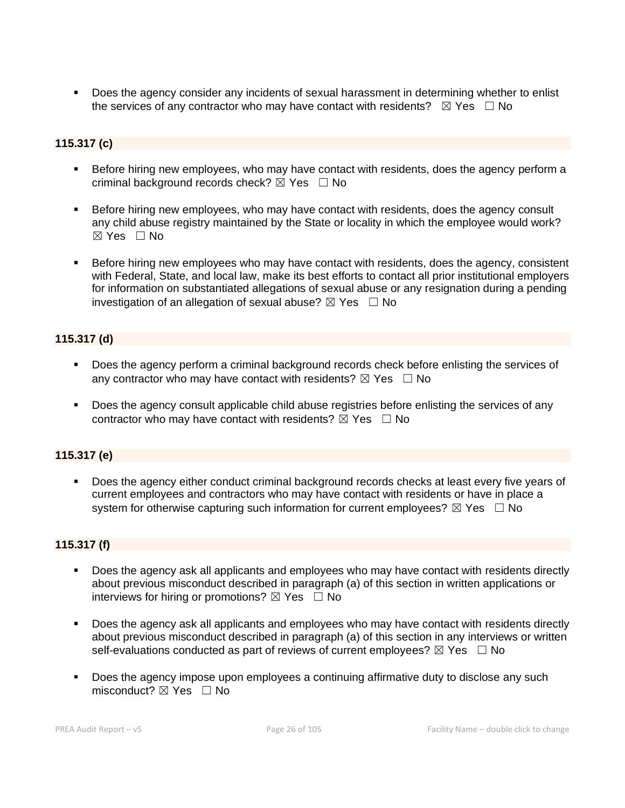Does the agency consider any incidents of sexual harassment in determining whether to enlist the services of any contractor who may have contact with residents?  $\boxtimes$  Yes  $\Box$  No

## **115.317 (c)**

- **EXEL Before hiring new employees, who may have contact with residents, does the agency perform a** criminal background records check?  $\boxtimes$  Yes  $\Box$  No
- **EXEL Before hiring new employees, who may have contact with residents, does the agency consult** any child abuse registry maintained by the State or locality in which the employee would work? ☒ Yes ☐ No
- Before hiring new employees who may have contact with residents, does the agency, consistent with Federal, State, and local law, make its best efforts to contact all prior institutional employers for information on substantiated allegations of sexual abuse or any resignation during a pending investigation of an allegation of sexual abuse?  $\boxtimes$  Yes  $\Box$  No

## **115.317 (d)**

- Does the agency perform a criminal background records check before enlisting the services of any contractor who may have contact with residents?  $\boxtimes$  Yes  $\Box$  No
- **•** Does the agency consult applicable child abuse registries before enlisting the services of any contractor who may have contact with residents?  $\boxtimes$  Yes  $\Box$  No

## **115.317 (e)**

▪ Does the agency either conduct criminal background records checks at least every five years of current employees and contractors who may have contact with residents or have in place a system for otherwise capturing such information for current employees?  $\boxtimes$  Yes  $\Box$  No

### **115.317 (f)**

- Does the agency ask all applicants and employees who may have contact with residents directly about previous misconduct described in paragraph (a) of this section in written applications or interviews for hiring or promotions?  $\boxtimes$  Yes  $\Box$  No
- Does the agency ask all applicants and employees who may have contact with residents directly about previous misconduct described in paragraph (a) of this section in any interviews or written self-evaluations conducted as part of reviews of current employees?  $\boxtimes$  Yes  $\Box$  No
- Does the agency impose upon employees a continuing affirmative duty to disclose any such misconduct?  $\boxtimes$  Yes  $\Box$  No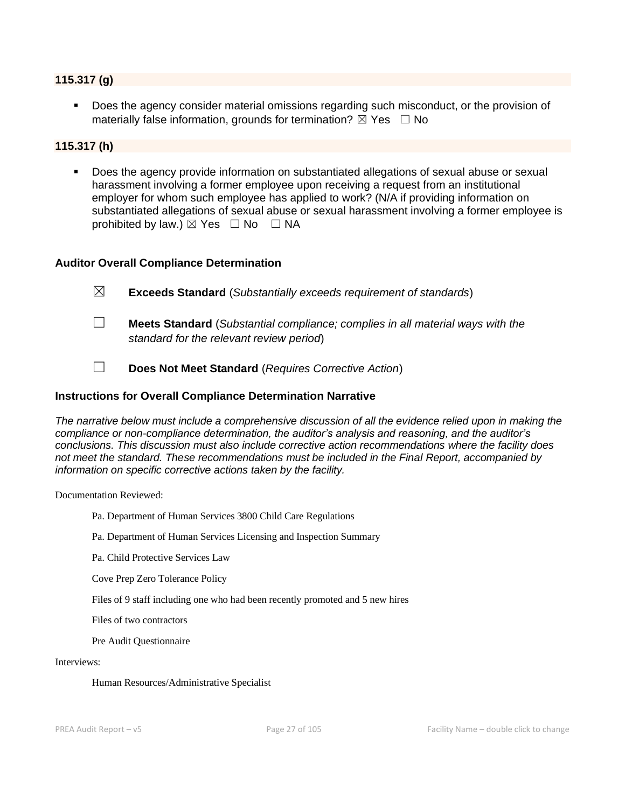#### **115.317 (g)**

Does the agency consider material omissions regarding such misconduct, or the provision of materially false information, grounds for termination?  $\boxtimes$  Yes  $\Box$  No

#### **115.317 (h)**

Does the agency provide information on substantiated allegations of sexual abuse or sexual harassment involving a former employee upon receiving a request from an institutional employer for whom such employee has applied to work? (N/A if providing information on substantiated allegations of sexual abuse or sexual harassment involving a former employee is prohibited by law.)  $\boxtimes$  Yes  $\Box$  No  $\Box$  NA

#### **Auditor Overall Compliance Determination**

- ☐ **Meets Standard** (*Substantial compliance; complies in all material ways with the standard for the relevant review period*)
- ☐ **Does Not Meet Standard** (*Requires Corrective Action*)

#### **Instructions for Overall Compliance Determination Narrative**

*The narrative below must include a comprehensive discussion of all the evidence relied upon in making the compliance or non-compliance determination, the auditor's analysis and reasoning, and the auditor's conclusions. This discussion must also include corrective action recommendations where the facility does not meet the standard. These recommendations must be included in the Final Report, accompanied by information on specific corrective actions taken by the facility.*

Documentation Reviewed:

- Pa. Department of Human Services 3800 Child Care Regulations
- Pa. Department of Human Services Licensing and Inspection Summary
- Pa. Child Protective Services Law

Cove Prep Zero Tolerance Policy

Files of 9 staff including one who had been recently promoted and 5 new hires

Files of two contractors

Pre Audit Questionnaire

#### Interviews:

Human Resources/Administrative Specialist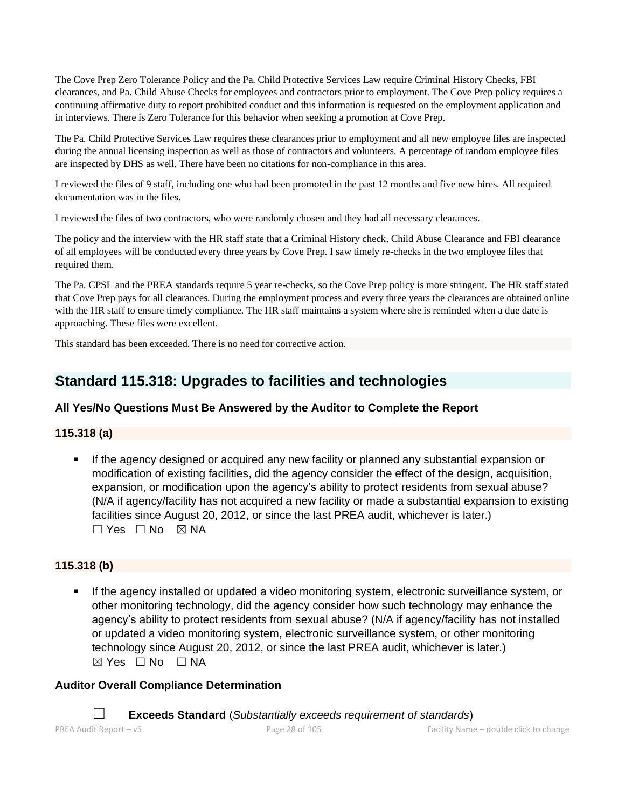The Cove Prep Zero Tolerance Policy and the Pa. Child Protective Services Law require Criminal History Checks, FBI clearances, and Pa. Child Abuse Checks for employees and contractors prior to employment. The Cove Prep policy requires a continuing affirmative duty to report prohibited conduct and this information is requested on the employment application and in interviews. There is Zero Tolerance for this behavior when seeking a promotion at Cove Prep.

The Pa. Child Protective Services Law requires these clearances prior to employment and all new employee files are inspected during the annual licensing inspection as well as those of contractors and volunteers. A percentage of random employee files are inspected by DHS as well. There have been no citations for non-compliance in this area.

I reviewed the files of 9 staff, including one who had been promoted in the past 12 months and five new hires. All required documentation was in the files.

I reviewed the files of two contractors, who were randomly chosen and they had all necessary clearances.

The policy and the interview with the HR staff state that a Criminal History check, Child Abuse Clearance and FBI clearance of all employees will be conducted every three years by Cove Prep. I saw timely re-checks in the two employee files that required them.

The Pa. CPSL and the PREA standards require 5 year re-checks, so the Cove Prep policy is more stringent. The HR staff stated that Cove Prep pays for all clearances. During the employment process and every three years the clearances are obtained online with the HR staff to ensure timely compliance. The HR staff maintains a system where she is reminded when a due date is approaching. These files were excellent.

This standard has been exceeded. There is no need for corrective action.

## **Standard 115.318: Upgrades to facilities and technologies**

## **All Yes/No Questions Must Be Answered by the Auditor to Complete the Report**

### **115.318 (a)**

If the agency designed or acquired any new facility or planned any substantial expansion or modification of existing facilities, did the agency consider the effect of the design, acquisition, expansion, or modification upon the agency's ability to protect residents from sexual abuse? (N/A if agency/facility has not acquired a new facility or made a substantial expansion to existing facilities since August 20, 2012, or since the last PREA audit, whichever is later.)  $\Box$  Yes  $\Box$  No  $\boxtimes$  NA

### **115.318 (b)**

If the agency installed or updated a video monitoring system, electronic surveillance system, or other monitoring technology, did the agency consider how such technology may enhance the agency's ability to protect residents from sexual abuse? (N/A if agency/facility has not installed or updated a video monitoring system, electronic surveillance system, or other monitoring technology since August 20, 2012, or since the last PREA audit, whichever is later.)  $\boxtimes$  Yes  $\Box$  No  $\Box$  NA

### **Auditor Overall Compliance Determination**

☐ **Exceeds Standard** (*Substantially exceeds requirement of standards*)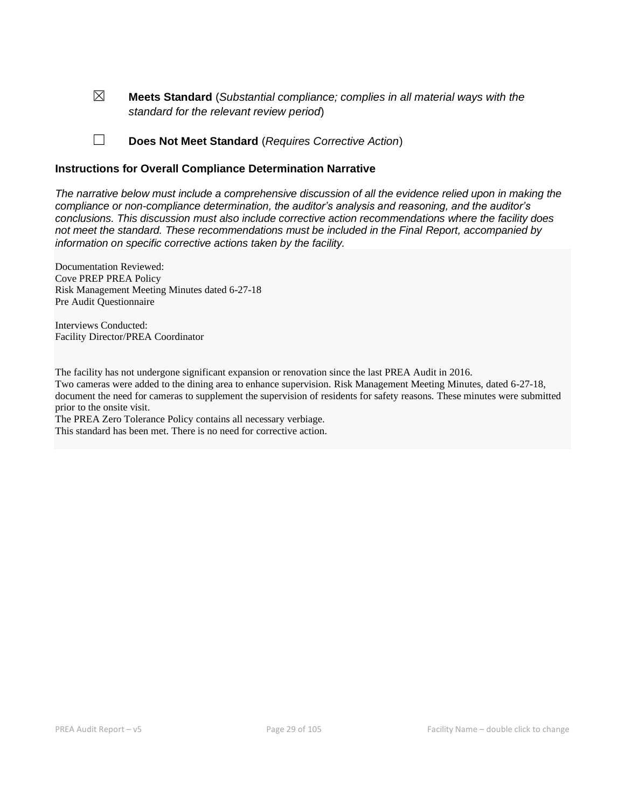☒ **Meets Standard** (*Substantial compliance; complies in all material ways with the standard for the relevant review period*)

☐ **Does Not Meet Standard** (*Requires Corrective Action*)

#### **Instructions for Overall Compliance Determination Narrative**

*The narrative below must include a comprehensive discussion of all the evidence relied upon in making the compliance or non-compliance determination, the auditor's analysis and reasoning, and the auditor's conclusions. This discussion must also include corrective action recommendations where the facility does not meet the standard. These recommendations must be included in the Final Report, accompanied by information on specific corrective actions taken by the facility.*

Documentation Reviewed: Cove PREP PREA Policy Risk Management Meeting Minutes dated 6-27-18 Pre Audit Questionnaire

Interviews Conducted: Facility Director/PREA Coordinator

The facility has not undergone significant expansion or renovation since the last PREA Audit in 2016. Two cameras were added to the dining area to enhance supervision. Risk Management Meeting Minutes, dated 6-27-18, document the need for cameras to supplement the supervision of residents for safety reasons. These minutes were submitted prior to the onsite visit. The PREA Zero Tolerance Policy contains all necessary verbiage.

This standard has been met. There is no need for corrective action.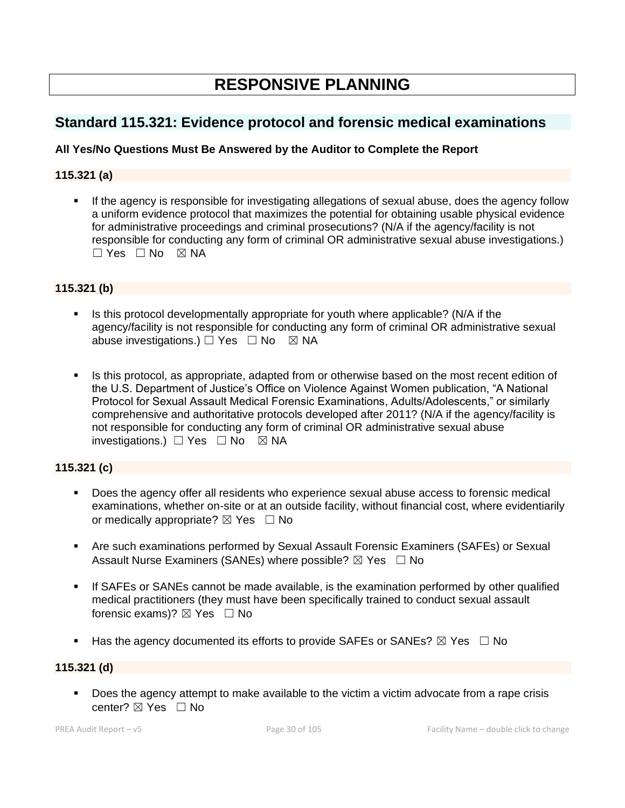# **RESPONSIVE PLANNING**

## **Standard 115.321: Evidence protocol and forensic medical examinations**

## **All Yes/No Questions Must Be Answered by the Auditor to Complete the Report**

## **115.321 (a)**

**.** If the agency is responsible for investigating allegations of sexual abuse, does the agency follow a uniform evidence protocol that maximizes the potential for obtaining usable physical evidence for administrative proceedings and criminal prosecutions? (N/A if the agency/facility is not responsible for conducting any form of criminal OR administrative sexual abuse investigations.)  $\Box$  Yes  $\Box$  No  $\boxtimes$  NA

### **115.321 (b)**

- **EXECT** Is this protocol developmentally appropriate for youth where applicable? (N/A if the agency/facility is not responsible for conducting any form of criminal OR administrative sexual abuse investigations.)  $\Box$  Yes  $\Box$  No  $\boxtimes$  NA
- Is this protocol, as appropriate, adapted from or otherwise based on the most recent edition of the U.S. Department of Justice's Office on Violence Against Women publication, "A National Protocol for Sexual Assault Medical Forensic Examinations, Adults/Adolescents," or similarly comprehensive and authoritative protocols developed after 2011? (N/A if the agency/facility is not responsible for conducting any form of criminal OR administrative sexual abuse investigations.) ☐ Yes ☐ No ☒ NA

### **115.321 (c)**

- Does the agency offer all residents who experience sexual abuse access to forensic medical examinations, whether on-site or at an outside facility, without financial cost, where evidentiarily or medically appropriate?  $\boxtimes$  Yes  $\Box$  No
- Are such examinations performed by Sexual Assault Forensic Examiners (SAFEs) or Sexual Assault Nurse Examiners (SANEs) where possible?  $\boxtimes$  Yes  $\Box$  No
- **.** If SAFEs or SANEs cannot be made available, is the examination performed by other qualified medical practitioners (they must have been specifically trained to conduct sexual assault forensic exams)?  $\boxtimes$  Yes  $\Box$  No
- **■** Has the agency documented its efforts to provide SAFEs or SANEs?  $\boxtimes$  Yes  $\Box$  No

#### **115.321 (d)**

▪ Does the agency attempt to make available to the victim a victim advocate from a rape crisis center? ⊠ Yes □ No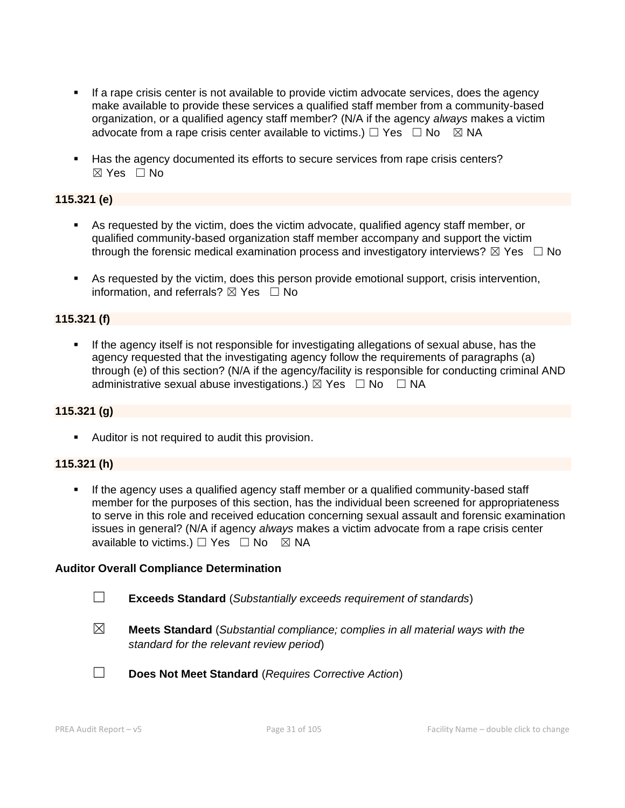- **EXECT** If a rape crisis center is not available to provide victim advocate services, does the agency make available to provide these services a qualified staff member from a community-based organization, or a qualified agency staff member? (N/A if the agency *always* makes a victim advocate from a rape crisis center available to victims.)  $\Box$  Yes  $\Box$  No  $\Box$  NA
- Has the agency documented its efforts to secure services from rape crisis centers?  $\boxtimes$  Yes  $\Box$  No

## **115.321 (e)**

- As requested by the victim, does the victim advocate, qualified agency staff member, or qualified community-based organization staff member accompany and support the victim through the forensic medical examination process and investigatory interviews?  $\boxtimes$  Yes  $\Box$  No
- As requested by the victim, does this person provide emotional support, crisis intervention, information, and referrals?  $\boxtimes$  Yes  $\Box$  No

### **115.321 (f)**

If the agency itself is not responsible for investigating allegations of sexual abuse, has the agency requested that the investigating agency follow the requirements of paragraphs (a) through (e) of this section? (N/A if the agency/facility is responsible for conducting criminal AND administrative sexual abuse investigations.)  $\boxtimes$  Yes  $\Box$  No  $\Box$  NA

#### **115.321 (g)**

■ Auditor is not required to audit this provision.

#### **115.321 (h)**

▪ If the agency uses a qualified agency staff member or a qualified community-based staff member for the purposes of this section, has the individual been screened for appropriateness to serve in this role and received education concerning sexual assault and forensic examination issues in general? (N/A if agency *always* makes a victim advocate from a rape crisis center available to victims.)  $\Box$  Yes  $\Box$  No  $\boxtimes$  NA

#### **Auditor Overall Compliance Determination**

- ☐ **Exceeds Standard** (*Substantially exceeds requirement of standards*)
- ☒ **Meets Standard** (*Substantial compliance; complies in all material ways with the standard for the relevant review period*)
- ☐ **Does Not Meet Standard** (*Requires Corrective Action*)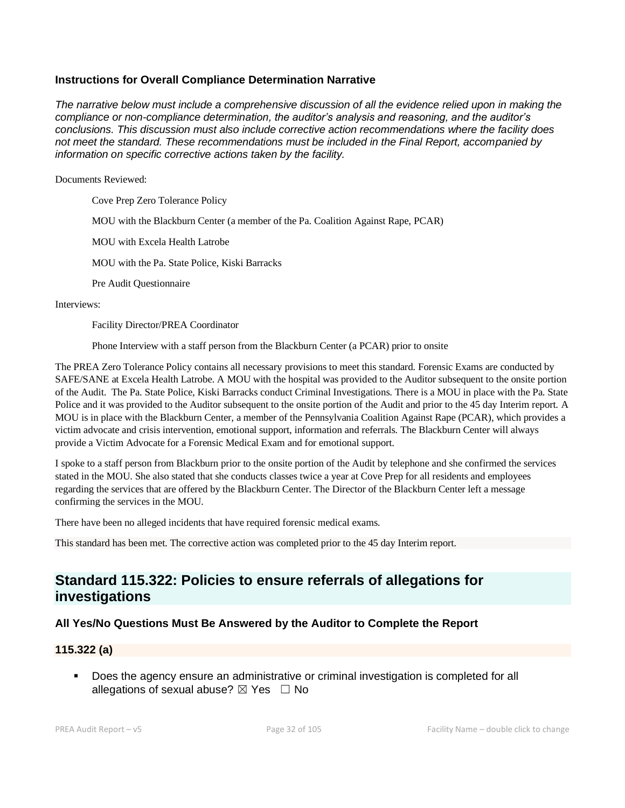#### **Instructions for Overall Compliance Determination Narrative**

*The narrative below must include a comprehensive discussion of all the evidence relied upon in making the compliance or non-compliance determination, the auditor's analysis and reasoning, and the auditor's conclusions. This discussion must also include corrective action recommendations where the facility does not meet the standard. These recommendations must be included in the Final Report, accompanied by information on specific corrective actions taken by the facility.*

Documents Reviewed:

Cove Prep Zero Tolerance Policy

MOU with the Blackburn Center (a member of the Pa. Coalition Against Rape, PCAR)

MOU with Excela Health Latrobe

MOU with the Pa. State Police, Kiski Barracks

Pre Audit Questionnaire

Interviews:

Facility Director/PREA Coordinator

Phone Interview with a staff person from the Blackburn Center (a PCAR) prior to onsite

The PREA Zero Tolerance Policy contains all necessary provisions to meet this standard. Forensic Exams are conducted by SAFE/SANE at Excela Health Latrobe. A MOU with the hospital was provided to the Auditor subsequent to the onsite portion of the Audit. The Pa. State Police, Kiski Barracks conduct Criminal Investigations. There is a MOU in place with the Pa. State Police and it was provided to the Auditor subsequent to the onsite portion of the Audit and prior to the 45 day Interim report. A MOU is in place with the Blackburn Center, a member of the Pennsylvania Coalition Against Rape (PCAR), which provides a victim advocate and crisis intervention, emotional support, information and referrals. The Blackburn Center will always provide a Victim Advocate for a Forensic Medical Exam and for emotional support.

I spoke to a staff person from Blackburn prior to the onsite portion of the Audit by telephone and she confirmed the services stated in the MOU. She also stated that she conducts classes twice a year at Cove Prep for all residents and employees regarding the services that are offered by the Blackburn Center. The Director of the Blackburn Center left a message confirming the services in the MOU.

There have been no alleged incidents that have required forensic medical exams.

This standard has been met. The corrective action was completed prior to the 45 day Interim report.

## **Standard 115.322: Policies to ensure referrals of allegations for investigations**

### **All Yes/No Questions Must Be Answered by the Auditor to Complete the Report**

#### **115.322 (a)**

▪ Does the agency ensure an administrative or criminal investigation is completed for all allegations of sexual abuse?  $\boxtimes$  Yes  $\Box$  No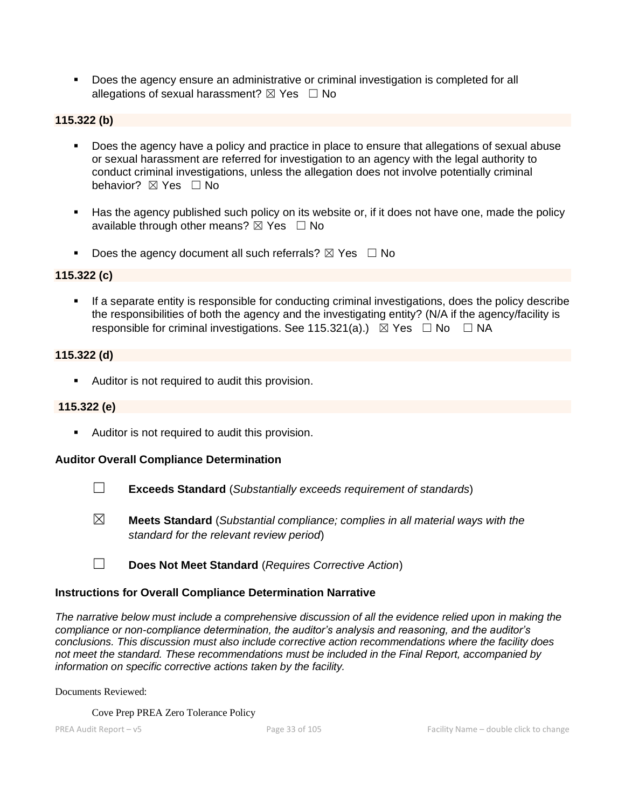■ Does the agency ensure an administrative or criminal investigation is completed for all allegations of sexual harassment?  $\boxtimes$  Yes  $\Box$  No

## **115.322 (b)**

- Does the agency have a policy and practice in place to ensure that allegations of sexual abuse or sexual harassment are referred for investigation to an agency with the legal authority to conduct criminal investigations, unless the allegation does not involve potentially criminal behavior? **⊠** Yes □ No
- Has the agency published such policy on its website or, if it does not have one, made the policy available through other means?  $\boxtimes$  Yes  $\Box$  No
- **•** Does the agency document all such referrals?  $\boxtimes$  Yes  $\Box$  No

## **115.322 (c)**

**•** If a separate entity is responsible for conducting criminal investigations, does the policy describe the responsibilities of both the agency and the investigating entity? (N/A if the agency/facility is responsible for criminal investigations. See 115.321(a).)  $\boxtimes$  Yes  $\Box$  No  $\Box$  NA

#### **115.322 (d)**

■ Auditor is not required to audit this provision.

#### **115.322 (e)**

■ Auditor is not required to audit this provision.

#### **Auditor Overall Compliance Determination**

- ☐ **Exceeds Standard** (*Substantially exceeds requirement of standards*)
- ☒ **Meets Standard** (*Substantial compliance; complies in all material ways with the standard for the relevant review period*)
- ☐ **Does Not Meet Standard** (*Requires Corrective Action*)

#### **Instructions for Overall Compliance Determination Narrative**

*The narrative below must include a comprehensive discussion of all the evidence relied upon in making the compliance or non-compliance determination, the auditor's analysis and reasoning, and the auditor's conclusions. This discussion must also include corrective action recommendations where the facility does not meet the standard. These recommendations must be included in the Final Report, accompanied by information on specific corrective actions taken by the facility.*

Documents Reviewed:

Cove Prep PREA Zero Tolerance Policy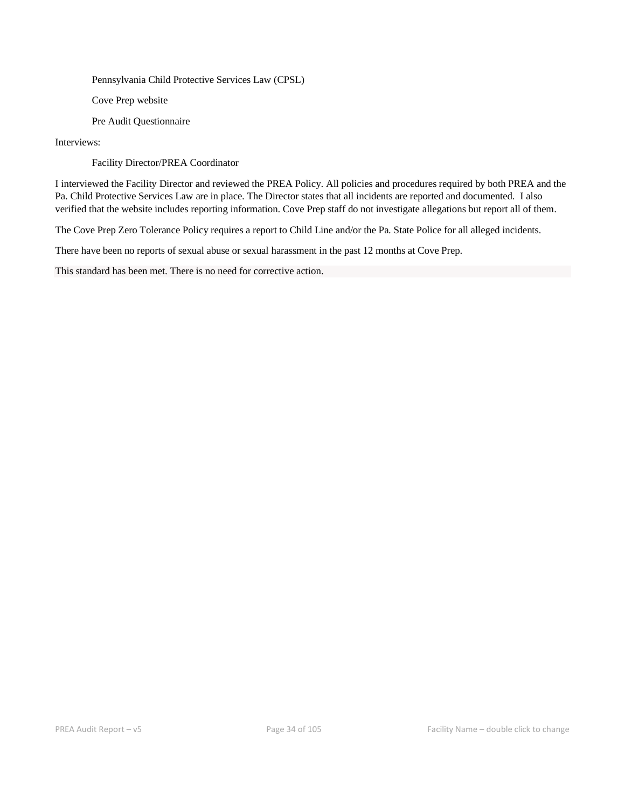Pennsylvania Child Protective Services Law (CPSL)

Cove Prep website

Pre Audit Questionnaire

Interviews:

Facility Director/PREA Coordinator

I interviewed the Facility Director and reviewed the PREA Policy. All policies and procedures required by both PREA and the Pa. Child Protective Services Law are in place. The Director states that all incidents are reported and documented. I also verified that the website includes reporting information. Cove Prep staff do not investigate allegations but report all of them.

The Cove Prep Zero Tolerance Policy requires a report to Child Line and/or the Pa. State Police for all alleged incidents.

There have been no reports of sexual abuse or sexual harassment in the past 12 months at Cove Prep.

This standard has been met. There is no need for corrective action.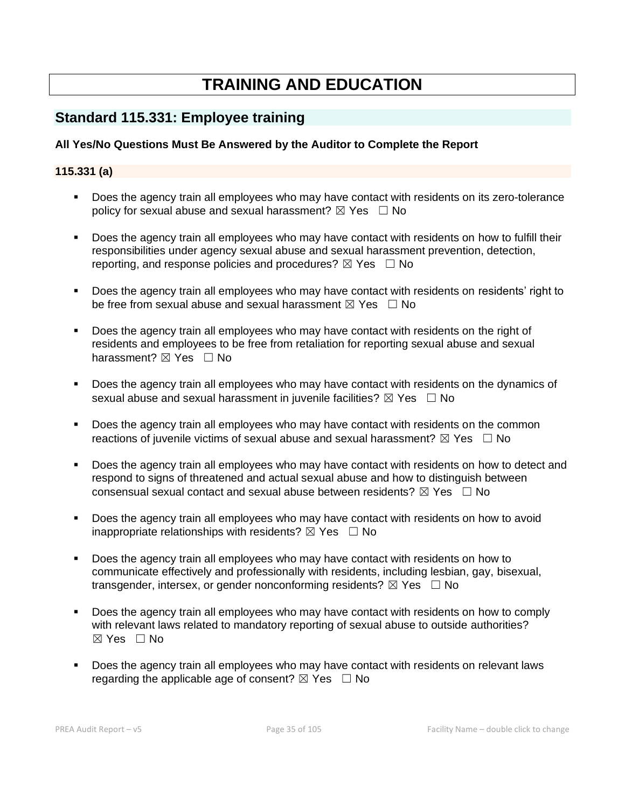# **TRAINING AND EDUCATION**

## **Standard 115.331: Employee training**

## **All Yes/No Questions Must Be Answered by the Auditor to Complete the Report**

## **115.331 (a)**

- Does the agency train all employees who may have contact with residents on its zero-tolerance policy for sexual abuse and sexual harassment?  $\boxtimes$  Yes  $\Box$  No
- Does the agency train all employees who may have contact with residents on how to fulfill their responsibilities under agency sexual abuse and sexual harassment prevention, detection, reporting, and response policies and procedures?  $\boxtimes$  Yes  $\Box$  No
- Does the agency train all employees who may have contact with residents on residents' right to be free from sexual abuse and sexual harassment  $\boxtimes$  Yes  $\Box$  No
- Does the agency train all employees who may have contact with residents on the right of residents and employees to be free from retaliation for reporting sexual abuse and sexual harassment? **⊠** Yes □ No
- Does the agency train all employees who may have contact with residents on the dynamics of sexual abuse and sexual harassment in juvenile facilities?  $\boxtimes$  Yes  $\Box$  No
- **•** Does the agency train all employees who may have contact with residents on the common reactions of juvenile victims of sexual abuse and sexual harassment?  $\boxtimes$  Yes  $\Box$  No
- **•** Does the agency train all employees who may have contact with residents on how to detect and respond to signs of threatened and actual sexual abuse and how to distinguish between consensual sexual contact and sexual abuse between residents?  $\boxtimes$  Yes  $\Box$  No
- Does the agency train all employees who may have contact with residents on how to avoid inappropriate relationships with residents?  $\boxtimes$  Yes  $\Box$  No
- Does the agency train all employees who may have contact with residents on how to communicate effectively and professionally with residents, including lesbian, gay, bisexual, transgender, intersex, or gender nonconforming residents?  $\boxtimes$  Yes  $\Box$  No
- Does the agency train all employees who may have contact with residents on how to comply with relevant laws related to mandatory reporting of sexual abuse to outside authorities?  $\boxtimes$  Yes  $\Box$  No
- Does the agency train all employees who may have contact with residents on relevant laws regarding the applicable age of consent?  $\boxtimes$  Yes  $\Box$  No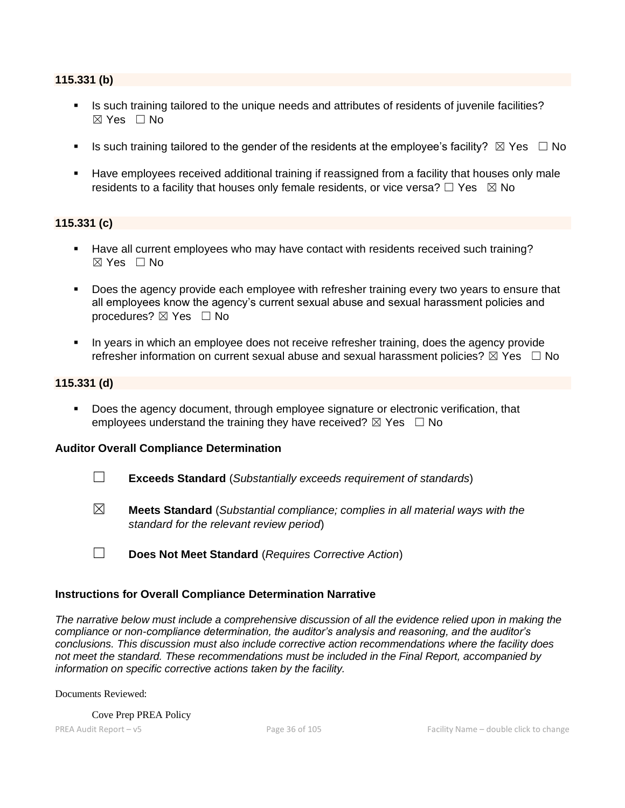#### **115.331 (b)**

- **•** Is such training tailored to the unique needs and attributes of residents of juvenile facilities?  $\boxtimes$  Yes  $\Box$  No
- **■** Is such training tailored to the gender of the residents at the employee's facility?  $\boxtimes$  Yes  $\Box$  No
- Have employees received additional training if reassigned from a facility that houses only male residents to a facility that houses only female residents, or vice versa?  $\Box$  Yes  $\boxtimes$  No

#### **115.331 (c)**

- Have all current employees who may have contact with residents received such training?  $\boxtimes$  Yes  $\Box$  No
- **Does the agency provide each employee with refresher training every two years to ensure that** all employees know the agency's current sexual abuse and sexual harassment policies and procedures?  $\boxtimes$  Yes  $\Box$  No
- In years in which an employee does not receive refresher training, does the agency provide refresher information on current sexual abuse and sexual harassment policies?  $\boxtimes$  Yes  $\Box$  No

#### **115.331 (d)**

**•** Does the agency document, through employee signature or electronic verification, that employees understand the training they have received?  $\boxtimes$  Yes  $\Box$  No

#### **Auditor Overall Compliance Determination**

- ☐ **Exceeds Standard** (*Substantially exceeds requirement of standards*)
- ☒ **Meets Standard** (*Substantial compliance; complies in all material ways with the standard for the relevant review period*)
- ☐ **Does Not Meet Standard** (*Requires Corrective Action*)

#### **Instructions for Overall Compliance Determination Narrative**

*The narrative below must include a comprehensive discussion of all the evidence relied upon in making the compliance or non-compliance determination, the auditor's analysis and reasoning, and the auditor's conclusions. This discussion must also include corrective action recommendations where the facility does not meet the standard. These recommendations must be included in the Final Report, accompanied by information on specific corrective actions taken by the facility.*

Documents Reviewed:

Cove Prep PREA Policy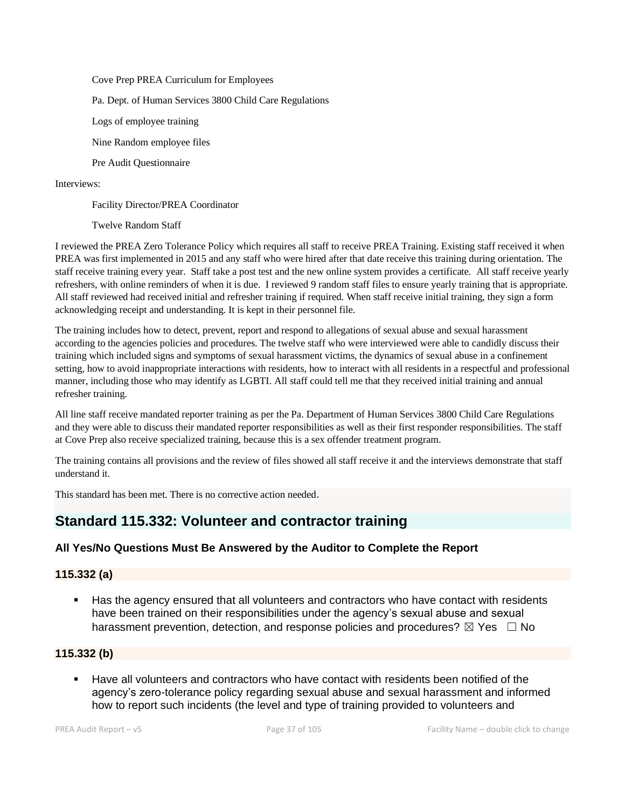Cove Prep PREA Curriculum for Employees Pa. Dept. of Human Services 3800 Child Care Regulations Logs of employee training Nine Random employee files Pre Audit Questionnaire

Interviews:

Facility Director/PREA Coordinator

Twelve Random Staff

I reviewed the PREA Zero Tolerance Policy which requires all staff to receive PREA Training. Existing staff received it when PREA was first implemented in 2015 and any staff who were hired after that date receive this training during orientation. The staff receive training every year. Staff take a post test and the new online system provides a certificate. All staff receive yearly refreshers, with online reminders of when it is due. I reviewed 9 random staff files to ensure yearly training that is appropriate. All staff reviewed had received initial and refresher training if required. When staff receive initial training, they sign a form acknowledging receipt and understanding. It is kept in their personnel file.

The training includes how to detect, prevent, report and respond to allegations of sexual abuse and sexual harassment according to the agencies policies and procedures. The twelve staff who were interviewed were able to candidly discuss their training which included signs and symptoms of sexual harassment victims, the dynamics of sexual abuse in a confinement setting, how to avoid inappropriate interactions with residents, how to interact with all residents in a respectful and professional manner, including those who may identify as LGBTI. All staff could tell me that they received initial training and annual refresher training.

All line staff receive mandated reporter training as per the Pa. Department of Human Services 3800 Child Care Regulations and they were able to discuss their mandated reporter responsibilities as well as their first responder responsibilities. The staff at Cove Prep also receive specialized training, because this is a sex offender treatment program.

The training contains all provisions and the review of files showed all staff receive it and the interviews demonstrate that staff understand it.

This standard has been met. There is no corrective action needed.

## **Standard 115.332: Volunteer and contractor training**

## **All Yes/No Questions Must Be Answered by the Auditor to Complete the Report**

#### **115.332 (a)**

Has the agency ensured that all volunteers and contractors who have contact with residents have been trained on their responsibilities under the agency's sexual abuse and sexual harassment prevention, detection, and response policies and procedures?  $\boxtimes$  Yes  $\Box$  No

### **115.332 (b)**

Have all volunteers and contractors who have contact with residents been notified of the agency's zero-tolerance policy regarding sexual abuse and sexual harassment and informed how to report such incidents (the level and type of training provided to volunteers and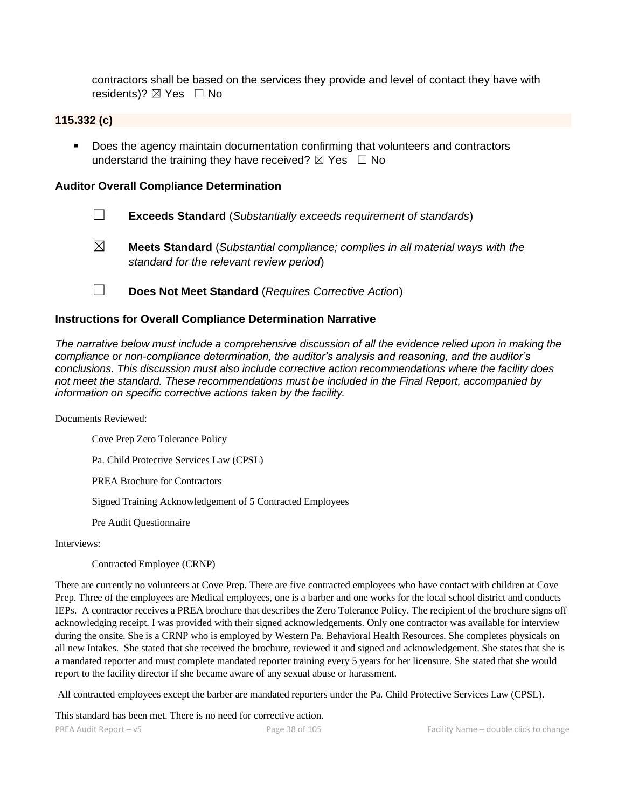contractors shall be based on the services they provide and level of contact they have with residents)?  $\boxtimes$  Yes  $\Box$  No

#### **115.332 (c)**

■ Does the agency maintain documentation confirming that volunteers and contractors understand the training they have received?  $\boxtimes$  Yes  $\Box$  No

#### **Auditor Overall Compliance Determination**

- ☐ **Exceeds Standard** (*Substantially exceeds requirement of standards*)
- ☒ **Meets Standard** (*Substantial compliance; complies in all material ways with the standard for the relevant review period*)
- ☐ **Does Not Meet Standard** (*Requires Corrective Action*)

#### **Instructions for Overall Compliance Determination Narrative**

*The narrative below must include a comprehensive discussion of all the evidence relied upon in making the compliance or non-compliance determination, the auditor's analysis and reasoning, and the auditor's conclusions. This discussion must also include corrective action recommendations where the facility does not meet the standard. These recommendations must be included in the Final Report, accompanied by information on specific corrective actions taken by the facility.*

Documents Reviewed:

Cove Prep Zero Tolerance Policy

Pa. Child Protective Services Law (CPSL)

PREA Brochure for Contractors

Signed Training Acknowledgement of 5 Contracted Employees

Pre Audit Questionnaire

Interviews:

Contracted Employee (CRNP)

There are currently no volunteers at Cove Prep. There are five contracted employees who have contact with children at Cove Prep. Three of the employees are Medical employees, one is a barber and one works for the local school district and conducts IEPs. A contractor receives a PREA brochure that describes the Zero Tolerance Policy. The recipient of the brochure signs off acknowledging receipt. I was provided with their signed acknowledgements. Only one contractor was available for interview during the onsite. She is a CRNP who is employed by Western Pa. Behavioral Health Resources. She completes physicals on all new Intakes. She stated that she received the brochure, reviewed it and signed and acknowledgement. She states that she is a mandated reporter and must complete mandated reporter training every 5 years for her licensure. She stated that she would report to the facility director if she became aware of any sexual abuse or harassment.

All contracted employees except the barber are mandated reporters under the Pa. Child Protective Services Law (CPSL).

This standard has been met. There is no need for corrective action.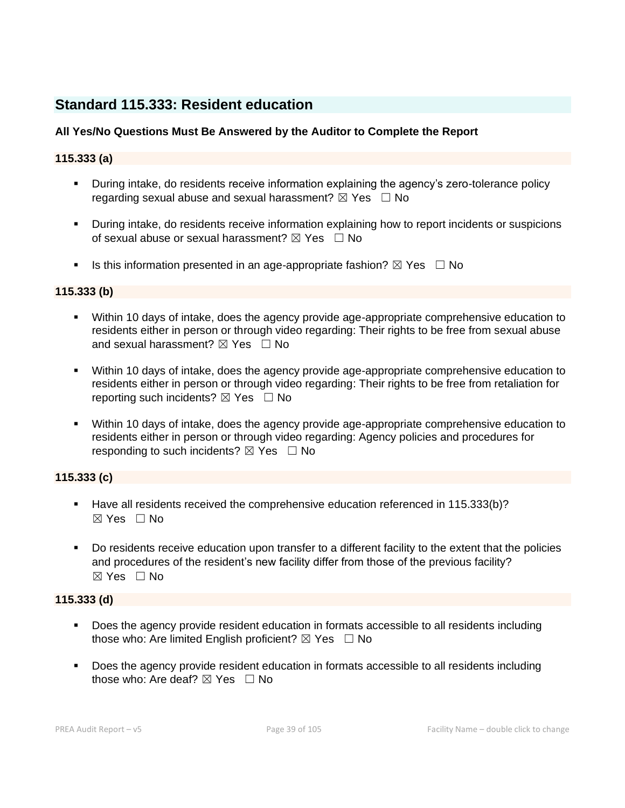## **Standard 115.333: Resident education**

## **All Yes/No Questions Must Be Answered by the Auditor to Complete the Report**

## **115.333 (a)**

- **E** During intake, do residents receive information explaining the agency's zero-tolerance policy regarding sexual abuse and sexual harassment?  $\boxtimes$  Yes  $\Box$  No
- During intake, do residents receive information explaining how to report incidents or suspicions of sexual abuse or sexual harassment?  $\boxtimes$  Yes  $\Box$  No
- **■** Is this information presented in an age-appropriate fashion?  $\boxtimes$  Yes  $\Box$  No

## **115.333 (b)**

- Within 10 days of intake, does the agency provide age-appropriate comprehensive education to residents either in person or through video regarding: Their rights to be free from sexual abuse and sexual harassment?  $\boxtimes$  Yes  $\Box$  No
- **■** Within 10 days of intake, does the agency provide age-appropriate comprehensive education to residents either in person or through video regarding: Their rights to be free from retaliation for reporting such incidents?  $\boxtimes$  Yes  $\Box$  No
- Within 10 days of intake, does the agency provide age-appropriate comprehensive education to residents either in person or through video regarding: Agency policies and procedures for responding to such incidents?  $\boxtimes$  Yes  $\Box$  No

## **115.333 (c)**

- Have all residents received the comprehensive education referenced in 115.333(b)?  $\boxtimes$  Yes  $\Box$  No
- Do residents receive education upon transfer to a different facility to the extent that the policies and procedures of the resident's new facility differ from those of the previous facility?  $\boxtimes$  Yes  $\Box$  No

## **115.333 (d)**

- Does the agency provide resident education in formats accessible to all residents including those who: Are limited English proficient?  $\boxtimes$  Yes  $\Box$  No
- Does the agency provide resident education in formats accessible to all residents including those who: Are deaf?  $\boxtimes$  Yes  $\Box$  No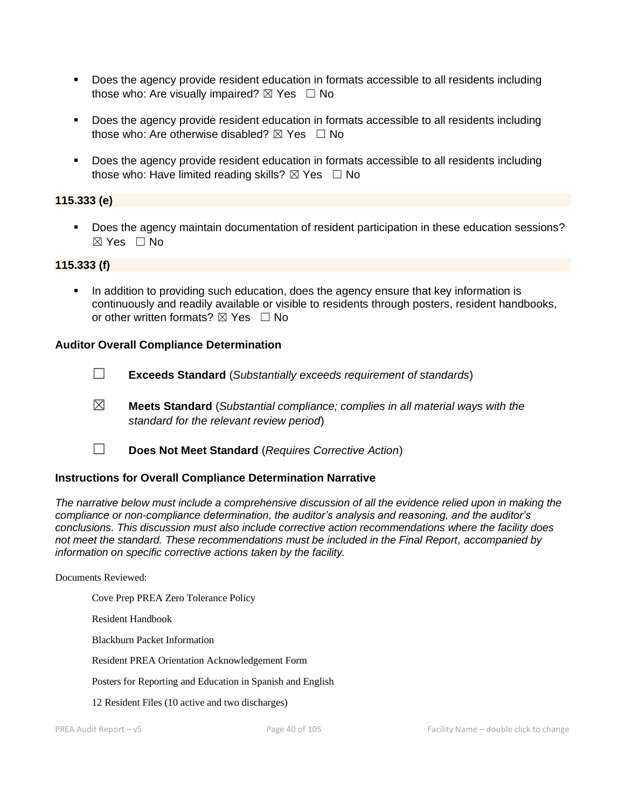- Does the agency provide resident education in formats accessible to all residents including those who: Are visually impaired?  $\boxtimes$  Yes  $\Box$  No
- Does the agency provide resident education in formats accessible to all residents including those who: Are otherwise disabled?  $\boxtimes$  Yes  $\Box$  No
- Does the agency provide resident education in formats accessible to all residents including those who: Have limited reading skills?  $\boxtimes$  Yes  $\Box$  No

### **115.333 (e)**

▪ Does the agency maintain documentation of resident participation in these education sessions? ☒ Yes ☐ No

#### **115.333 (f)**

In addition to providing such education, does the agency ensure that key information is continuously and readily available or visible to residents through posters, resident handbooks, or other written formats?  $\boxtimes$  Yes  $\Box$  No

#### **Auditor Overall Compliance Determination**

- ☐ **Exceeds Standard** (*Substantially exceeds requirement of standards*)
- ☒ **Meets Standard** (*Substantial compliance; complies in all material ways with the standard for the relevant review period*)
- ☐ **Does Not Meet Standard** (*Requires Corrective Action*)

#### **Instructions for Overall Compliance Determination Narrative**

*The narrative below must include a comprehensive discussion of all the evidence relied upon in making the compliance or non-compliance determination, the auditor's analysis and reasoning, and the auditor's conclusions. This discussion must also include corrective action recommendations where the facility does not meet the standard. These recommendations must be included in the Final Report, accompanied by information on specific corrective actions taken by the facility.*

#### Documents Reviewed:

Cove Prep PREA Zero Tolerance Policy

Resident Handbook

Blackburn Packet Information

Resident PREA Orientation Acknowledgement Form

Posters for Reporting and Education in Spanish and English

12 Resident Files (10 active and two discharges)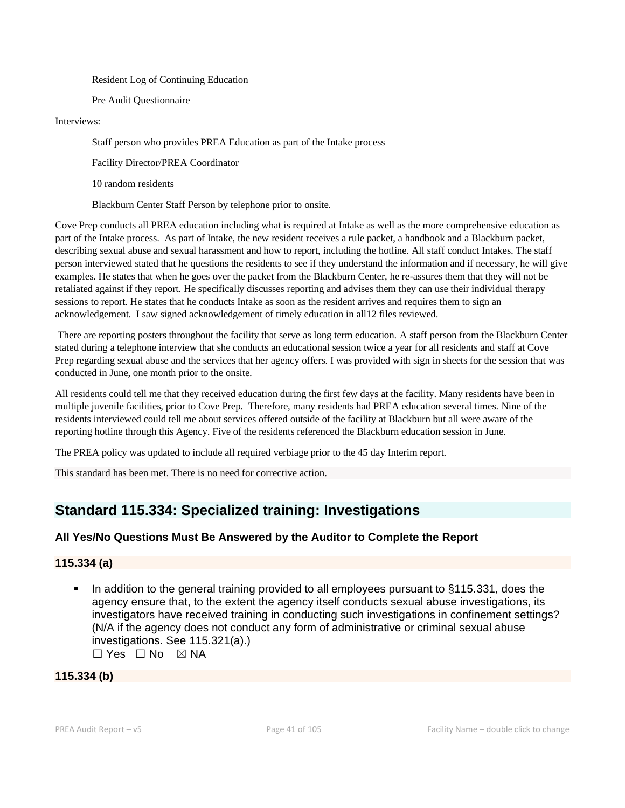Resident Log of Continuing Education

Pre Audit Questionnaire

Interviews:

Staff person who provides PREA Education as part of the Intake process

Facility Director/PREA Coordinator

10 random residents

Blackburn Center Staff Person by telephone prior to onsite.

Cove Prep conducts all PREA education including what is required at Intake as well as the more comprehensive education as part of the Intake process. As part of Intake, the new resident receives a rule packet, a handbook and a Blackburn packet, describing sexual abuse and sexual harassment and how to report, including the hotline. All staff conduct Intakes. The staff person interviewed stated that he questions the residents to see if they understand the information and if necessary, he will give examples. He states that when he goes over the packet from the Blackburn Center, he re-assures them that they will not be retaliated against if they report. He specifically discusses reporting and advises them they can use their individual therapy sessions to report. He states that he conducts Intake as soon as the resident arrives and requires them to sign an acknowledgement. I saw signed acknowledgement of timely education in all12 files reviewed.

There are reporting posters throughout the facility that serve as long term education. A staff person from the Blackburn Center stated during a telephone interview that she conducts an educational session twice a year for all residents and staff at Cove Prep regarding sexual abuse and the services that her agency offers. I was provided with sign in sheets for the session that was conducted in June, one month prior to the onsite.

All residents could tell me that they received education during the first few days at the facility. Many residents have been in multiple juvenile facilities, prior to Cove Prep. Therefore, many residents had PREA education several times. Nine of the residents interviewed could tell me about services offered outside of the facility at Blackburn but all were aware of the reporting hotline through this Agency. Five of the residents referenced the Blackburn education session in June.

The PREA policy was updated to include all required verbiage prior to the 45 day Interim report.

This standard has been met. There is no need for corrective action.

## **Standard 115.334: Specialized training: Investigations**

## **All Yes/No Questions Must Be Answered by the Auditor to Complete the Report**

## **115.334 (a)**

In addition to the general training provided to all employees pursuant to §115.331, does the agency ensure that, to the extent the agency itself conducts sexual abuse investigations, its investigators have received training in conducting such investigations in confinement settings? (N/A if the agency does not conduct any form of administrative or criminal sexual abuse investigations. See 115.321(a).) ☐ Yes ☐ No ☒ NA

**115.334 (b)**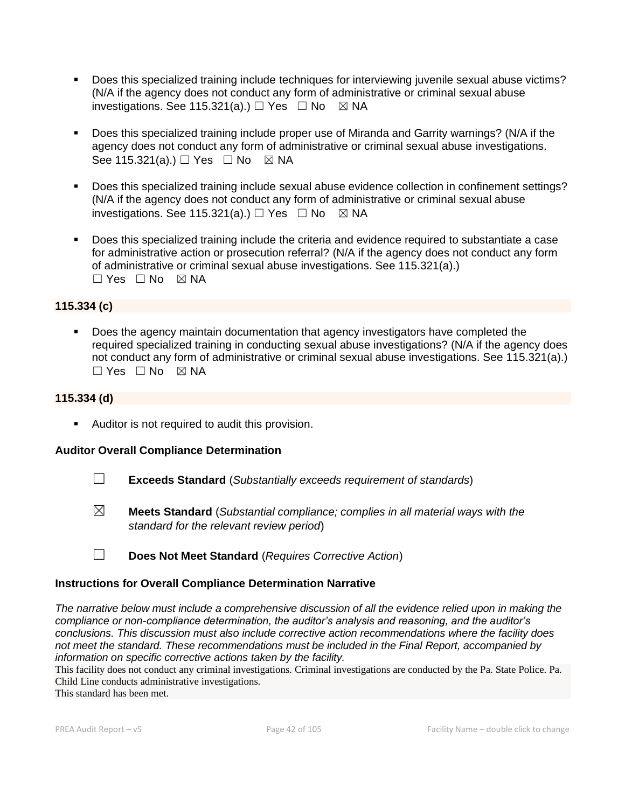- Does this specialized training include techniques for interviewing juvenile sexual abuse victims? (N/A if the agency does not conduct any form of administrative or criminal sexual abuse investigations. See 115.321(a).)  $\Box$  Yes  $\Box$  No  $\boxtimes$  NA
- Does this specialized training include proper use of Miranda and Garrity warnings? (N/A if the agency does not conduct any form of administrative or criminal sexual abuse investigations. See 115.321(a).)  $\Box$  Yes  $\Box$  No  $\boxtimes$  NA
- Does this specialized training include sexual abuse evidence collection in confinement settings? (N/A if the agency does not conduct any form of administrative or criminal sexual abuse investigations. See 115.321(a).)  $\Box$  Yes  $\Box$  No  $\boxtimes$  NA
- Does this specialized training include the criteria and evidence required to substantiate a case for administrative action or prosecution referral? (N/A if the agency does not conduct any form of administrative or criminal sexual abuse investigations. See 115.321(a).)  $\Box$  Yes  $\Box$  No  $\boxtimes$  NA

## **115.334 (c)**

Does the agency maintain documentation that agency investigators have completed the required specialized training in conducting sexual abuse investigations? (N/A if the agency does not conduct any form of administrative or criminal sexual abuse investigations. See 115.321(a).) ☐ Yes ☐ No ☒ NA

### **115.334 (d)**

■ Auditor is not required to audit this provision.

## **Auditor Overall Compliance Determination**

- ☐ **Exceeds Standard** (*Substantially exceeds requirement of standards*)
- ☒ **Meets Standard** (*Substantial compliance; complies in all material ways with the standard for the relevant review period*)
- ☐ **Does Not Meet Standard** (*Requires Corrective Action*)

## **Instructions for Overall Compliance Determination Narrative**

*The narrative below must include a comprehensive discussion of all the evidence relied upon in making the compliance or non-compliance determination, the auditor's analysis and reasoning, and the auditor's conclusions. This discussion must also include corrective action recommendations where the facility does not meet the standard. These recommendations must be included in the Final Report, accompanied by information on specific corrective actions taken by the facility.*

This facility does not conduct any criminal investigations. Criminal investigations are conducted by the Pa. State Police. Pa. Child Line conducts administrative investigations.

This standard has been met.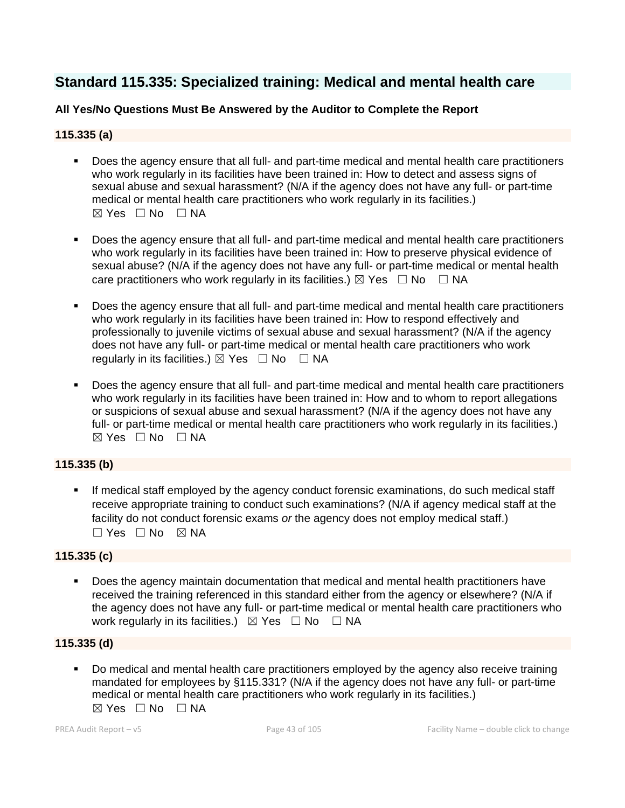## **Standard 115.335: Specialized training: Medical and mental health care**

## **All Yes/No Questions Must Be Answered by the Auditor to Complete the Report**

## **115.335 (a)**

- Does the agency ensure that all full- and part-time medical and mental health care practitioners who work regularly in its facilities have been trained in: How to detect and assess signs of sexual abuse and sexual harassment? (N/A if the agency does not have any full- or part-time medical or mental health care practitioners who work regularly in its facilities.)  $\boxtimes$  Yes  $\Box$  No  $\Box$  NA
- Does the agency ensure that all full- and part-time medical and mental health care practitioners who work regularly in its facilities have been trained in: How to preserve physical evidence of sexual abuse? (N/A if the agency does not have any full- or part-time medical or mental health care practitioners who work regularly in its facilities.)  $\boxtimes$  Yes  $\Box$  No  $\Box$  NA
- Does the agency ensure that all full- and part-time medical and mental health care practitioners who work regularly in its facilities have been trained in: How to respond effectively and professionally to juvenile victims of sexual abuse and sexual harassment? (N/A if the agency does not have any full- or part-time medical or mental health care practitioners who work regularly in its facilities.)  $\boxtimes$  Yes  $\Box$  No  $\Box$  NA
- Does the agency ensure that all full- and part-time medical and mental health care practitioners who work regularly in its facilities have been trained in: How and to whom to report allegations or suspicions of sexual abuse and sexual harassment? (N/A if the agency does not have any full- or part-time medical or mental health care practitioners who work regularly in its facilities.) ☒ Yes ☐ No ☐ NA

## **115.335 (b)**

If medical staff employed by the agency conduct forensic examinations, do such medical staff receive appropriate training to conduct such examinations? (N/A if agency medical staff at the facility do not conduct forensic exams *or* the agency does not employ medical staff.)  $\Box$  Yes  $\Box$  No  $\boxtimes$  NA

### **115.335 (c)**

Does the agency maintain documentation that medical and mental health practitioners have received the training referenced in this standard either from the agency or elsewhere? (N/A if the agency does not have any full- or part-time medical or mental health care practitioners who work regularly in its facilities.)  $\boxtimes$  Yes  $\Box$  No  $\Box$  NA

#### **115.335 (d)**

▪ Do medical and mental health care practitioners employed by the agency also receive training mandated for employees by §115.331? (N/A if the agency does not have any full- or part-time medical or mental health care practitioners who work regularly in its facilities.)  $\boxtimes$  Yes  $\Box$  No  $\Box$  NA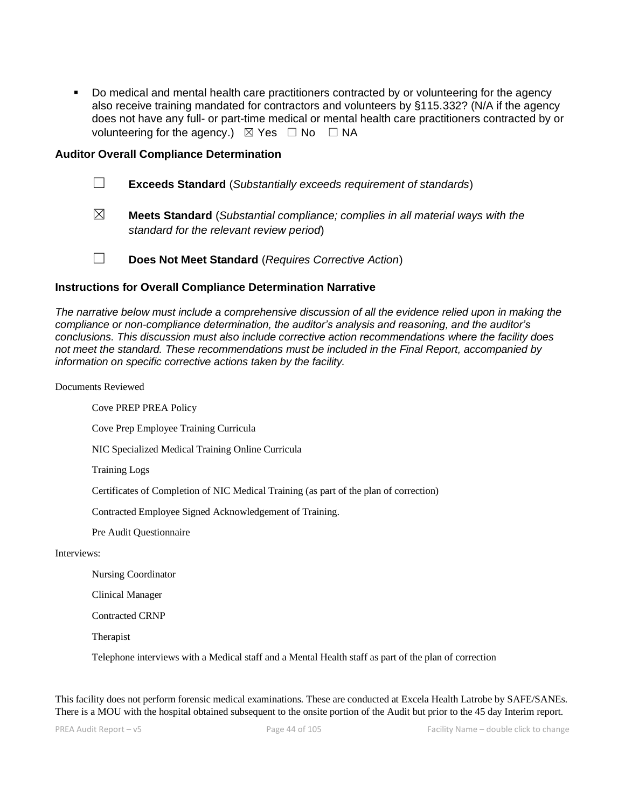Do medical and mental health care practitioners contracted by or volunteering for the agency also receive training mandated for contractors and volunteers by §115.332? (N/A if the agency does not have any full- or part-time medical or mental health care practitioners contracted by or volunteering for the agency.)  $\boxtimes$  Yes  $\Box$  No  $\Box$  NA

#### **Auditor Overall Compliance Determination**

|             | <b>Exceeds Standard</b> (Substantially exceeds requirement of standards)                                                          |
|-------------|-----------------------------------------------------------------------------------------------------------------------------------|
| $\boxtimes$ | <b>Meets Standard</b> (Substantial compliance; complies in all material ways with the<br>standard for the relevant review period) |
|             | Does Not Meet Standard (Requires Corrective Action)                                                                               |

#### **Instructions for Overall Compliance Determination Narrative**

*The narrative below must include a comprehensive discussion of all the evidence relied upon in making the compliance or non-compliance determination, the auditor's analysis and reasoning, and the auditor's conclusions. This discussion must also include corrective action recommendations where the facility does not meet the standard. These recommendations must be included in the Final Report, accompanied by information on specific corrective actions taken by the facility.*

#### Documents Reviewed

Cove PREP PREA Policy

Cove Prep Employee Training Curricula

NIC Specialized Medical Training Online Curricula

Training Logs

Certificates of Completion of NIC Medical Training (as part of the plan of correction)

Contracted Employee Signed Acknowledgement of Training.

Pre Audit Questionnaire

#### Interviews:

Nursing Coordinator

Clinical Manager

Contracted CRNP

**Therapist** 

Telephone interviews with a Medical staff and a Mental Health staff as part of the plan of correction

This facility does not perform forensic medical examinations. These are conducted at Excela Health Latrobe by SAFE/SANEs. There is a MOU with the hospital obtained subsequent to the onsite portion of the Audit but prior to the 45 day Interim report.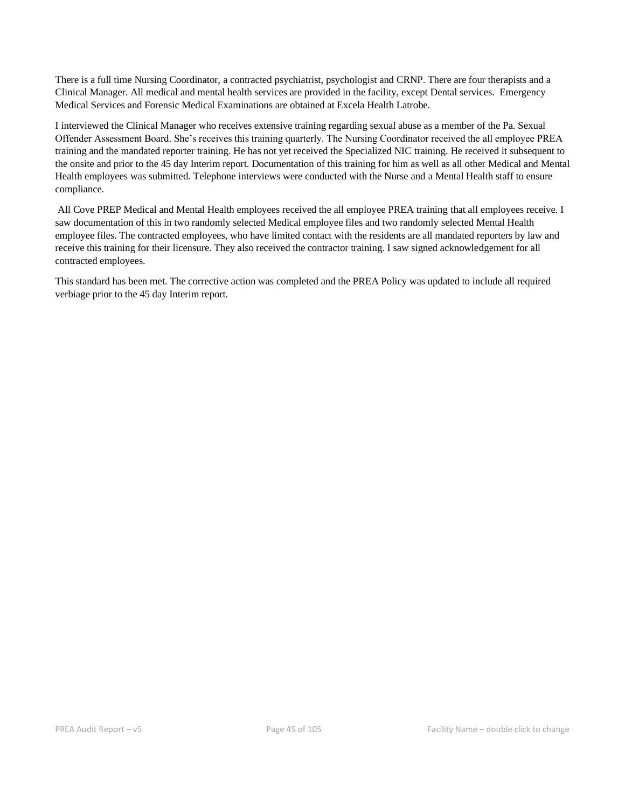There is a full time Nursing Coordinator, a contracted psychiatrist, psychologist and CRNP. There are four therapists and a Clinical Manager. All medical and mental health services are provided in the facility, except Dental services. Emergency Medical Services and Forensic Medical Examinations are obtained at Excela Health Latrobe.

I interviewed the Clinical Manager who receives extensive training regarding sexual abuse as a member of the Pa. Sexual Offender Assessment Board. She's receives this training quarterly. The Nursing Coordinator received the all employee PREA training and the mandated reporter training. He has not yet received the Specialized NIC training. He received it subsequent to the onsite and prior to the 45 day Interim report. Documentation of this training for him as well as all other Medical and Mental Health employees was submitted. Telephone interviews were conducted with the Nurse and a Mental Health staff to ensure compliance.

All Cove PREP Medical and Mental Health employees received the all employee PREA training that all employees receive. I saw documentation of this in two randomly selected Medical employee files and two randomly selected Mental Health employee files. The contracted employees, who have limited contact with the residents are all mandated reporters by law and receive this training for their licensure. They also received the contractor training. I saw signed acknowledgement for all contracted employees.

This standard has been met. The corrective action was completed and the PREA Policy was updated to include all required verbiage prior to the 45 day Interim report.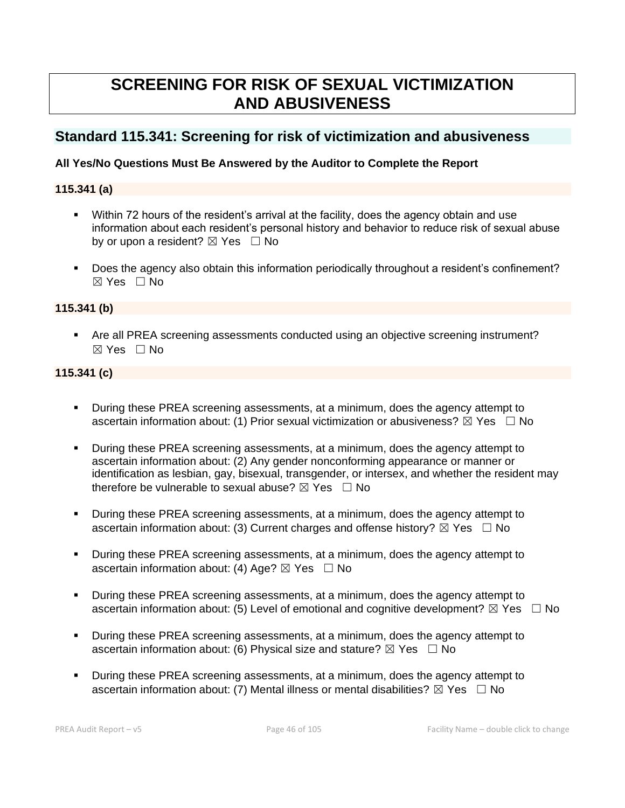# **SCREENING FOR RISK OF SEXUAL VICTIMIZATION AND ABUSIVENESS**

## **Standard 115.341: Screening for risk of victimization and abusiveness**

## **All Yes/No Questions Must Be Answered by the Auditor to Complete the Report**

### **115.341 (a)**

- Within 72 hours of the resident's arrival at the facility, does the agency obtain and use information about each resident's personal history and behavior to reduce risk of sexual abuse by or upon a resident?  $\boxtimes$  Yes  $\Box$  No
- Does the agency also obtain this information periodically throughout a resident's confinement? ☒ Yes ☐ No

### **115.341 (b)**

■ Are all PREA screening assessments conducted using an objective screening instrument? ☒ Yes ☐ No

## **115.341 (c)**

- **•** During these PREA screening assessments, at a minimum, does the agency attempt to ascertain information about: (1) Prior sexual victimization or abusiveness?  $\boxtimes$  Yes  $\Box$  No
- During these PREA screening assessments, at a minimum, does the agency attempt to ascertain information about: (2) Any gender nonconforming appearance or manner or identification as lesbian, gay, bisexual, transgender, or intersex, and whether the resident may therefore be vulnerable to sexual abuse?  $\boxtimes$  Yes  $\Box$  No
- During these PREA screening assessments, at a minimum, does the agency attempt to ascertain information about: (3) Current charges and offense history?  $\boxtimes$  Yes  $\Box$  No
- During these PREA screening assessments, at a minimum, does the agency attempt to ascertain information about: (4) Age?  $\boxtimes$  Yes  $\Box$  No
- During these PREA screening assessments, at a minimum, does the agency attempt to ascertain information about: (5) Level of emotional and cognitive development?  $\boxtimes$  Yes  $\Box$  No
- During these PREA screening assessments, at a minimum, does the agency attempt to ascertain information about: (6) Physical size and stature?  $\boxtimes$  Yes  $\Box$  No
- During these PREA screening assessments, at a minimum, does the agency attempt to ascertain information about: (7) Mental illness or mental disabilities?  $\boxtimes$  Yes  $\Box$  No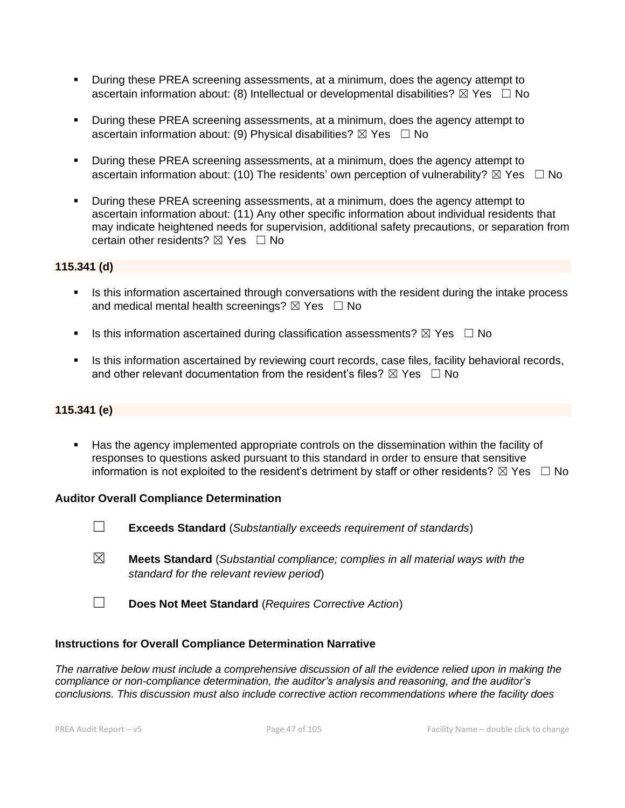- During these PREA screening assessments, at a minimum, does the agency attempt to ascertain information about: (8) Intellectual or developmental disabilities?  $\boxtimes$  Yes  $\Box$  No
- During these PREA screening assessments, at a minimum, does the agency attempt to ascertain information about: (9) Physical disabilities?  $\boxtimes$  Yes  $\Box$  No
- During these PREA screening assessments, at a minimum, does the agency attempt to ascertain information about: (10) The residents' own perception of vulnerability?  $\boxtimes$  Yes  $\Box$  No
- During these PREA screening assessments, at a minimum, does the agency attempt to ascertain information about: (11) Any other specific information about individual residents that may indicate heightened needs for supervision, additional safety precautions, or separation from certain other residents?  $\boxtimes$  Yes  $\Box$  No

## **115.341 (d)**

- **.** Is this information ascertained through conversations with the resident during the intake process and medical mental health screenings?  $\boxtimes$  Yes  $\Box$  No
- **■** Is this information ascertained during classification assessments?  $\boxtimes$  Yes  $\Box$  No
- **EXECT IS this information ascertained by reviewing court records, case files, facility behavioral records,** and other relevant documentation from the resident's files?  $\boxtimes$  Yes  $\Box$  No

#### **115.341 (e)**

**EXECT** Has the agency implemented appropriate controls on the dissemination within the facility of responses to questions asked pursuant to this standard in order to ensure that sensitive information is not exploited to the resident's detriment by staff or other residents?  $\boxtimes$  Yes  $\Box$  No

#### **Auditor Overall Compliance Determination**

- ☐ **Exceeds Standard** (*Substantially exceeds requirement of standards*)
- ☒ **Meets Standard** (*Substantial compliance; complies in all material ways with the standard for the relevant review period*)
- ☐ **Does Not Meet Standard** (*Requires Corrective Action*)

#### **Instructions for Overall Compliance Determination Narrative**

*The narrative below must include a comprehensive discussion of all the evidence relied upon in making the compliance or non-compliance determination, the auditor's analysis and reasoning, and the auditor's conclusions. This discussion must also include corrective action recommendations where the facility does*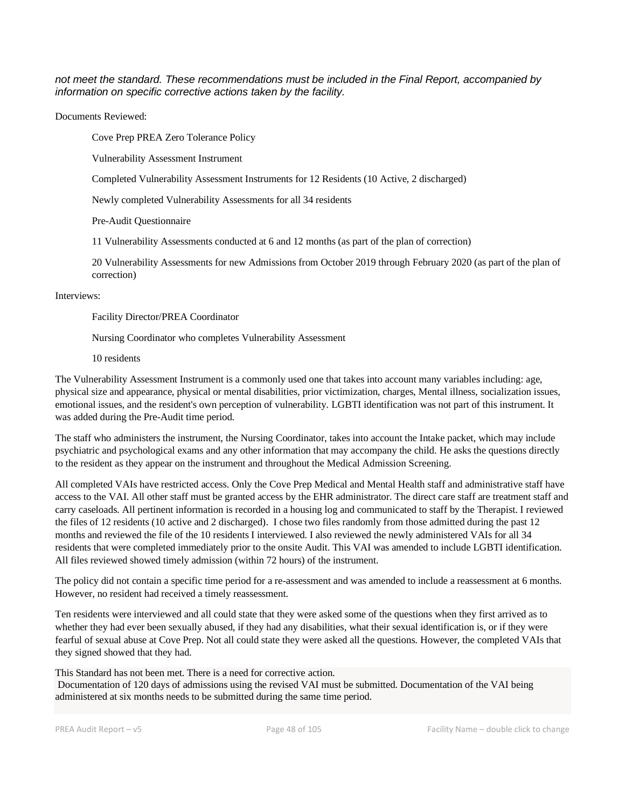*not meet the standard. These recommendations must be included in the Final Report, accompanied by information on specific corrective actions taken by the facility.*

Documents Reviewed:

Cove Prep PREA Zero Tolerance Policy

Vulnerability Assessment Instrument

Completed Vulnerability Assessment Instruments for 12 Residents (10 Active, 2 discharged)

Newly completed Vulnerability Assessments for all 34 residents

Pre-Audit Questionnaire

11 Vulnerability Assessments conducted at 6 and 12 months (as part of the plan of correction)

20 Vulnerability Assessments for new Admissions from October 2019 through February 2020 (as part of the plan of correction)

#### Interviews:

Facility Director/PREA Coordinator

Nursing Coordinator who completes Vulnerability Assessment

10 residents

The Vulnerability Assessment Instrument is a commonly used one that takes into account many variables including: age, physical size and appearance, physical or mental disabilities, prior victimization, charges, Mental illness, socialization issues, emotional issues, and the resident's own perception of vulnerability. LGBTI identification was not part of this instrument. It was added during the Pre-Audit time period.

The staff who administers the instrument, the Nursing Coordinator, takes into account the Intake packet, which may include psychiatric and psychological exams and any other information that may accompany the child. He asks the questions directly to the resident as they appear on the instrument and throughout the Medical Admission Screening.

All completed VAIs have restricted access. Only the Cove Prep Medical and Mental Health staff and administrative staff have access to the VAI. All other staff must be granted access by the EHR administrator. The direct care staff are treatment staff and carry caseloads. All pertinent information is recorded in a housing log and communicated to staff by the Therapist. I reviewed the files of 12 residents (10 active and 2 discharged). I chose two files randomly from those admitted during the past 12 months and reviewed the file of the 10 residents I interviewed. I also reviewed the newly administered VAIs for all 34 residents that were completed immediately prior to the onsite Audit. This VAI was amended to include LGBTI identification. All files reviewed showed timely admission (within 72 hours) of the instrument.

The policy did not contain a specific time period for a re-assessment and was amended to include a reassessment at 6 months. However, no resident had received a timely reassessment.

Ten residents were interviewed and all could state that they were asked some of the questions when they first arrived as to whether they had ever been sexually abused, if they had any disabilities, what their sexual identification is, or if they were fearful of sexual abuse at Cove Prep. Not all could state they were asked all the questions. However, the completed VAIs that they signed showed that they had.

This Standard has not been met. There is a need for corrective action. Documentation of 120 days of admissions using the revised VAI must be submitted. Documentation of the VAI being administered at six months needs to be submitted during the same time period.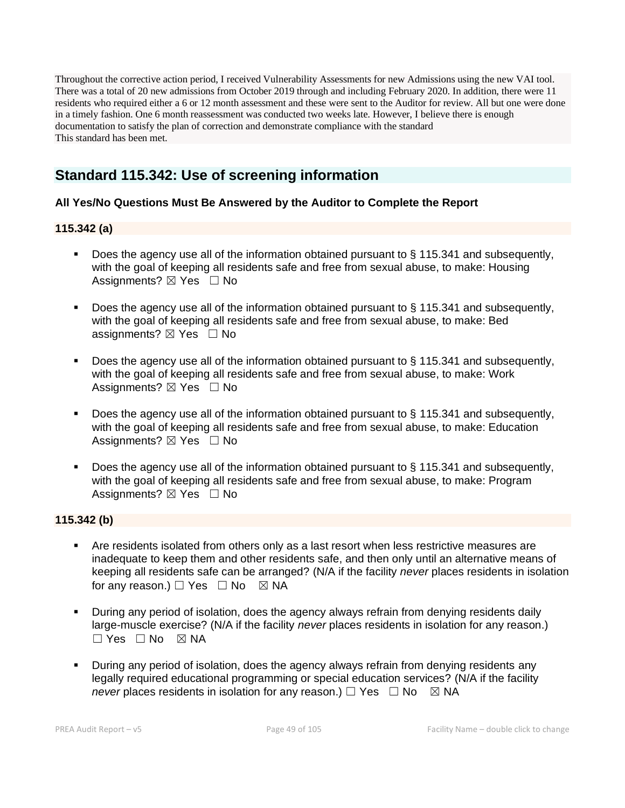Throughout the corrective action period, I received Vulnerability Assessments for new Admissions using the new VAI tool. There was a total of 20 new admissions from October 2019 through and including February 2020. In addition, there were 11 residents who required either a 6 or 12 month assessment and these were sent to the Auditor for review. All but one were done in a timely fashion. One 6 month reassessment was conducted two weeks late. However, I believe there is enough documentation to satisfy the plan of correction and demonstrate compliance with the standard This standard has been met.

## **Standard 115.342: Use of screening information**

## **All Yes/No Questions Must Be Answered by the Auditor to Complete the Report**

## **115.342 (a)**

- Does the agency use all of the information obtained pursuant to § 115.341 and subsequently, with the goal of keeping all residents safe and free from sexual abuse, to make: Housing Assignments? ⊠ Yes □ No
- Does the agency use all of the information obtained pursuant to § 115.341 and subsequently, with the goal of keeping all residents safe and free from sexual abuse, to make: Bed assignments? ⊠ Yes □ No
- Does the agency use all of the information obtained pursuant to § 115.341 and subsequently, with the goal of keeping all residents safe and free from sexual abuse, to make: Work Assignments?  $\boxtimes$  Yes  $\Box$  No
- Does the agency use all of the information obtained pursuant to  $\S$  115.341 and subsequently, with the goal of keeping all residents safe and free from sexual abuse, to make: Education Assignments?  $\boxtimes$  Yes  $\Box$  No
- Does the agency use all of the information obtained pursuant to § 115.341 and subsequently, with the goal of keeping all residents safe and free from sexual abuse, to make: Program Assignments?  $\boxtimes$  Yes  $\Box$  No

## **115.342 (b)**

- Are residents isolated from others only as a last resort when less restrictive measures are inadequate to keep them and other residents safe, and then only until an alternative means of keeping all residents safe can be arranged? (N/A if the facility *never* places residents in isolation for any reason.)  $\Box$  Yes  $\Box$  No  $\boxtimes$  NA
- **•** During any period of isolation, does the agency always refrain from denying residents daily large-muscle exercise? (N/A if the facility *never* places residents in isolation for any reason.)  $\Box$  Yes  $\Box$  No  $\boxtimes$  NA
- During any period of isolation, does the agency always refrain from denying residents any legally required educational programming or special education services? (N/A if the facility *never* places residents in isolation for any reason.)  $\Box$  Yes  $\Box$  No  $\boxtimes$  NA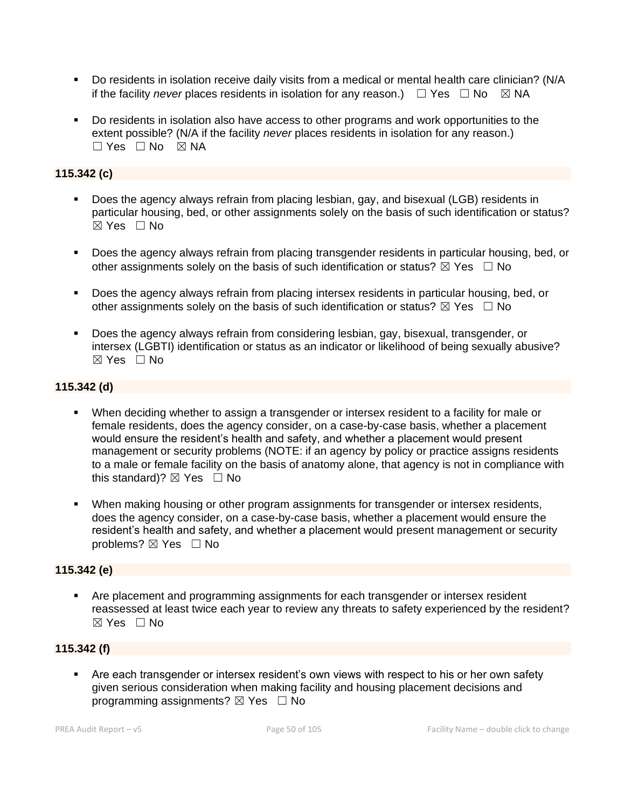- Do residents in isolation receive daily visits from a medical or mental health care clinician? (N/A if the facility *never* places residents in isolation for any reason.)  $\Box$  Yes  $\Box$  No  $\boxtimes$  NA
- Do residents in isolation also have access to other programs and work opportunities to the extent possible? (N/A if the facility *never* places residents in isolation for any reason.)  $\Box$  Yes  $\Box$  No  $\boxtimes$  NA

## **115.342 (c)**

- Does the agency always refrain from placing lesbian, gay, and bisexual (LGB) residents in particular housing, bed, or other assignments solely on the basis of such identification or status?  $\boxtimes$  Yes  $\Box$  No
- Does the agency always refrain from placing transgender residents in particular housing, bed, or other assignments solely on the basis of such identification or status?  $\boxtimes$  Yes  $\Box$  No
- Does the agency always refrain from placing intersex residents in particular housing, bed, or other assignments solely on the basis of such identification or status?  $\boxtimes$  Yes  $\Box$  No
- Does the agency always refrain from considering lesbian, gay, bisexual, transgender, or intersex (LGBTI) identification or status as an indicator or likelihood of being sexually abusive? ☒ Yes ☐ No

## **115.342 (d)**

- **•** When deciding whether to assign a transgender or intersex resident to a facility for male or female residents, does the agency consider, on a case-by-case basis, whether a placement would ensure the resident's health and safety, and whether a placement would present management or security problems (NOTE: if an agency by policy or practice assigns residents to a male or female facility on the basis of anatomy alone, that agency is not in compliance with this standard)?  $\boxtimes$  Yes  $\Box$  No
- **■** When making housing or other program assignments for transgender or intersex residents, does the agency consider, on a case-by-case basis, whether a placement would ensure the resident's health and safety, and whether a placement would present management or security problems? ⊠ Yes □ No

## **115.342 (e)**

**• Are placement and programming assignments for each transgender or intersex resident** reassessed at least twice each year to review any threats to safety experienced by the resident?  $\boxtimes$  Yes  $\Box$  No

## **115.342 (f)**

■ Are each transgender or intersex resident's own views with respect to his or her own safety given serious consideration when making facility and housing placement decisions and programming assignments?  $\boxtimes$  Yes  $\Box$  No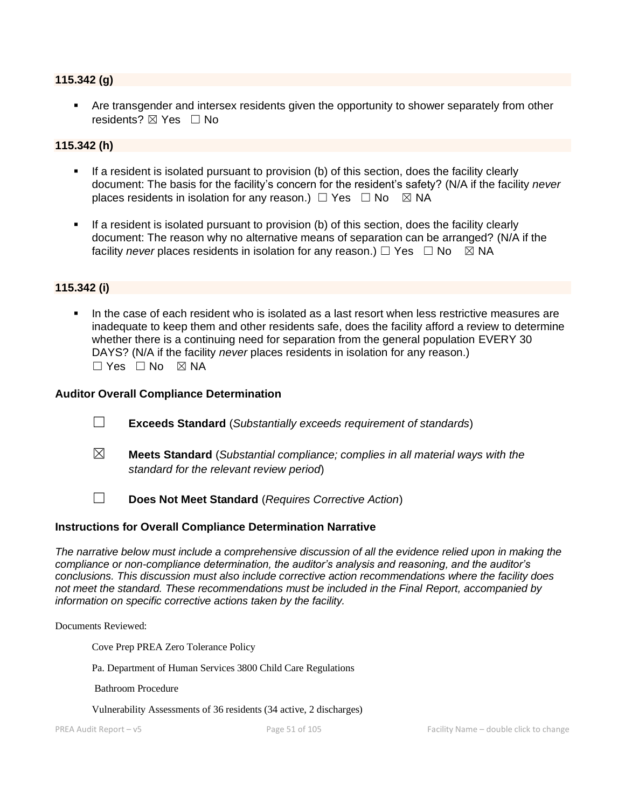#### **115.342 (g)**

**EXT** Are transgender and intersex residents given the opportunity to shower separately from other residents? ⊠ Yes □ No

#### **115.342 (h)**

- If a resident is isolated pursuant to provision (b) of this section, does the facility clearly document: The basis for the facility's concern for the resident's safety? (N/A if the facility *never*  places residents in isolation for any reason.)  $\Box$  Yes  $\Box$  No  $\boxtimes$  NA
- **•** If a resident is isolated pursuant to provision (b) of this section, does the facility clearly document: The reason why no alternative means of separation can be arranged? (N/A if the facility *never* places residents in isolation for any reason.) □ Yes □ No ∑ NA

### **115.342 (i)**

In the case of each resident who is isolated as a last resort when less restrictive measures are inadequate to keep them and other residents safe, does the facility afford a review to determine whether there is a continuing need for separation from the general population EVERY 30 DAYS? (N/A if the facility *never* places residents in isolation for any reason.)  $\square$  Yes  $\square$  No  $\square$  NA

#### **Auditor Overall Compliance Determination**

- ☐ **Exceeds Standard** (*Substantially exceeds requirement of standards*)
- ☒ **Meets Standard** (*Substantial compliance; complies in all material ways with the standard for the relevant review period*)
- ☐ **Does Not Meet Standard** (*Requires Corrective Action*)

#### **Instructions for Overall Compliance Determination Narrative**

*The narrative below must include a comprehensive discussion of all the evidence relied upon in making the compliance or non-compliance determination, the auditor's analysis and reasoning, and the auditor's conclusions. This discussion must also include corrective action recommendations where the facility does not meet the standard. These recommendations must be included in the Final Report, accompanied by information on specific corrective actions taken by the facility.*

Documents Reviewed:

Cove Prep PREA Zero Tolerance Policy

Pa. Department of Human Services 3800 Child Care Regulations

Bathroom Procedure

Vulnerability Assessments of 36 residents (34 active, 2 discharges)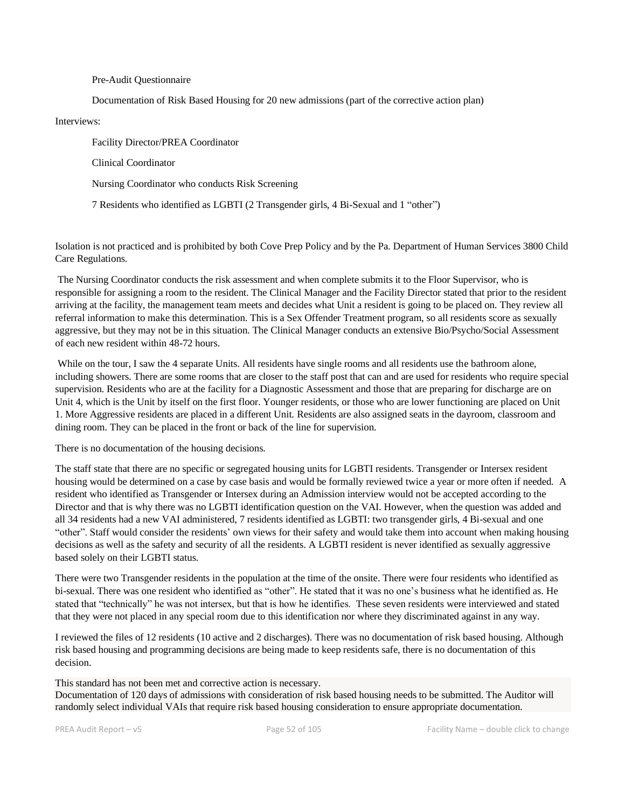Pre-Audit Questionnaire

Documentation of Risk Based Housing for 20 new admissions (part of the corrective action plan)

Interviews:

Facility Director/PREA Coordinator Clinical Coordinator Nursing Coordinator who conducts Risk Screening 7 Residents who identified as LGBTI (2 Transgender girls, 4 Bi-Sexual and 1 "other")

Isolation is not practiced and is prohibited by both Cove Prep Policy and by the Pa. Department of Human Services 3800 Child Care Regulations.

The Nursing Coordinator conducts the risk assessment and when complete submits it to the Floor Supervisor, who is responsible for assigning a room to the resident. The Clinical Manager and the Facility Director stated that prior to the resident arriving at the facility, the management team meets and decides what Unit a resident is going to be placed on. They review all referral information to make this determination. This is a Sex Offender Treatment program, so all residents score as sexually aggressive, but they may not be in this situation. The Clinical Manager conducts an extensive Bio/Psycho/Social Assessment of each new resident within 48-72 hours.

While on the tour, I saw the 4 separate Units. All residents have single rooms and all residents use the bathroom alone, including showers. There are some rooms that are closer to the staff post that can and are used for residents who require special supervision. Residents who are at the facility for a Diagnostic Assessment and those that are preparing for discharge are on Unit 4, which is the Unit by itself on the first floor. Younger residents, or those who are lower functioning are placed on Unit 1. More Aggressive residents are placed in a different Unit. Residents are also assigned seats in the dayroom, classroom and dining room. They can be placed in the front or back of the line for supervision.

There is no documentation of the housing decisions.

The staff state that there are no specific or segregated housing units for LGBTI residents. Transgender or Intersex resident housing would be determined on a case by case basis and would be formally reviewed twice a year or more often if needed. A resident who identified as Transgender or Intersex during an Admission interview would not be accepted according to the Director and that is why there was no LGBTI identification question on the VAI. However, when the question was added and all 34 residents had a new VAI administered, 7 residents identified as LGBTI: two transgender girls, 4 Bi-sexual and one "other". Staff would consider the residents' own views for their safety and would take them into account when making housing decisions as well as the safety and security of all the residents. A LGBTI resident is never identified as sexually aggressive based solely on their LGBTI status.

There were two Transgender residents in the population at the time of the onsite. There were four residents who identified as bi-sexual. There was one resident who identified as "other". He stated that it was no one's business what he identified as. He stated that "technically" he was not intersex, but that is how he identifies. These seven residents were interviewed and stated that they were not placed in any special room due to this identification nor where they discriminated against in any way.

I reviewed the files of 12 residents (10 active and 2 discharges). There was no documentation of risk based housing. Although risk based housing and programming decisions are being made to keep residents safe, there is no documentation of this decision.

This standard has not been met and corrective action is necessary.

Documentation of 120 days of admissions with consideration of risk based housing needs to be submitted. The Auditor will randomly select individual VAIs that require risk based housing consideration to ensure appropriate documentation.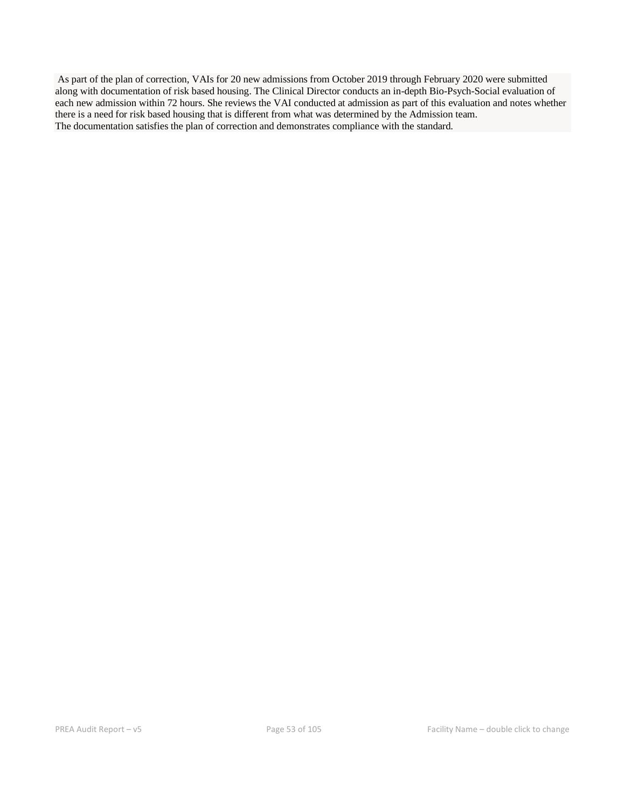As part of the plan of correction, VAIs for 20 new admissions from October 2019 through February 2020 were submitted along with documentation of risk based housing. The Clinical Director conducts an in-depth Bio-Psych-Social evaluation of each new admission within 72 hours. She reviews the VAI conducted at admission as part of this evaluation and notes whether there is a need for risk based housing that is different from what was determined by the Admission team. The documentation satisfies the plan of correction and demonstrates compliance with the standard.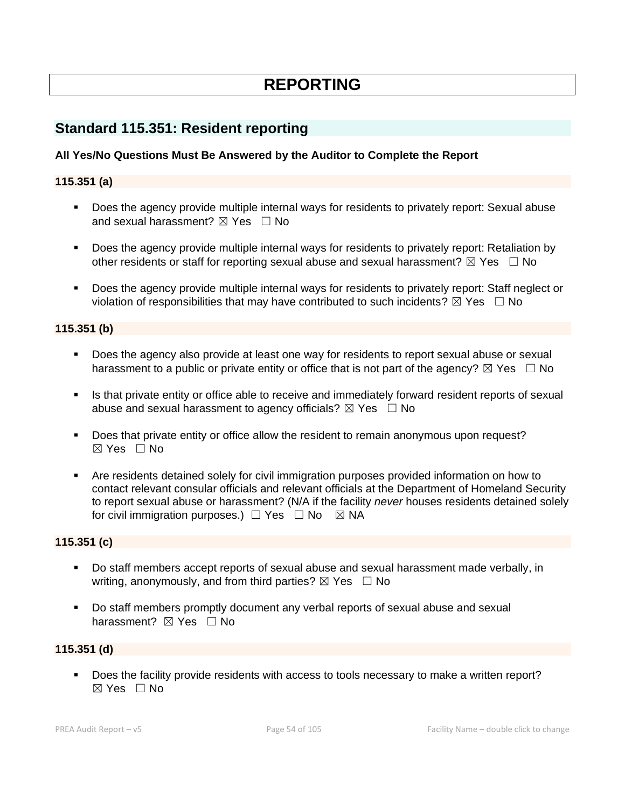# **REPORTING**

## **Standard 115.351: Resident reporting**

## **All Yes/No Questions Must Be Answered by the Auditor to Complete the Report**

### **115.351 (a)**

- Does the agency provide multiple internal ways for residents to privately report: Sexual abuse and sexual harassment?  $\boxtimes$  Yes  $\Box$  No
- Does the agency provide multiple internal ways for residents to privately report: Retaliation by other residents or staff for reporting sexual abuse and sexual harassment?  $\boxtimes$  Yes  $\Box$  No
- Does the agency provide multiple internal ways for residents to privately report: Staff neglect or violation of responsibilities that may have contributed to such incidents?  $\boxtimes$  Yes  $\Box$  No

### **115.351 (b)**

- Does the agency also provide at least one way for residents to report sexual abuse or sexual harassment to a public or private entity or office that is not part of the agency?  $\boxtimes$  Yes  $\Box$  No
- **.** Is that private entity or office able to receive and immediately forward resident reports of sexual abuse and sexual harassment to agency officials?  $\boxtimes$  Yes  $\Box$  No
- Does that private entity or office allow the resident to remain anonymous upon request? ☒ Yes ☐ No
- Are residents detained solely for civil immigration purposes provided information on how to contact relevant consular officials and relevant officials at the Department of Homeland Security to report sexual abuse or harassment? (N/A if the facility *never* houses residents detained solely for civil immigration purposes.)  $\Box$  Yes  $\Box$  No  $\boxtimes$  NA

#### **115.351 (c)**

- Do staff members accept reports of sexual abuse and sexual harassment made verbally, in writing, anonymously, and from third parties?  $\boxtimes$  Yes  $\Box$  No
- Do staff members promptly document any verbal reports of sexual abuse and sexual harassment? **⊠** Yes □ No

#### **115.351 (d)**

▪ Does the facility provide residents with access to tools necessary to make a written report?  $\boxtimes$  Yes  $\Box$  No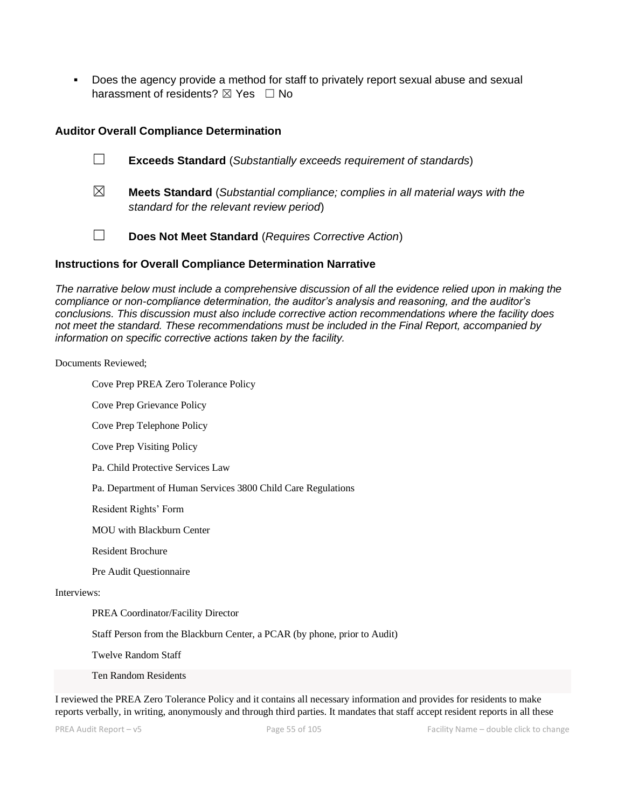Does the agency provide a method for staff to privately report sexual abuse and sexual harassment of residents?  $\boxtimes$  Yes  $\Box$  No

#### **Auditor Overall Compliance Determination**

☐ **Exceeds Standard** (*Substantially exceeds requirement of standards*)

☒ **Meets Standard** (*Substantial compliance; complies in all material ways with the standard for the relevant review period*)

☐ **Does Not Meet Standard** (*Requires Corrective Action*)

#### **Instructions for Overall Compliance Determination Narrative**

*The narrative below must include a comprehensive discussion of all the evidence relied upon in making the compliance or non-compliance determination, the auditor's analysis and reasoning, and the auditor's conclusions. This discussion must also include corrective action recommendations where the facility does not meet the standard. These recommendations must be included in the Final Report, accompanied by information on specific corrective actions taken by the facility.*

Documents Reviewed;

Cove Prep PREA Zero Tolerance Policy

Cove Prep Grievance Policy

Cove Prep Telephone Policy

Cove Prep Visiting Policy

Pa. Child Protective Services Law

Pa. Department of Human Services 3800 Child Care Regulations

Resident Rights' Form

MOU with Blackburn Center

Resident Brochure

Pre Audit Questionnaire

#### Interviews:

PREA Coordinator/Facility Director

Staff Person from the Blackburn Center, a PCAR (by phone, prior to Audit)

Twelve Random Staff

Ten Random Residents

I reviewed the PREA Zero Tolerance Policy and it contains all necessary information and provides for residents to make reports verbally, in writing, anonymously and through third parties. It mandates that staff accept resident reports in all these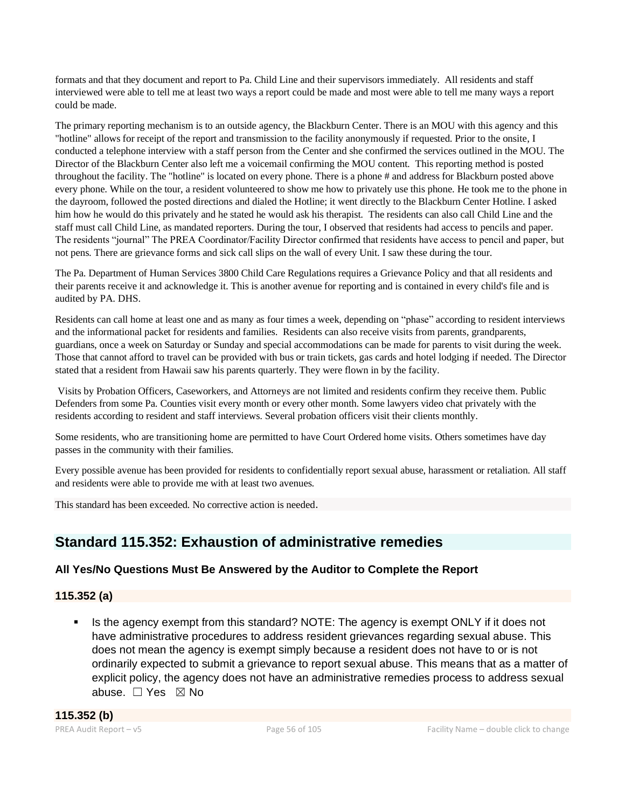formats and that they document and report to Pa. Child Line and their supervisors immediately. All residents and staff interviewed were able to tell me at least two ways a report could be made and most were able to tell me many ways a report could be made.

The primary reporting mechanism is to an outside agency, the Blackburn Center. There is an MOU with this agency and this "hotline" allows for receipt of the report and transmission to the facility anonymously if requested. Prior to the onsite, I conducted a telephone interview with a staff person from the Center and she confirmed the services outlined in the MOU. The Director of the Blackburn Center also left me a voicemail confirming the MOU content. This reporting method is posted throughout the facility. The "hotline" is located on every phone. There is a phone # and address for Blackburn posted above every phone. While on the tour, a resident volunteered to show me how to privately use this phone. He took me to the phone in the dayroom, followed the posted directions and dialed the Hotline; it went directly to the Blackburn Center Hotline. I asked him how he would do this privately and he stated he would ask his therapist. The residents can also call Child Line and the staff must call Child Line, as mandated reporters. During the tour, I observed that residents had access to pencils and paper. The residents "journal" The PREA Coordinator/Facility Director confirmed that residents have access to pencil and paper, but not pens. There are grievance forms and sick call slips on the wall of every Unit. I saw these during the tour.

The Pa. Department of Human Services 3800 Child Care Regulations requires a Grievance Policy and that all residents and their parents receive it and acknowledge it. This is another avenue for reporting and is contained in every child's file and is audited by PA. DHS.

Residents can call home at least one and as many as four times a week, depending on "phase" according to resident interviews and the informational packet for residents and families. Residents can also receive visits from parents, grandparents, guardians, once a week on Saturday or Sunday and special accommodations can be made for parents to visit during the week. Those that cannot afford to travel can be provided with bus or train tickets, gas cards and hotel lodging if needed. The Director stated that a resident from Hawaii saw his parents quarterly. They were flown in by the facility.

Visits by Probation Officers, Caseworkers, and Attorneys are not limited and residents confirm they receive them. Public Defenders from some Pa. Counties visit every month or every other month. Some lawyers video chat privately with the residents according to resident and staff interviews. Several probation officers visit their clients monthly.

Some residents, who are transitioning home are permitted to have Court Ordered home visits. Others sometimes have day passes in the community with their families.

Every possible avenue has been provided for residents to confidentially report sexual abuse, harassment or retaliation. All staff and residents were able to provide me with at least two avenues.

This standard has been exceeded. No corrective action is needed.

## **Standard 115.352: Exhaustion of administrative remedies**

## **All Yes/No Questions Must Be Answered by the Auditor to Complete the Report**

## **115.352 (a)**

Is the agency exempt from this standard? NOTE: The agency is exempt ONLY if it does not have administrative procedures to address resident grievances regarding sexual abuse. This does not mean the agency is exempt simply because a resident does not have to or is not ordinarily expected to submit a grievance to report sexual abuse. This means that as a matter of explicit policy, the agency does not have an administrative remedies process to address sexual abuse. ☐ Yes ☒ No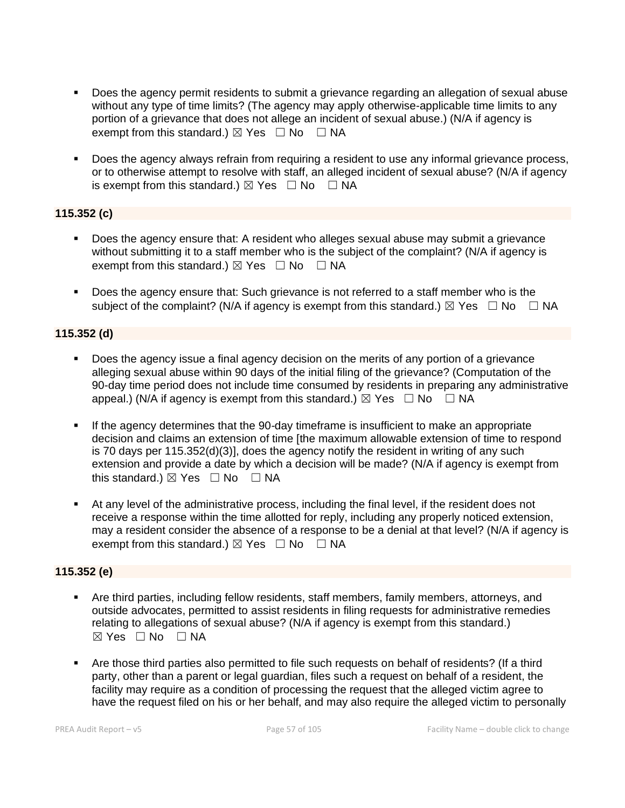- Does the agency permit residents to submit a grievance regarding an allegation of sexual abuse without any type of time limits? (The agency may apply otherwise-applicable time limits to any portion of a grievance that does not allege an incident of sexual abuse.) (N/A if agency is exempt from this standard.)  $\boxtimes$  Yes  $\Box$  No  $\Box$  NA
- Does the agency always refrain from requiring a resident to use any informal grievance process, or to otherwise attempt to resolve with staff, an alleged incident of sexual abuse? (N/A if agency is exempt from this standard.)  $\boxtimes$  Yes  $\Box$  No  $\Box$  NA

## **115.352 (c)**

- Does the agency ensure that: A resident who alleges sexual abuse may submit a grievance without submitting it to a staff member who is the subject of the complaint? (N/A if agency is exempt from this standard.)  $\boxtimes$  Yes  $\Box$  No  $\Box$  NA
- Does the agency ensure that: Such grievance is not referred to a staff member who is the subject of the complaint? (N/A if agency is exempt from this standard.)  $\boxtimes$  Yes  $\Box$  No  $\Box$  NA

## **115.352 (d)**

- Does the agency issue a final agency decision on the merits of any portion of a grievance alleging sexual abuse within 90 days of the initial filing of the grievance? (Computation of the 90-day time period does not include time consumed by residents in preparing any administrative appeal.) (N/A if agency is exempt from this standard.)  $\boxtimes$  Yes  $\Box$  No  $\Box$  NA
- If the agency determines that the 90-day timeframe is insufficient to make an appropriate decision and claims an extension of time [the maximum allowable extension of time to respond is 70 days per 115.352(d)(3)], does the agency notify the resident in writing of any such extension and provide a date by which a decision will be made? (N/A if agency is exempt from this standard.)  $\boxtimes$  Yes  $\Box$  No  $\Box$  NA
- At any level of the administrative process, including the final level, if the resident does not receive a response within the time allotted for reply, including any properly noticed extension, may a resident consider the absence of a response to be a denial at that level? (N/A if agency is exempt from this standard.)  $\boxtimes$  Yes  $\Box$  No  $\Box$  NA

#### **115.352 (e)**

- **•** Are third parties, including fellow residents, staff members, family members, attorneys, and outside advocates, permitted to assist residents in filing requests for administrative remedies relating to allegations of sexual abuse? (N/A if agency is exempt from this standard.)  $⊠ Yes ⊡ No ⊡ NA$
- Are those third parties also permitted to file such requests on behalf of residents? (If a third party, other than a parent or legal guardian, files such a request on behalf of a resident, the facility may require as a condition of processing the request that the alleged victim agree to have the request filed on his or her behalf, and may also require the alleged victim to personally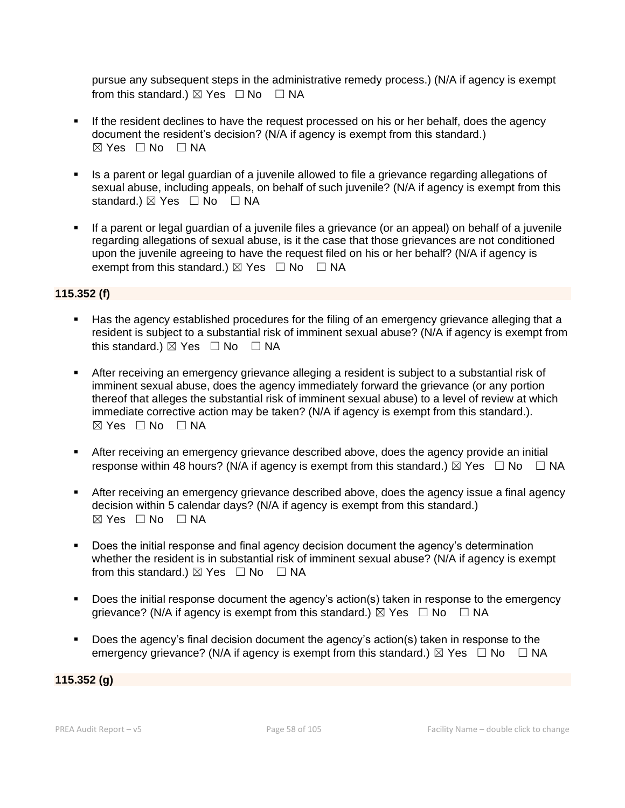pursue any subsequent steps in the administrative remedy process.) (N/A if agency is exempt from this standard.)  $\boxtimes$  Yes  $\Box$  No  $\Box$  NA

- If the resident declines to have the request processed on his or her behalf, does the agency document the resident's decision? (N/A if agency is exempt from this standard.) ☒ Yes ☐ No ☐ NA
- Is a parent or legal guardian of a juvenile allowed to file a grievance regarding allegations of sexual abuse, including appeals, on behalf of such juvenile? (N/A if agency is exempt from this standard.)  $\boxtimes$  Yes  $\Box$  No  $\Box$  NA
- **.** If a parent or legal guardian of a juvenile files a grievance (or an appeal) on behalf of a juvenile regarding allegations of sexual abuse, is it the case that those grievances are not conditioned upon the juvenile agreeing to have the request filed on his or her behalf? (N/A if agency is exempt from this standard.)  $\boxtimes$  Yes  $\Box$  No  $\Box$  NA

## **115.352 (f)**

- Has the agency established procedures for the filing of an emergency grievance alleging that a resident is subject to a substantial risk of imminent sexual abuse? (N/A if agency is exempt from this standard.)  $\boxtimes$  Yes  $\Box$  No  $\Box$  NA
- **EXECT** After receiving an emergency grievance alleging a resident is subject to a substantial risk of imminent sexual abuse, does the agency immediately forward the grievance (or any portion thereof that alleges the substantial risk of imminent sexual abuse) to a level of review at which immediate corrective action may be taken? (N/A if agency is exempt from this standard.).  $\boxtimes$  Yes  $\Box$  No  $\Box$  NA
- **EXECT** After receiving an emergency grievance described above, does the agency provide an initial response within 48 hours? (N/A if agency is exempt from this standard.)  $\boxtimes$  Yes  $\Box$  No  $\Box$  NA
- After receiving an emergency grievance described above, does the agency issue a final agency decision within 5 calendar days? (N/A if agency is exempt from this standard.)  $⊠ Yes ⊡ No ⊡ NA$
- Does the initial response and final agency decision document the agency's determination whether the resident is in substantial risk of imminent sexual abuse? (N/A if agency is exempt from this standard.)  $\boxtimes$  Yes  $\Box$  No  $\Box$  NA
- Does the initial response document the agency's action(s) taken in response to the emergency grievance? (N/A if agency is exempt from this standard.)  $\boxtimes$  Yes  $\Box$  No  $\Box$  NA
- Does the agency's final decision document the agency's action(s) taken in response to the emergency grievance? (N/A if agency is exempt from this standard.)  $\boxtimes$  Yes  $\Box$  No  $\Box$  NA

#### **115.352 (g)**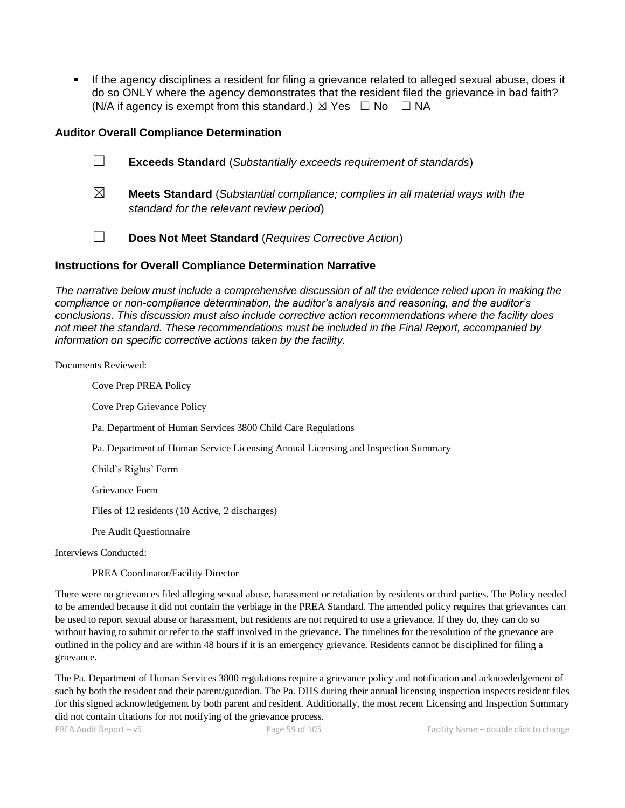▪ If the agency disciplines a resident for filing a grievance related to alleged sexual abuse, does it do so ONLY where the agency demonstrates that the resident filed the grievance in bad faith? (N/A if agency is exempt from this standard.)  $\boxtimes$  Yes  $\Box$  No  $\Box$  NA

#### **Auditor Overall Compliance Determination**

- ☐ **Exceeds Standard** (*Substantially exceeds requirement of standards*)
- ☒ **Meets Standard** (*Substantial compliance; complies in all material ways with the standard for the relevant review period*)
- ☐ **Does Not Meet Standard** (*Requires Corrective Action*)

### **Instructions for Overall Compliance Determination Narrative**

*The narrative below must include a comprehensive discussion of all the evidence relied upon in making the compliance or non-compliance determination, the auditor's analysis and reasoning, and the auditor's conclusions. This discussion must also include corrective action recommendations where the facility does not meet the standard. These recommendations must be included in the Final Report, accompanied by information on specific corrective actions taken by the facility.*

Documents Reviewed:

Cove Prep PREA Policy Cove Prep Grievance Policy Pa. Department of Human Services 3800 Child Care Regulations Pa. Department of Human Service Licensing Annual Licensing and Inspection Summary Child's Rights' Form Grievance Form Files of 12 residents (10 Active, 2 discharges) Pre Audit Questionnaire Interviews Conducted: PREA Coordinator/Facility Director

There were no grievances filed alleging sexual abuse, harassment or retaliation by residents or third parties. The Policy needed to be amended because it did not contain the verbiage in the PREA Standard. The amended policy requires that grievances can be used to report sexual abuse or harassment, but residents are not required to use a grievance. If they do, they can do so without having to submit or refer to the staff involved in the grievance. The timelines for the resolution of the grievance are outlined in the policy and are within 48 hours if it is an emergency grievance. Residents cannot be disciplined for filing a grievance.

The Pa. Department of Human Services 3800 regulations require a grievance policy and notification and acknowledgement of such by both the resident and their parent/guardian. The Pa. DHS during their annual licensing inspection inspects resident files for this signed acknowledgement by both parent and resident. Additionally, the most recent Licensing and Inspection Summary did not contain citations for not notifying of the grievance process.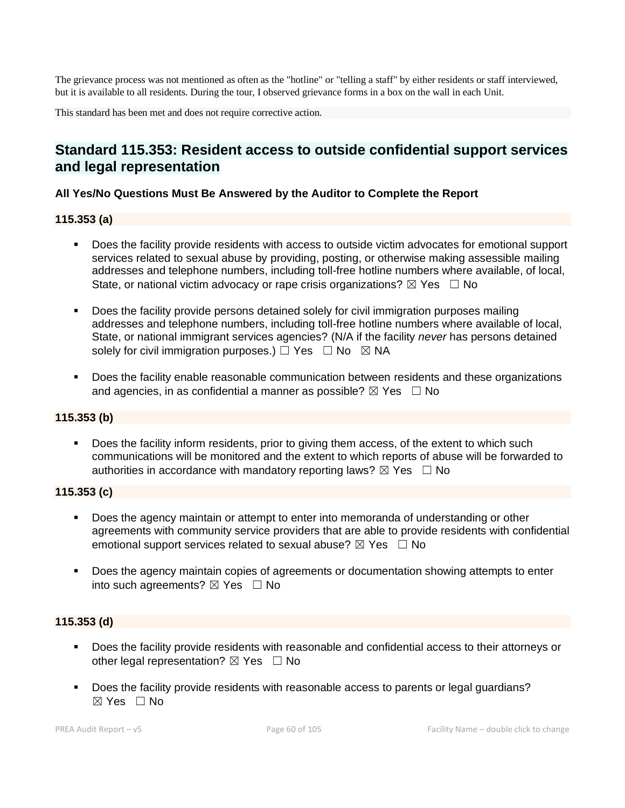The grievance process was not mentioned as often as the "hotline" or "telling a staff" by either residents or staff interviewed, but it is available to all residents. During the tour, I observed grievance forms in a box on the wall in each Unit.

This standard has been met and does not require corrective action.

## **Standard 115.353: Resident access to outside confidential support services and legal representation**

### **All Yes/No Questions Must Be Answered by the Auditor to Complete the Report**

## **115.353 (a)**

- Does the facility provide residents with access to outside victim advocates for emotional support services related to sexual abuse by providing, posting, or otherwise making assessible mailing addresses and telephone numbers, including toll-free hotline numbers where available, of local, State, or national victim advocacy or rape crisis organizations?  $\boxtimes$  Yes  $\Box$  No
- Does the facility provide persons detained solely for civil immigration purposes mailing addresses and telephone numbers, including toll-free hotline numbers where available of local, State, or national immigrant services agencies? (N/A if the facility *never* has persons detained solely for civil immigration purposes.)  $\Box$  Yes  $\Box$  No  $\boxtimes$  NA
- Does the facility enable reasonable communication between residents and these organizations and agencies, in as confidential a manner as possible?  $\boxtimes$  Yes  $\Box$  No

## **115.353 (b)**

**•** Does the facility inform residents, prior to giving them access, of the extent to which such communications will be monitored and the extent to which reports of abuse will be forwarded to authorities in accordance with mandatory reporting laws?  $\boxtimes$  Yes  $\Box$  No

#### **115.353 (c)**

- **Does the agency maintain or attempt to enter into memoranda of understanding or other** agreements with community service providers that are able to provide residents with confidential emotional support services related to sexual abuse?  $\boxtimes$  Yes  $\Box$  No
- Does the agency maintain copies of agreements or documentation showing attempts to enter into such agreements?  $\boxtimes$  Yes  $\Box$  No

#### **115.353 (d)**

- Does the facility provide residents with reasonable and confidential access to their attorneys or other legal representation?  $\boxtimes$  Yes  $\Box$  No
- Does the facility provide residents with reasonable access to parents or legal guardians?  $\boxtimes$  Yes  $\Box$  No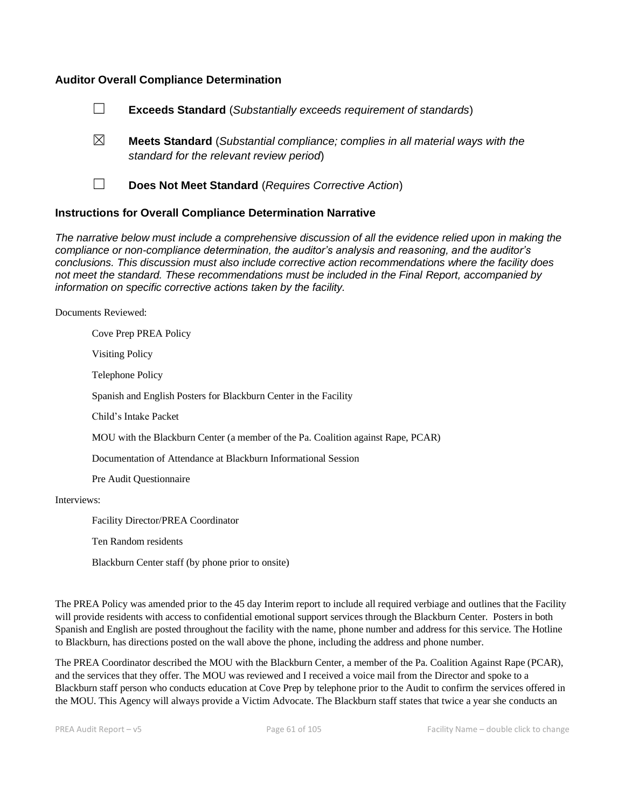#### **Auditor Overall Compliance Determination**



- ☒ **Meets Standard** (*Substantial compliance; complies in all material ways with the standard for the relevant review period*)
- 

☐ **Does Not Meet Standard** (*Requires Corrective Action*)

#### **Instructions for Overall Compliance Determination Narrative**

*The narrative below must include a comprehensive discussion of all the evidence relied upon in making the compliance or non-compliance determination, the auditor's analysis and reasoning, and the auditor's conclusions. This discussion must also include corrective action recommendations where the facility does not meet the standard. These recommendations must be included in the Final Report, accompanied by information on specific corrective actions taken by the facility.*

Documents Reviewed:

Cove Prep PREA Policy Visiting Policy Telephone Policy Spanish and English Posters for Blackburn Center in the Facility Child's Intake Packet MOU with the Blackburn Center (a member of the Pa. Coalition against Rape, PCAR) Documentation of Attendance at Blackburn Informational Session Pre Audit Questionnaire

Interviews:

Facility Director/PREA Coordinator

Ten Random residents

Blackburn Center staff (by phone prior to onsite)

The PREA Policy was amended prior to the 45 day Interim report to include all required verbiage and outlines that the Facility will provide residents with access to confidential emotional support services through the Blackburn Center. Posters in both Spanish and English are posted throughout the facility with the name, phone number and address for this service. The Hotline to Blackburn, has directions posted on the wall above the phone, including the address and phone number.

The PREA Coordinator described the MOU with the Blackburn Center, a member of the Pa. Coalition Against Rape (PCAR), and the services that they offer. The MOU was reviewed and I received a voice mail from the Director and spoke to a Blackburn staff person who conducts education at Cove Prep by telephone prior to the Audit to confirm the services offered in the MOU. This Agency will always provide a Victim Advocate. The Blackburn staff states that twice a year she conducts an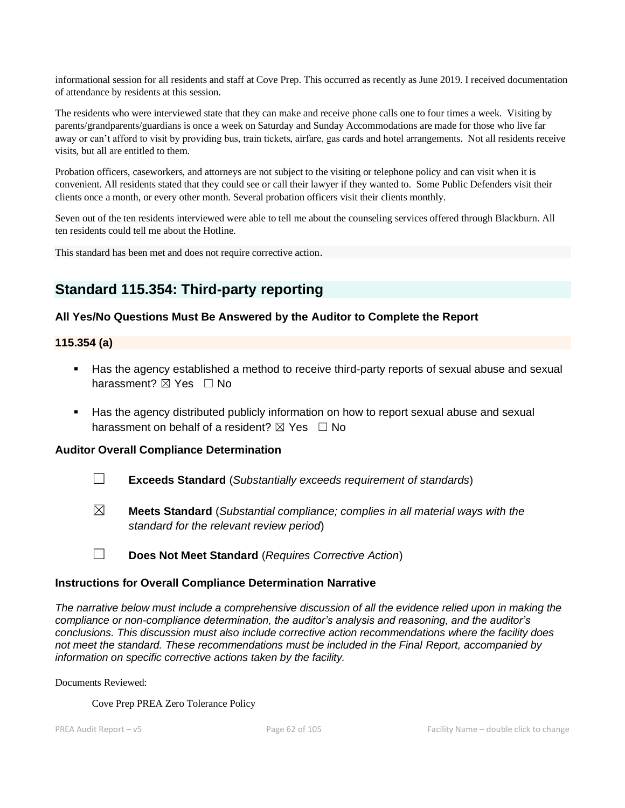informational session for all residents and staff at Cove Prep. This occurred as recently as June 2019. I received documentation of attendance by residents at this session.

The residents who were interviewed state that they can make and receive phone calls one to four times a week. Visiting by parents/grandparents/guardians is once a week on Saturday and Sunday Accommodations are made for those who live far away or can't afford to visit by providing bus, train tickets, airfare, gas cards and hotel arrangements. Not all residents receive visits, but all are entitled to them.

Probation officers, caseworkers, and attorneys are not subject to the visiting or telephone policy and can visit when it is convenient. All residents stated that they could see or call their lawyer if they wanted to. Some Public Defenders visit their clients once a month, or every other month. Several probation officers visit their clients monthly.

Seven out of the ten residents interviewed were able to tell me about the counseling services offered through Blackburn. All ten residents could tell me about the Hotline.

This standard has been met and does not require corrective action.

## **Standard 115.354: Third-party reporting**

### **All Yes/No Questions Must Be Answered by the Auditor to Complete the Report**

#### **115.354 (a)**

- Has the agency established a method to receive third-party reports of sexual abuse and sexual harassment? **⊠** Yes □ No
- Has the agency distributed publicly information on how to report sexual abuse and sexual harassment on behalf of a resident?  $\boxtimes$  Yes  $\Box$  No

#### **Auditor Overall Compliance Determination**

- ☐ **Exceeds Standard** (*Substantially exceeds requirement of standards*)
- ☒ **Meets Standard** (*Substantial compliance; complies in all material ways with the standard for the relevant review period*)

☐ **Does Not Meet Standard** (*Requires Corrective Action*)

#### **Instructions for Overall Compliance Determination Narrative**

*The narrative below must include a comprehensive discussion of all the evidence relied upon in making the compliance or non-compliance determination, the auditor's analysis and reasoning, and the auditor's conclusions. This discussion must also include corrective action recommendations where the facility does not meet the standard. These recommendations must be included in the Final Report, accompanied by information on specific corrective actions taken by the facility.*

Documents Reviewed:

Cove Prep PREA Zero Tolerance Policy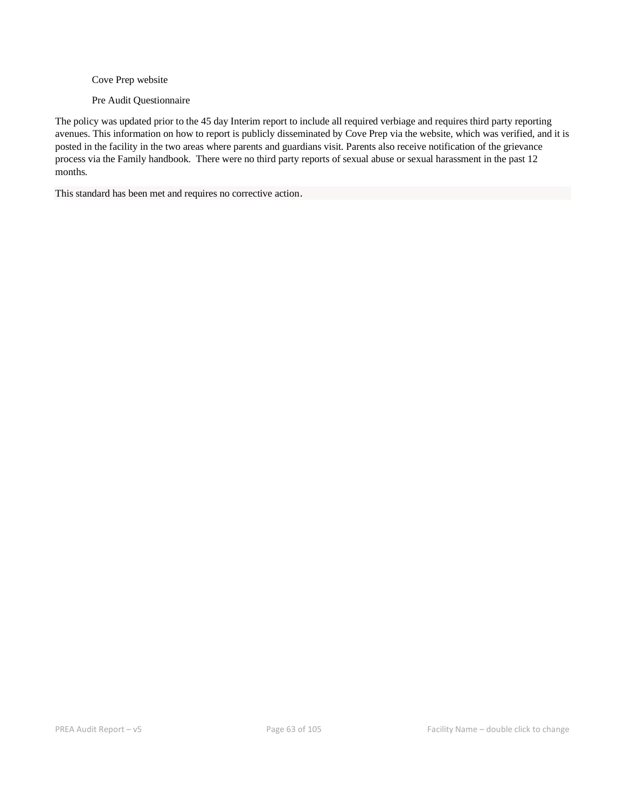Cove Prep website

Pre Audit Questionnaire

The policy was updated prior to the 45 day Interim report to include all required verbiage and requires third party reporting avenues. This information on how to report is publicly disseminated by Cove Prep via the website, which was verified, and it is posted in the facility in the two areas where parents and guardians visit. Parents also receive notification of the grievance process via the Family handbook. There were no third party reports of sexual abuse or sexual harassment in the past 12 months.

This standard has been met and requires no corrective action.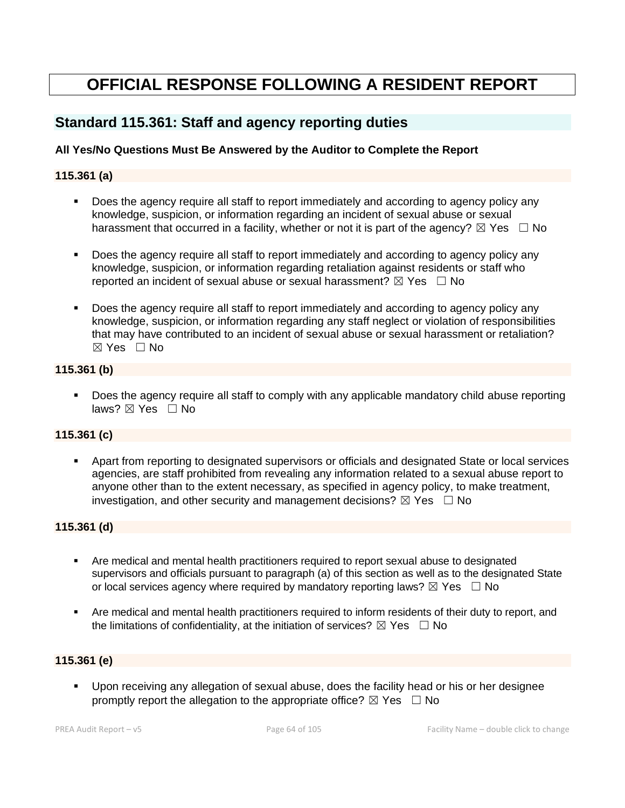# **OFFICIAL RESPONSE FOLLOWING A RESIDENT REPORT**

## **Standard 115.361: Staff and agency reporting duties**

## **All Yes/No Questions Must Be Answered by the Auditor to Complete the Report**

### **115.361 (a)**

- Does the agency require all staff to report immediately and according to agency policy any knowledge, suspicion, or information regarding an incident of sexual abuse or sexual harassment that occurred in a facility, whether or not it is part of the agency?  $\boxtimes$  Yes  $\Box$  No
- Does the agency require all staff to report immediately and according to agency policy any knowledge, suspicion, or information regarding retaliation against residents or staff who reported an incident of sexual abuse or sexual harassment?  $\boxtimes$  Yes  $\Box$  No
- Boes the agency require all staff to report immediately and according to agency policy any knowledge, suspicion, or information regarding any staff neglect or violation of responsibilities that may have contributed to an incident of sexual abuse or sexual harassment or retaliation?  $\boxtimes$  Yes  $\Box$  No

### **115.361 (b)**

■ Does the agency require all staff to comply with any applicable mandatory child abuse reporting laws? ⊠ Yes □ No

#### **115.361 (c)**

Apart from reporting to designated supervisors or officials and designated State or local services agencies, are staff prohibited from revealing any information related to a sexual abuse report to anyone other than to the extent necessary, as specified in agency policy, to make treatment, investigation, and other security and management decisions?  $\boxtimes$  Yes  $\Box$  No

#### **115.361 (d)**

- Are medical and mental health practitioners required to report sexual abuse to designated supervisors and officials pursuant to paragraph (a) of this section as well as to the designated State or local services agency where required by mandatory reporting laws?  $\boxtimes$  Yes  $\Box$  No
- Are medical and mental health practitioners required to inform residents of their duty to report, and the limitations of confidentiality, at the initiation of services?  $\boxtimes$  Yes  $\Box$  No

#### **115.361 (e)**

▪ Upon receiving any allegation of sexual abuse, does the facility head or his or her designee promptly report the allegation to the appropriate office?  $\boxtimes$  Yes  $\Box$  No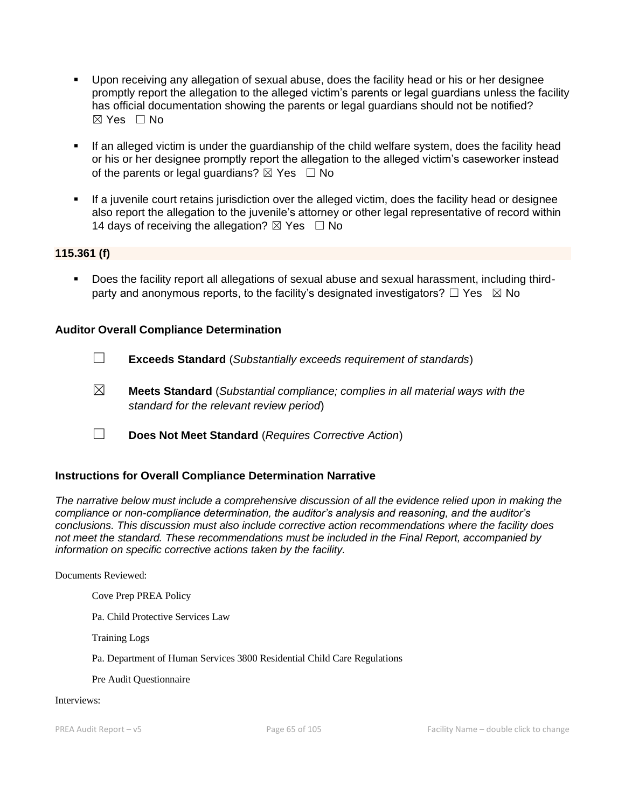- Upon receiving any allegation of sexual abuse, does the facility head or his or her designee promptly report the allegation to the alleged victim's parents or legal guardians unless the facility has official documentation showing the parents or legal guardians should not be notified?  $\boxtimes$  Yes  $\Box$  No
- **.** If an alleged victim is under the guardianship of the child welfare system, does the facility head or his or her designee promptly report the allegation to the alleged victim's caseworker instead of the parents or legal guardians?  $\boxtimes$  Yes  $\Box$  No
- **•** If a juvenile court retains jurisdiction over the alleged victim, does the facility head or designee also report the allegation to the juvenile's attorney or other legal representative of record within 14 days of receiving the allegation?  $\boxtimes$  Yes  $\Box$  No

### **115.361 (f)**

▪ Does the facility report all allegations of sexual abuse and sexual harassment, including thirdparty and anonymous reports, to the facility's designated investigators?  $\Box$  Yes  $\boxtimes$  No

#### **Auditor Overall Compliance Determination**

- ☐ **Exceeds Standard** (*Substantially exceeds requirement of standards*)
- ☒ **Meets Standard** (*Substantial compliance; complies in all material ways with the standard for the relevant review period*)
- ☐ **Does Not Meet Standard** (*Requires Corrective Action*)

#### **Instructions for Overall Compliance Determination Narrative**

*The narrative below must include a comprehensive discussion of all the evidence relied upon in making the compliance or non-compliance determination, the auditor's analysis and reasoning, and the auditor's conclusions. This discussion must also include corrective action recommendations where the facility does not meet the standard. These recommendations must be included in the Final Report, accompanied by information on specific corrective actions taken by the facility.*

Documents Reviewed:

Cove Prep PREA Policy

Pa. Child Protective Services Law

Training Logs

Pa. Department of Human Services 3800 Residential Child Care Regulations

Pre Audit Questionnaire

#### Interviews: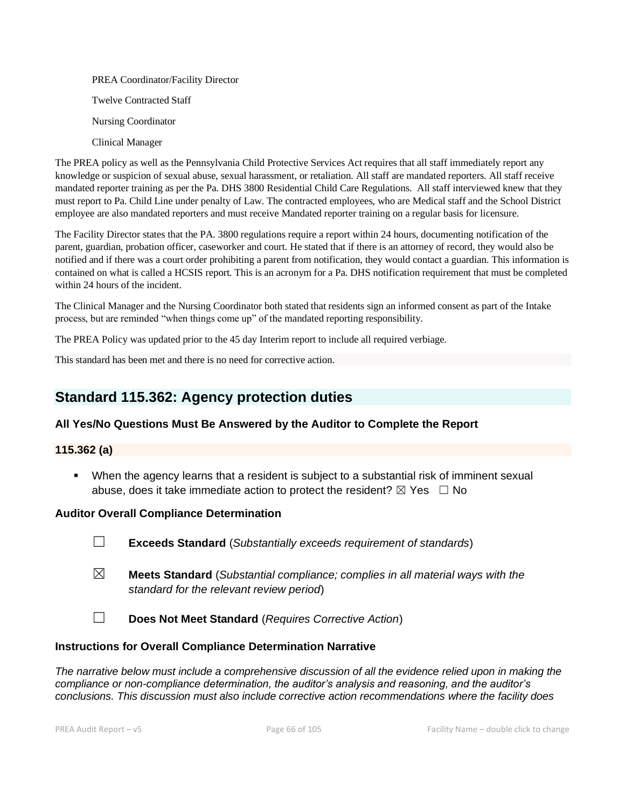PREA Coordinator/Facility Director Twelve Contracted Staff Nursing Coordinator Clinical Manager

The PREA policy as well as the Pennsylvania Child Protective Services Act requires that all staff immediately report any knowledge or suspicion of sexual abuse, sexual harassment, or retaliation. All staff are mandated reporters. All staff receive mandated reporter training as per the Pa. DHS 3800 Residential Child Care Regulations. All staff interviewed knew that they must report to Pa. Child Line under penalty of Law. The contracted employees, who are Medical staff and the School District employee are also mandated reporters and must receive Mandated reporter training on a regular basis for licensure.

The Facility Director states that the PA. 3800 regulations require a report within 24 hours, documenting notification of the parent, guardian, probation officer, caseworker and court. He stated that if there is an attorney of record, they would also be notified and if there was a court order prohibiting a parent from notification, they would contact a guardian. This information is contained on what is called a HCSIS report. This is an acronym for a Pa. DHS notification requirement that must be completed within 24 hours of the incident.

The Clinical Manager and the Nursing Coordinator both stated that residents sign an informed consent as part of the Intake process, but are reminded "when things come up" of the mandated reporting responsibility.

The PREA Policy was updated prior to the 45 day Interim report to include all required verbiage.

This standard has been met and there is no need for corrective action.

## **Standard 115.362: Agency protection duties**

## **All Yes/No Questions Must Be Answered by the Auditor to Complete the Report**

#### **115.362 (a)**

▪ When the agency learns that a resident is subject to a substantial risk of imminent sexual abuse, does it take immediate action to protect the resident?  $\boxtimes$  Yes  $\Box$  No

#### **Auditor Overall Compliance Determination**

- ☐ **Exceeds Standard** (*Substantially exceeds requirement of standards*)
- ☒ **Meets Standard** (*Substantial compliance; complies in all material ways with the standard for the relevant review period*)
- ☐ **Does Not Meet Standard** (*Requires Corrective Action*)

#### **Instructions for Overall Compliance Determination Narrative**

*The narrative below must include a comprehensive discussion of all the evidence relied upon in making the compliance or non-compliance determination, the auditor's analysis and reasoning, and the auditor's conclusions. This discussion must also include corrective action recommendations where the facility does*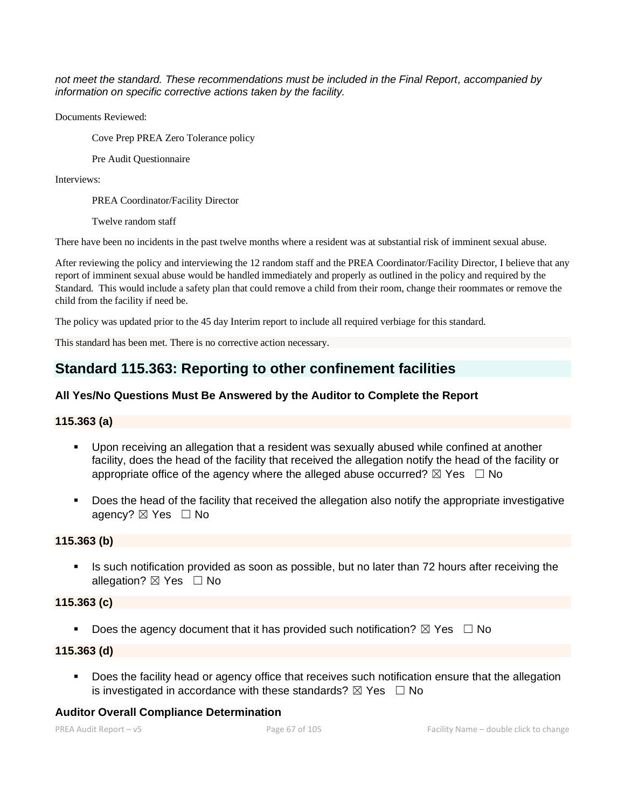*not meet the standard. These recommendations must be included in the Final Report, accompanied by information on specific corrective actions taken by the facility.*

Documents Reviewed:

Cove Prep PREA Zero Tolerance policy

Pre Audit Questionnaire

Interviews:

PREA Coordinator/Facility Director

Twelve random staff

There have been no incidents in the past twelve months where a resident was at substantial risk of imminent sexual abuse.

After reviewing the policy and interviewing the 12 random staff and the PREA Coordinator/Facility Director, I believe that any report of imminent sexual abuse would be handled immediately and properly as outlined in the policy and required by the Standard. This would include a safety plan that could remove a child from their room, change their roommates or remove the child from the facility if need be.

The policy was updated prior to the 45 day Interim report to include all required verbiage for this standard.

This standard has been met. There is no corrective action necessary.

## **Standard 115.363: Reporting to other confinement facilities**

## **All Yes/No Questions Must Be Answered by the Auditor to Complete the Report**

#### **115.363 (a)**

- Upon receiving an allegation that a resident was sexually abused while confined at another facility, does the head of the facility that received the allegation notify the head of the facility or appropriate office of the agency where the alleged abuse occurred?  $\boxtimes$  Yes  $\Box$  No
- Does the head of the facility that received the allegation also notify the appropriate investigative agency? ⊠ Yes □ No

## **115.363 (b)**

**EXT** Is such notification provided as soon as possible, but no later than 72 hours after receiving the allegation?  $\boxtimes$  Yes  $\Box$  No

#### **115.363 (c)**

**•** Does the agency document that it has provided such notification?  $\boxtimes$  Yes  $\Box$  No

## **115.363 (d)**

■ Does the facility head or agency office that receives such notification ensure that the allegation is investigated in accordance with these standards?  $\boxtimes$  Yes  $\Box$  No

## **Auditor Overall Compliance Determination**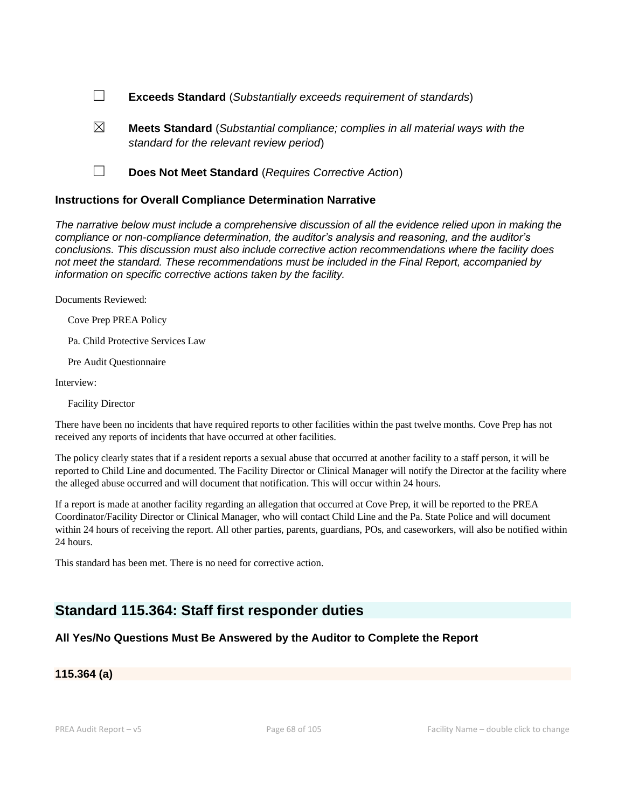- ☐ **Exceeds Standard** (*Substantially exceeds requirement of standards*)
- ☒ **Meets Standard** (*Substantial compliance; complies in all material ways with the standard for the relevant review period*)
- ☐ **Does Not Meet Standard** (*Requires Corrective Action*)

#### **Instructions for Overall Compliance Determination Narrative**

*The narrative below must include a comprehensive discussion of all the evidence relied upon in making the compliance or non-compliance determination, the auditor's analysis and reasoning, and the auditor's conclusions. This discussion must also include corrective action recommendations where the facility does not meet the standard. These recommendations must be included in the Final Report, accompanied by information on specific corrective actions taken by the facility.*

Documents Reviewed:

Cove Prep PREA Policy

Pa. Child Protective Services Law

Pre Audit Questionnaire

Interview:

Facility Director

There have been no incidents that have required reports to other facilities within the past twelve months. Cove Prep has not received any reports of incidents that have occurred at other facilities.

The policy clearly states that if a resident reports a sexual abuse that occurred at another facility to a staff person, it will be reported to Child Line and documented. The Facility Director or Clinical Manager will notify the Director at the facility where the alleged abuse occurred and will document that notification. This will occur within 24 hours.

If a report is made at another facility regarding an allegation that occurred at Cove Prep, it will be reported to the PREA Coordinator/Facility Director or Clinical Manager, who will contact Child Line and the Pa. State Police and will document within 24 hours of receiving the report. All other parties, parents, guardians, POs, and caseworkers, will also be notified within 24 hours.

This standard has been met. There is no need for corrective action.

## **Standard 115.364: Staff first responder duties**

## **All Yes/No Questions Must Be Answered by the Auditor to Complete the Report**

**115.364 (a)**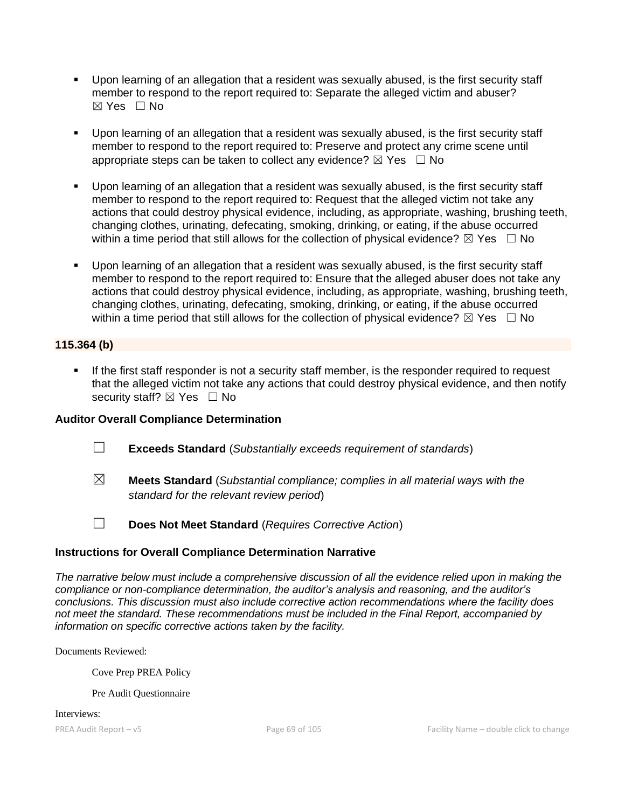- Upon learning of an allegation that a resident was sexually abused, is the first security staff member to respond to the report required to: Separate the alleged victim and abuser? ☒ Yes ☐ No
- Upon learning of an allegation that a resident was sexually abused, is the first security staff member to respond to the report required to: Preserve and protect any crime scene until appropriate steps can be taken to collect any evidence?  $\boxtimes$  Yes  $\Box$  No
- Upon learning of an allegation that a resident was sexually abused, is the first security staff member to respond to the report required to: Request that the alleged victim not take any actions that could destroy physical evidence, including, as appropriate, washing, brushing teeth, changing clothes, urinating, defecating, smoking, drinking, or eating, if the abuse occurred within a time period that still allows for the collection of physical evidence?  $\boxtimes$  Yes  $\Box$  No
- Upon learning of an allegation that a resident was sexually abused, is the first security staff member to respond to the report required to: Ensure that the alleged abuser does not take any actions that could destroy physical evidence, including, as appropriate, washing, brushing teeth, changing clothes, urinating, defecating, smoking, drinking, or eating, if the abuse occurred within a time period that still allows for the collection of physical evidence?  $\boxtimes$  Yes  $\Box$  No

## **115.364 (b)**

**.** If the first staff responder is not a security staff member, is the responder required to request that the alleged victim not take any actions that could destroy physical evidence, and then notify security staff?  $\boxtimes$  Yes  $\Box$  No

## **Auditor Overall Compliance Determination**

- ☐ **Exceeds Standard** (*Substantially exceeds requirement of standards*)
- ☒ **Meets Standard** (*Substantial compliance; complies in all material ways with the standard for the relevant review period*)
- 
- ☐ **Does Not Meet Standard** (*Requires Corrective Action*)

## **Instructions for Overall Compliance Determination Narrative**

*The narrative below must include a comprehensive discussion of all the evidence relied upon in making the compliance or non-compliance determination, the auditor's analysis and reasoning, and the auditor's conclusions. This discussion must also include corrective action recommendations where the facility does not meet the standard. These recommendations must be included in the Final Report, accompanied by information on specific corrective actions taken by the facility.*

Documents Reviewed:

Cove Prep PREA Policy

Pre Audit Questionnaire

Interviews: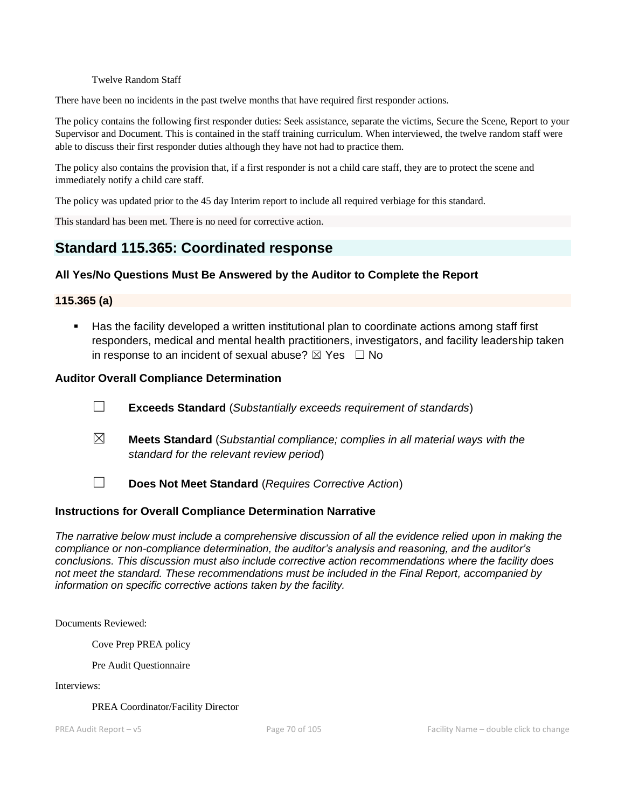#### Twelve Random Staff

There have been no incidents in the past twelve months that have required first responder actions.

The policy contains the following first responder duties: Seek assistance, separate the victims, Secure the Scene, Report to your Supervisor and Document. This is contained in the staff training curriculum. When interviewed, the twelve random staff were able to discuss their first responder duties although they have not had to practice them.

The policy also contains the provision that, if a first responder is not a child care staff, they are to protect the scene and immediately notify a child care staff.

The policy was updated prior to the 45 day Interim report to include all required verbiage for this standard.

This standard has been met. There is no need for corrective action.

## **Standard 115.365: Coordinated response**

### **All Yes/No Questions Must Be Answered by the Auditor to Complete the Report**

#### **115.365 (a)**

■ Has the facility developed a written institutional plan to coordinate actions among staff first responders, medical and mental health practitioners, investigators, and facility leadership taken in response to an incident of sexual abuse?  $\boxtimes$  Yes  $\Box$  No

#### **Auditor Overall Compliance Determination**

- ☐ **Exceeds Standard** (*Substantially exceeds requirement of standards*)
- ☒ **Meets Standard** (*Substantial compliance; complies in all material ways with the standard for the relevant review period*)
- ☐ **Does Not Meet Standard** (*Requires Corrective Action*)

#### **Instructions for Overall Compliance Determination Narrative**

*The narrative below must include a comprehensive discussion of all the evidence relied upon in making the compliance or non-compliance determination, the auditor's analysis and reasoning, and the auditor's conclusions. This discussion must also include corrective action recommendations where the facility does not meet the standard. These recommendations must be included in the Final Report, accompanied by information on specific corrective actions taken by the facility.*

Documents Reviewed:

Cove Prep PREA policy

Pre Audit Questionnaire

Interviews:

PREA Coordinator/Facility Director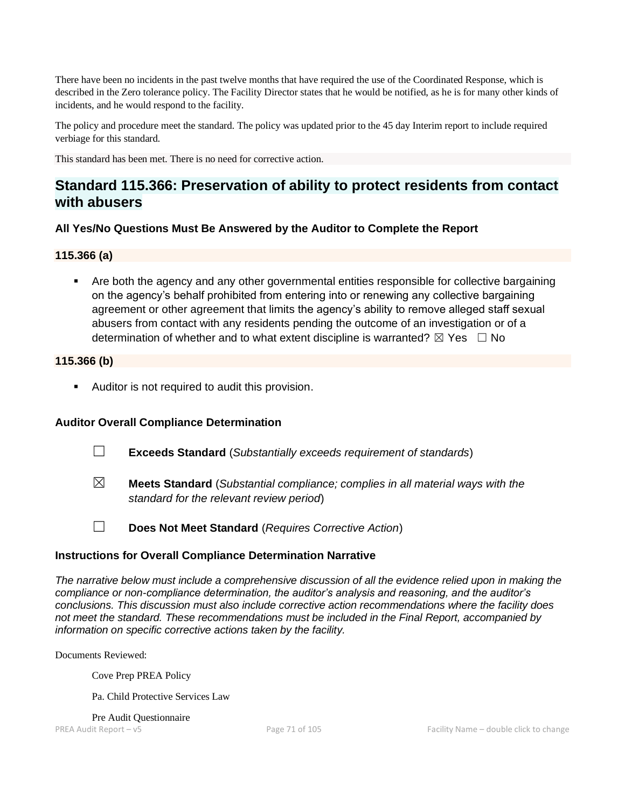There have been no incidents in the past twelve months that have required the use of the Coordinated Response, which is described in the Zero tolerance policy. The Facility Director states that he would be notified, as he is for many other kinds of incidents, and he would respond to the facility.

The policy and procedure meet the standard. The policy was updated prior to the 45 day Interim report to include required verbiage for this standard.

This standard has been met. There is no need for corrective action.

## **Standard 115.366: Preservation of ability to protect residents from contact with abusers**

### **All Yes/No Questions Must Be Answered by the Auditor to Complete the Report**

#### **115.366 (a)**

■ Are both the agency and any other governmental entities responsible for collective bargaining on the agency's behalf prohibited from entering into or renewing any collective bargaining agreement or other agreement that limits the agency's ability to remove alleged staff sexual abusers from contact with any residents pending the outcome of an investigation or of a determination of whether and to what extent discipline is warranted?  $\boxtimes$  Yes  $\Box$  No

#### **115.366 (b)**

■ Auditor is not required to audit this provision.

## **Auditor Overall Compliance Determination**

- ☐ **Exceeds Standard** (*Substantially exceeds requirement of standards*)
- ☒ **Meets Standard** (*Substantial compliance; complies in all material ways with the standard for the relevant review period*)
- 
- ☐ **Does Not Meet Standard** (*Requires Corrective Action*)

#### **Instructions for Overall Compliance Determination Narrative**

*The narrative below must include a comprehensive discussion of all the evidence relied upon in making the compliance or non-compliance determination, the auditor's analysis and reasoning, and the auditor's conclusions. This discussion must also include corrective action recommendations where the facility does not meet the standard. These recommendations must be included in the Final Report, accompanied by information on specific corrective actions taken by the facility.*

Documents Reviewed:

Cove Prep PREA Policy

Pa. Child Protective Services Law

Pre Audit Questionnaire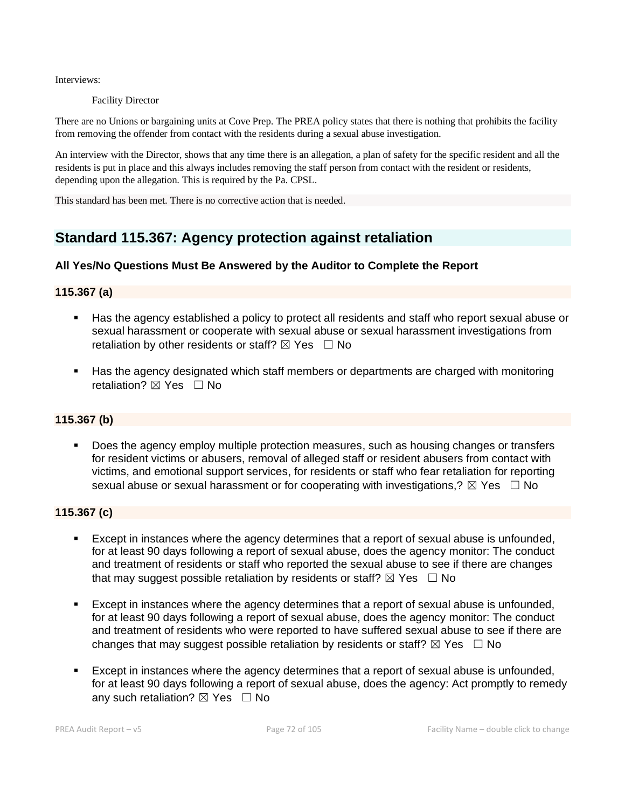Interviews:

Facility Director

There are no Unions or bargaining units at Cove Prep. The PREA policy states that there is nothing that prohibits the facility from removing the offender from contact with the residents during a sexual abuse investigation.

An interview with the Director, shows that any time there is an allegation, a plan of safety for the specific resident and all the residents is put in place and this always includes removing the staff person from contact with the resident or residents, depending upon the allegation. This is required by the Pa. CPSL.

This standard has been met. There is no corrective action that is needed.

## **Standard 115.367: Agency protection against retaliation**

## **All Yes/No Questions Must Be Answered by the Auditor to Complete the Report**

### **115.367 (a)**

- Has the agency established a policy to protect all residents and staff who report sexual abuse or sexual harassment or cooperate with sexual abuse or sexual harassment investigations from retaliation by other residents or staff?  $\boxtimes$  Yes  $\Box$  No
- Has the agency designated which staff members or departments are charged with monitoring retaliation? **⊠** Yes □ No

#### **115.367 (b)**

**• Does the agency employ multiple protection measures, such as housing changes or transfers** for resident victims or abusers, removal of alleged staff or resident abusers from contact with victims, and emotional support services, for residents or staff who fear retaliation for reporting sexual abuse or sexual harassment or for cooperating with investigations,?  $\boxtimes$  Yes  $\Box$  No

#### **115.367 (c)**

- Except in instances where the agency determines that a report of sexual abuse is unfounded, for at least 90 days following a report of sexual abuse, does the agency monitor: The conduct and treatment of residents or staff who reported the sexual abuse to see if there are changes that may suggest possible retaliation by residents or staff?  $\boxtimes$  Yes  $\Box$  No
- **Except in instances where the agency determines that a report of sexual abuse is unfounded,** for at least 90 days following a report of sexual abuse, does the agency monitor: The conduct and treatment of residents who were reported to have suffered sexual abuse to see if there are changes that may suggest possible retaliation by residents or staff?  $\boxtimes$  Yes  $\Box$  No
- **Except in instances where the agency determines that a report of sexual abuse is unfounded,** for at least 90 days following a report of sexual abuse, does the agency: Act promptly to remedy any such retaliation?  $\boxtimes$  Yes  $\Box$  No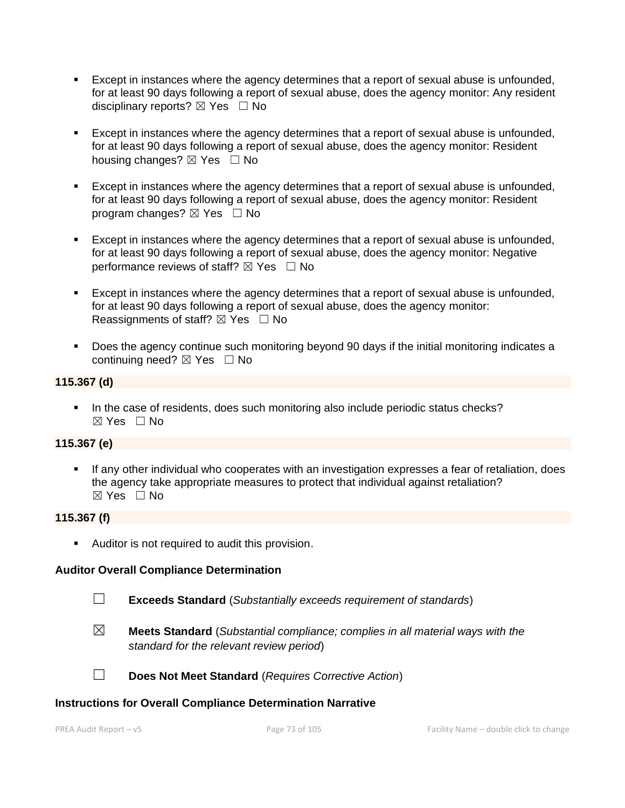- Except in instances where the agency determines that a report of sexual abuse is unfounded, for at least 90 days following a report of sexual abuse, does the agency monitor: Any resident disciplinary reports?  $\boxtimes$  Yes  $\Box$  No
- Except in instances where the agency determines that a report of sexual abuse is unfounded, for at least 90 days following a report of sexual abuse, does the agency monitor: Resident housing changes?  $\boxtimes$  Yes  $\Box$  No
- Except in instances where the agency determines that a report of sexual abuse is unfounded, for at least 90 days following a report of sexual abuse, does the agency monitor: Resident program changes?  $\boxtimes$  Yes  $\Box$  No
- **Except in instances where the agency determines that a report of sexual abuse is unfounded,** for at least 90 days following a report of sexual abuse, does the agency monitor: Negative performance reviews of staff?  $\boxtimes$  Yes  $\Box$  No
- Except in instances where the agency determines that a report of sexual abuse is unfounded, for at least 90 days following a report of sexual abuse, does the agency monitor: Reassignments of staff?  $\boxtimes$  Yes  $\Box$  No
- Does the agency continue such monitoring beyond 90 days if the initial monitoring indicates a continuing need? ☒ Yes ☐ No

# **115.367 (d)**

**.** In the case of residents, does such monitoring also include periodic status checks? ☒ Yes ☐ No

# **115.367 (e)**

**EXT** If any other individual who cooperates with an investigation expresses a fear of retaliation, does the agency take appropriate measures to protect that individual against retaliation?  $\boxtimes$  Yes  $\Box$  No

#### **115.367 (f)**

■ Auditor is not required to audit this provision.

# **Auditor Overall Compliance Determination**

- 
- ☐ **Exceeds Standard** (*Substantially exceeds requirement of standards*)
- ☒ **Meets Standard** (*Substantial compliance; complies in all material ways with the standard for the relevant review period*)
- ☐ **Does Not Meet Standard** (*Requires Corrective Action*)

#### **Instructions for Overall Compliance Determination Narrative**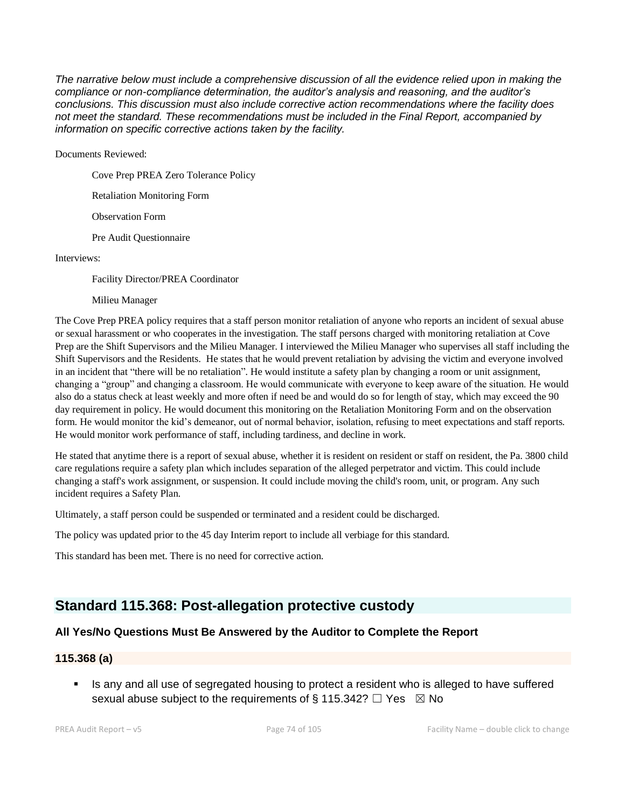*The narrative below must include a comprehensive discussion of all the evidence relied upon in making the compliance or non-compliance determination, the auditor's analysis and reasoning, and the auditor's conclusions. This discussion must also include corrective action recommendations where the facility does not meet the standard. These recommendations must be included in the Final Report, accompanied by information on specific corrective actions taken by the facility.*

Documents Reviewed:

Cove Prep PREA Zero Tolerance Policy

Retaliation Monitoring Form

Observation Form

Pre Audit Questionnaire

Interviews:

Facility Director/PREA Coordinator

#### Milieu Manager

The Cove Prep PREA policy requires that a staff person monitor retaliation of anyone who reports an incident of sexual abuse or sexual harassment or who cooperates in the investigation. The staff persons charged with monitoring retaliation at Cove Prep are the Shift Supervisors and the Milieu Manager. I interviewed the Milieu Manager who supervises all staff including the Shift Supervisors and the Residents. He states that he would prevent retaliation by advising the victim and everyone involved in an incident that "there will be no retaliation". He would institute a safety plan by changing a room or unit assignment, changing a "group" and changing a classroom. He would communicate with everyone to keep aware of the situation. He would also do a status check at least weekly and more often if need be and would do so for length of stay, which may exceed the 90 day requirement in policy. He would document this monitoring on the Retaliation Monitoring Form and on the observation form. He would monitor the kid's demeanor, out of normal behavior, isolation, refusing to meet expectations and staff reports. He would monitor work performance of staff, including tardiness, and decline in work.

He stated that anytime there is a report of sexual abuse, whether it is resident on resident or staff on resident, the Pa. 3800 child care regulations require a safety plan which includes separation of the alleged perpetrator and victim. This could include changing a staff's work assignment, or suspension. It could include moving the child's room, unit, or program. Any such incident requires a Safety Plan.

Ultimately, a staff person could be suspended or terminated and a resident could be discharged.

The policy was updated prior to the 45 day Interim report to include all verbiage for this standard.

This standard has been met. There is no need for corrective action.

# **Standard 115.368: Post-allegation protective custody**

# **All Yes/No Questions Must Be Answered by the Auditor to Complete the Report**

#### **115.368 (a)**

Is any and all use of segregated housing to protect a resident who is alleged to have suffered sexual abuse subject to the requirements of § 115.342?  $\Box$  Yes  $\boxtimes$  No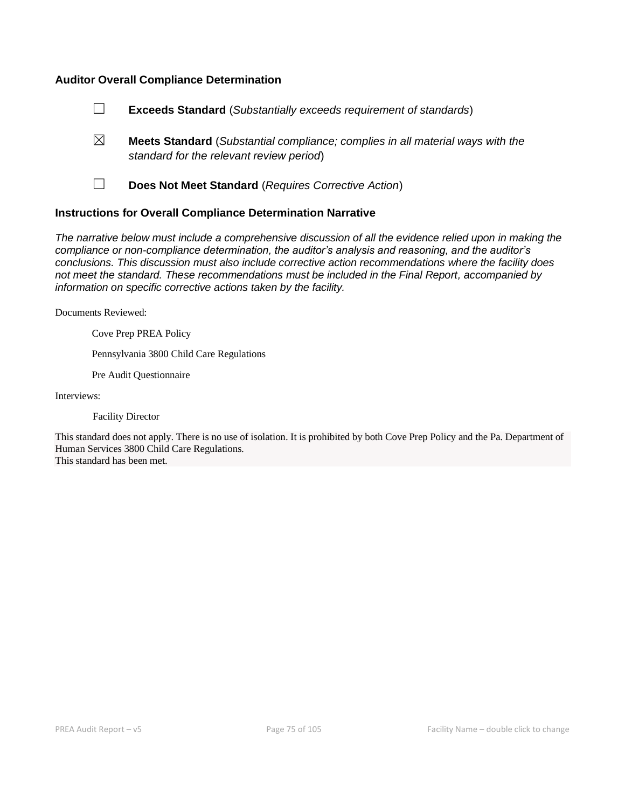#### **Auditor Overall Compliance Determination**



- ☒ **Meets Standard** (*Substantial compliance; complies in all material ways with the standard for the relevant review period*)
- 

☐ **Does Not Meet Standard** (*Requires Corrective Action*)

#### **Instructions for Overall Compliance Determination Narrative**

*The narrative below must include a comprehensive discussion of all the evidence relied upon in making the compliance or non-compliance determination, the auditor's analysis and reasoning, and the auditor's conclusions. This discussion must also include corrective action recommendations where the facility does not meet the standard. These recommendations must be included in the Final Report, accompanied by information on specific corrective actions taken by the facility.*

Documents Reviewed:

Cove Prep PREA Policy

Pennsylvania 3800 Child Care Regulations

Pre Audit Questionnaire

Interviews:

Facility Director

This standard does not apply. There is no use of isolation. It is prohibited by both Cove Prep Policy and the Pa. Department of Human Services 3800 Child Care Regulations.

This standard has been met.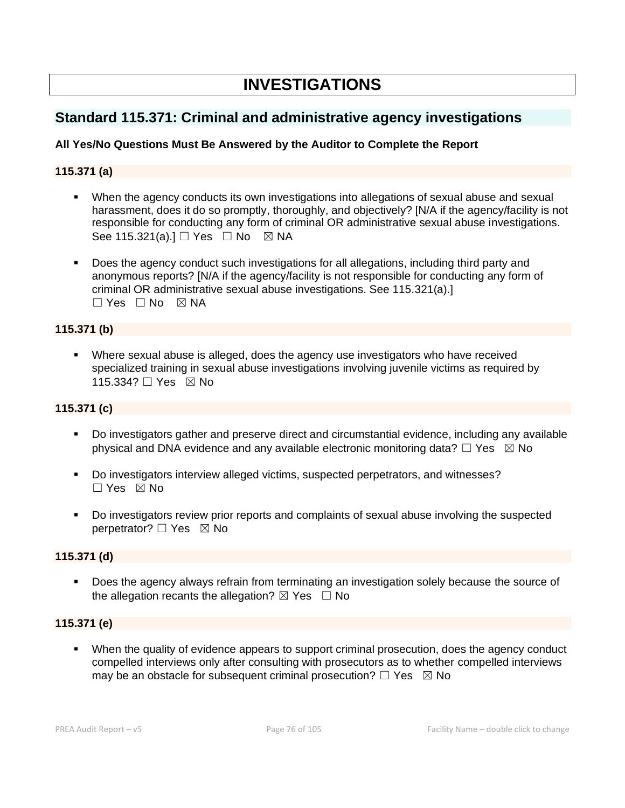# **INVESTIGATIONS**

# **Standard 115.371: Criminal and administrative agency investigations**

# **All Yes/No Questions Must Be Answered by the Auditor to Complete the Report**

# **115.371 (a)**

- **•** When the agency conducts its own investigations into allegations of sexual abuse and sexual harassment, does it do so promptly, thoroughly, and objectively? [N/A if the agency/facility is not responsible for conducting any form of criminal OR administrative sexual abuse investigations. See 115.321(a).] □ Yes □ No ⊠ NA
- Does the agency conduct such investigations for all allegations, including third party and anonymous reports? [N/A if the agency/facility is not responsible for conducting any form of criminal OR administrative sexual abuse investigations. See 115.321(a).]  $\Box$  Yes  $\Box$  No  $\boxtimes$  NA

### **115.371 (b)**

▪ Where sexual abuse is alleged, does the agency use investigators who have received specialized training in sexual abuse investigations involving juvenile victims as required by 115.334? □ Yes ⊠ No

### **115.371 (c)**

- Do investigators gather and preserve direct and circumstantial evidence, including any available physical and DNA evidence and any available electronic monitoring data?  $\Box$  Yes  $\boxtimes$  No
- Do investigators interview alleged victims, suspected perpetrators, and witnesses?  $\Box$  Yes  $\boxtimes$  No
- Do investigators review prior reports and complaints of sexual abuse involving the suspected perpetrator? □ Yes ⊠ No

# **115.371 (d)**

Does the agency always refrain from terminating an investigation solely because the source of the allegation recants the allegation?  $\boxtimes$  Yes  $\Box$  No

# **115.371 (e)**

▪ When the quality of evidence appears to support criminal prosecution, does the agency conduct compelled interviews only after consulting with prosecutors as to whether compelled interviews may be an obstacle for subsequent criminal prosecution?  $\Box$  Yes  $\boxtimes$  No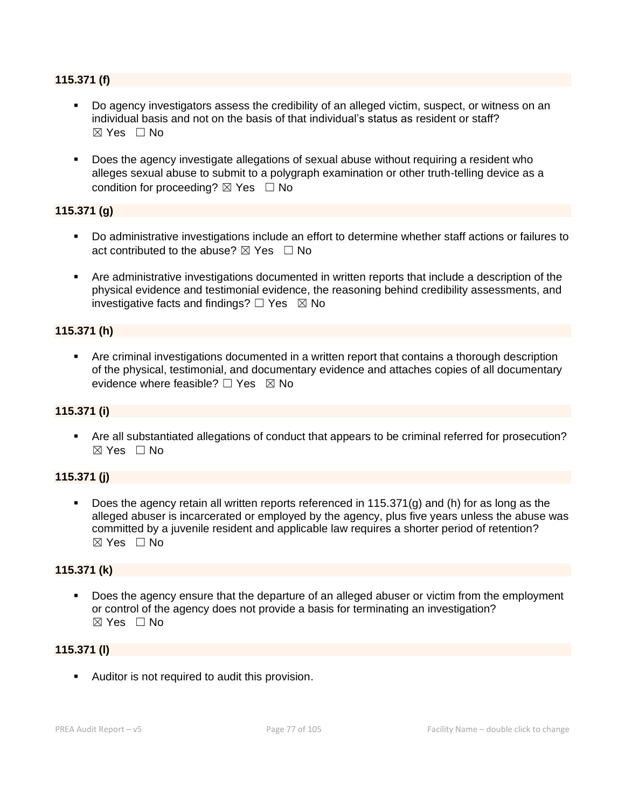### **115.371 (f)**

- Do agency investigators assess the credibility of an alleged victim, suspect, or witness on an individual basis and not on the basis of that individual's status as resident or staff?  $\boxtimes$  Yes  $\Box$  No
- Does the agency investigate allegations of sexual abuse without requiring a resident who alleges sexual abuse to submit to a polygraph examination or other truth-telling device as a condition for proceeding?  $\boxtimes$  Yes  $\Box$  No

### **115.371 (g)**

- Do administrative investigations include an effort to determine whether staff actions or failures to act contributed to the abuse?  $\boxtimes$  Yes  $\Box$  No
- Are administrative investigations documented in written reports that include a description of the physical evidence and testimonial evidence, the reasoning behind credibility assessments, and investigative facts and findings?  $\Box$  Yes  $\boxtimes$  No

# **115.371 (h)**

**•** Are criminal investigations documented in a written report that contains a thorough description of the physical, testimonial, and documentary evidence and attaches copies of all documentary evidence where feasible?  $\Box$  Yes  $\boxtimes$  No

# **115.371 (i)**

▪ Are all substantiated allegations of conduct that appears to be criminal referred for prosecution?  $\boxtimes$  Yes  $\Box$  No

# **115.371 (j)**

Does the agency retain all written reports referenced in  $115.371(g)$  and (h) for as long as the alleged abuser is incarcerated or employed by the agency, plus five years unless the abuse was committed by a juvenile resident and applicable law requires a shorter period of retention?  $\boxtimes$  Yes  $\Box$  No

### **115.371 (k)**

Does the agency ensure that the departure of an alleged abuser or victim from the employment or control of the agency does not provide a basis for terminating an investigation?  $\boxtimes$  Yes  $\Box$  No

#### **115.371 (l)**

■ Auditor is not required to audit this provision.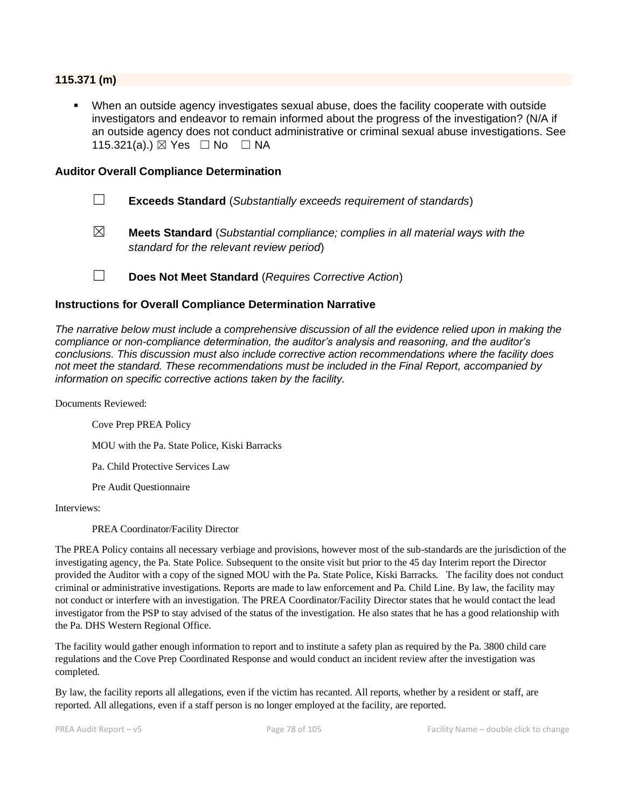#### **115.371 (m)**

When an outside agency investigates sexual abuse, does the facility cooperate with outside investigators and endeavor to remain informed about the progress of the investigation? (N/A if an outside agency does not conduct administrative or criminal sexual abuse investigations. See 115.321(a).) ⊠ Yes □ No □ NA

#### **Auditor Overall Compliance Determination**

- ☐ **Exceeds Standard** (*Substantially exceeds requirement of standards*)
- ☒ **Meets Standard** (*Substantial compliance; complies in all material ways with the standard for the relevant review period*)
- ☐ **Does Not Meet Standard** (*Requires Corrective Action*)

#### **Instructions for Overall Compliance Determination Narrative**

*The narrative below must include a comprehensive discussion of all the evidence relied upon in making the compliance or non-compliance determination, the auditor's analysis and reasoning, and the auditor's conclusions. This discussion must also include corrective action recommendations where the facility does not meet the standard. These recommendations must be included in the Final Report, accompanied by information on specific corrective actions taken by the facility.*

Documents Reviewed:

Cove Prep PREA Policy

MOU with the Pa. State Police, Kiski Barracks

Pa. Child Protective Services Law

Pre Audit Questionnaire

Interviews:

PREA Coordinator/Facility Director

The PREA Policy contains all necessary verbiage and provisions, however most of the sub-standards are the jurisdiction of the investigating agency, the Pa. State Police. Subsequent to the onsite visit but prior to the 45 day Interim report the Director provided the Auditor with a copy of the signed MOU with the Pa. State Police, Kiski Barracks. The facility does not conduct criminal or administrative investigations. Reports are made to law enforcement and Pa. Child Line. By law, the facility may not conduct or interfere with an investigation. The PREA Coordinator/Facility Director states that he would contact the lead investigator from the PSP to stay advised of the status of the investigation. He also states that he has a good relationship with the Pa. DHS Western Regional Office.

The facility would gather enough information to report and to institute a safety plan as required by the Pa. 3800 child care regulations and the Cove Prep Coordinated Response and would conduct an incident review after the investigation was completed.

By law, the facility reports all allegations, even if the victim has recanted. All reports, whether by a resident or staff, are reported. All allegations, even if a staff person is no longer employed at the facility, are reported.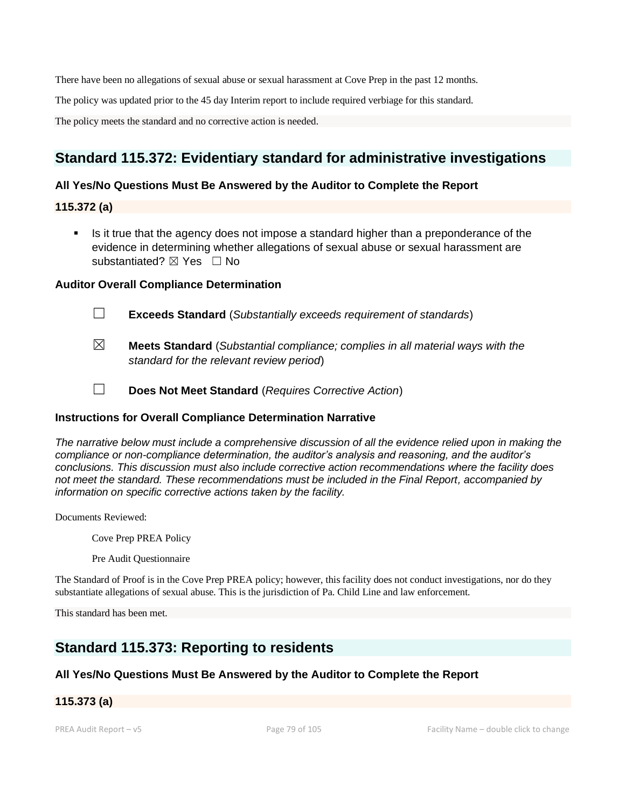There have been no allegations of sexual abuse or sexual harassment at Cove Prep in the past 12 months.

The policy was updated prior to the 45 day Interim report to include required verbiage for this standard.

The policy meets the standard and no corrective action is needed.

# **Standard 115.372: Evidentiary standard for administrative investigations**

### **All Yes/No Questions Must Be Answered by the Auditor to Complete the Report**

**115.372 (a)**

■ Is it true that the agency does not impose a standard higher than a preponderance of the evidence in determining whether allegations of sexual abuse or sexual harassment are substantiated?  $\boxtimes$  Yes  $\Box$  No

#### **Auditor Overall Compliance Determination**



☐ **Exceeds Standard** (*Substantially exceeds requirement of standards*)

- ☒ **Meets Standard** (*Substantial compliance; complies in all material ways with the standard for the relevant review period*)
	-

☐ **Does Not Meet Standard** (*Requires Corrective Action*)

#### **Instructions for Overall Compliance Determination Narrative**

*The narrative below must include a comprehensive discussion of all the evidence relied upon in making the compliance or non-compliance determination, the auditor's analysis and reasoning, and the auditor's conclusions. This discussion must also include corrective action recommendations where the facility does not meet the standard. These recommendations must be included in the Final Report, accompanied by information on specific corrective actions taken by the facility.*

Documents Reviewed:

Cove Prep PREA Policy

Pre Audit Questionnaire

The Standard of Proof is in the Cove Prep PREA policy; however, this facility does not conduct investigations, nor do they substantiate allegations of sexual abuse. This is the jurisdiction of Pa. Child Line and law enforcement.

This standard has been met.

# **Standard 115.373: Reporting to residents**

# **All Yes/No Questions Must Be Answered by the Auditor to Complete the Report**

# **115.373 (a)**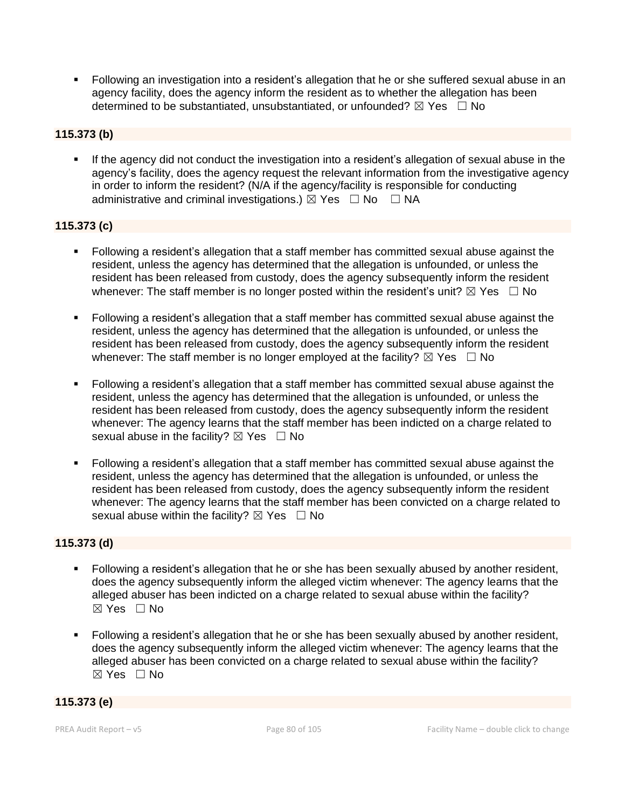▪ Following an investigation into a resident's allegation that he or she suffered sexual abuse in an agency facility, does the agency inform the resident as to whether the allegation has been determined to be substantiated, unsubstantiated, or unfounded?  $\boxtimes$  Yes  $\Box$  No

# **115.373 (b)**

If the agency did not conduct the investigation into a resident's allegation of sexual abuse in the agency's facility, does the agency request the relevant information from the investigative agency in order to inform the resident? (N/A if the agency/facility is responsible for conducting administrative and criminal investigations.)  $\boxtimes$  Yes  $\Box$  No  $\Box$  NA

# **115.373 (c)**

- Following a resident's allegation that a staff member has committed sexual abuse against the resident, unless the agency has determined that the allegation is unfounded, or unless the resident has been released from custody, does the agency subsequently inform the resident whenever: The staff member is no longer posted within the resident's unit?  $\boxtimes$  Yes  $\Box$  No
- Following a resident's allegation that a staff member has committed sexual abuse against the resident, unless the agency has determined that the allegation is unfounded, or unless the resident has been released from custody, does the agency subsequently inform the resident whenever: The staff member is no longer employed at the facility?  $\boxtimes$  Yes  $\Box$  No
- Following a resident's allegation that a staff member has committed sexual abuse against the resident, unless the agency has determined that the allegation is unfounded, or unless the resident has been released from custody, does the agency subsequently inform the resident whenever: The agency learns that the staff member has been indicted on a charge related to sexual abuse in the facility?  $\boxtimes$  Yes  $\Box$  No
- Following a resident's allegation that a staff member has committed sexual abuse against the resident, unless the agency has determined that the allegation is unfounded, or unless the resident has been released from custody, does the agency subsequently inform the resident whenever: The agency learns that the staff member has been convicted on a charge related to sexual abuse within the facility?  $\boxtimes$  Yes  $\Box$  No

# **115.373 (d)**

- Following a resident's allegation that he or she has been sexually abused by another resident, does the agency subsequently inform the alleged victim whenever: The agency learns that the alleged abuser has been indicted on a charge related to sexual abuse within the facility?  $\boxtimes$  Yes  $\Box$  No
- Following a resident's allegation that he or she has been sexually abused by another resident, does the agency subsequently inform the alleged victim whenever: The agency learns that the alleged abuser has been convicted on a charge related to sexual abuse within the facility? ☒ Yes ☐ No

#### **115.373 (e)**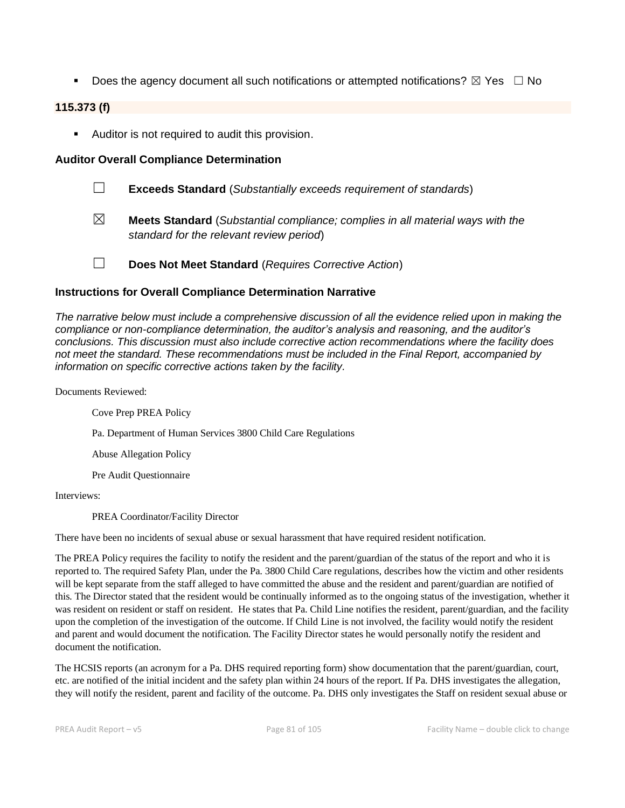**•** Does the agency document all such notifications or attempted notifications?  $\boxtimes$  Yes  $\Box$  No

# **115.373 (f)**

■ Auditor is not required to audit this provision.

### **Auditor Overall Compliance Determination**

- ☐ **Exceeds Standard** (*Substantially exceeds requirement of standards*)
- ☒ **Meets Standard** (*Substantial compliance; complies in all material ways with the standard for the relevant review period*)
- ☐ **Does Not Meet Standard** (*Requires Corrective Action*)

### **Instructions for Overall Compliance Determination Narrative**

*The narrative below must include a comprehensive discussion of all the evidence relied upon in making the compliance or non-compliance determination, the auditor's analysis and reasoning, and the auditor's conclusions. This discussion must also include corrective action recommendations where the facility does not meet the standard. These recommendations must be included in the Final Report, accompanied by information on specific corrective actions taken by the facility.*

Documents Reviewed:

Cove Prep PREA Policy

Pa. Department of Human Services 3800 Child Care Regulations

Abuse Allegation Policy

Pre Audit Questionnaire

Interviews:

PREA Coordinator/Facility Director

There have been no incidents of sexual abuse or sexual harassment that have required resident notification.

The PREA Policy requires the facility to notify the resident and the parent/guardian of the status of the report and who it is reported to. The required Safety Plan, under the Pa. 3800 Child Care regulations, describes how the victim and other residents will be kept separate from the staff alleged to have committed the abuse and the resident and parent/guardian are notified of this. The Director stated that the resident would be continually informed as to the ongoing status of the investigation, whether it was resident on resident or staff on resident. He states that Pa. Child Line notifies the resident, parent/guardian, and the facility upon the completion of the investigation of the outcome. If Child Line is not involved, the facility would notify the resident and parent and would document the notification. The Facility Director states he would personally notify the resident and document the notification.

The HCSIS reports (an acronym for a Pa. DHS required reporting form) show documentation that the parent/guardian, court, etc. are notified of the initial incident and the safety plan within 24 hours of the report. If Pa. DHS investigates the allegation, they will notify the resident, parent and facility of the outcome. Pa. DHS only investigates the Staff on resident sexual abuse or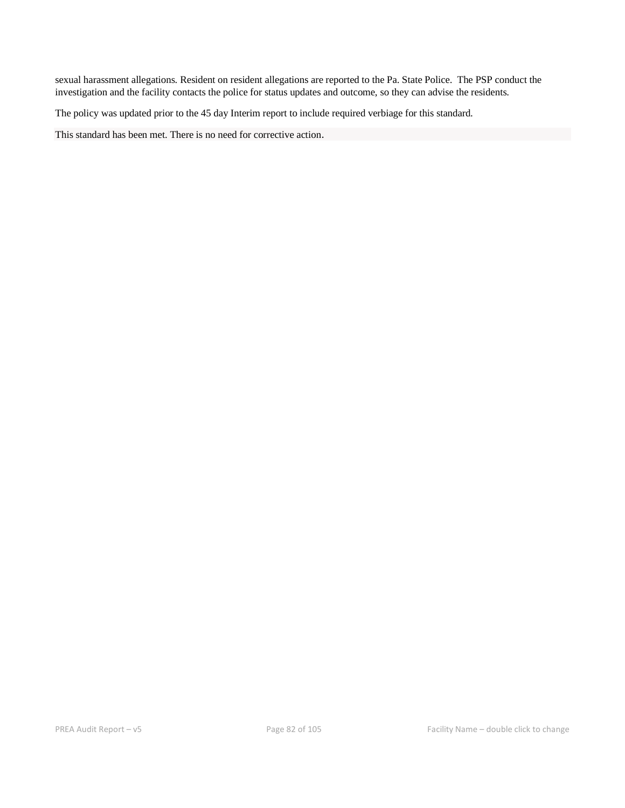sexual harassment allegations. Resident on resident allegations are reported to the Pa. State Police. The PSP conduct the investigation and the facility contacts the police for status updates and outcome, so they can advise the residents.

The policy was updated prior to the 45 day Interim report to include required verbiage for this standard.

This standard has been met. There is no need for corrective action.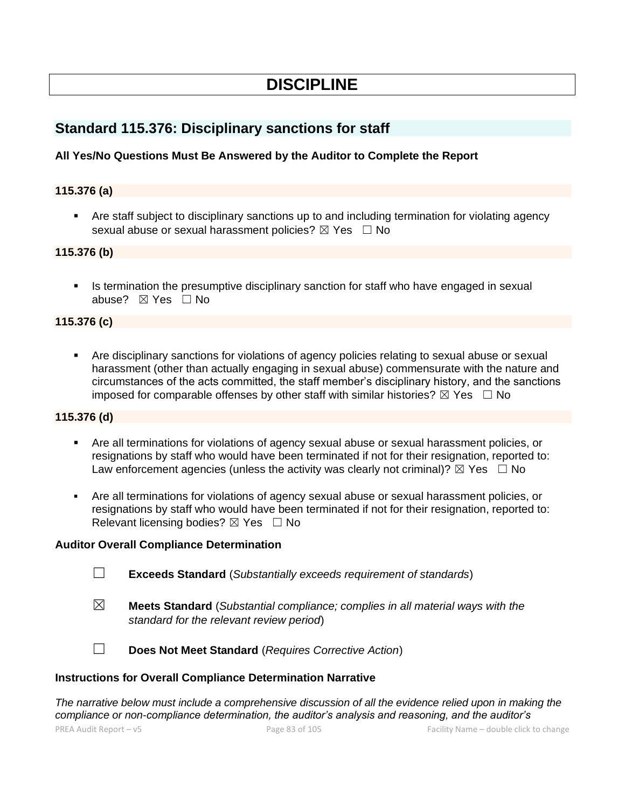# **DISCIPLINE**

# **Standard 115.376: Disciplinary sanctions for staff**

# **All Yes/No Questions Must Be Answered by the Auditor to Complete the Report**

### **115.376 (a)**

**•** Are staff subject to disciplinary sanctions up to and including termination for violating agency sexual abuse or sexual harassment policies?  $\boxtimes$  Yes  $\Box$  No

# **115.376 (b)**

**EXTE:** Is termination the presumptive disciplinary sanction for staff who have engaged in sexual abuse? ☒ Yes ☐ No

# **115.376 (c)**

■ Are disciplinary sanctions for violations of agency policies relating to sexual abuse or sexual harassment (other than actually engaging in sexual abuse) commensurate with the nature and circumstances of the acts committed, the staff member's disciplinary history, and the sanctions imposed for comparable offenses by other staff with similar histories?  $\boxtimes$  Yes  $\Box$  No

#### **115.376 (d)**

- Are all terminations for violations of agency sexual abuse or sexual harassment policies, or resignations by staff who would have been terminated if not for their resignation, reported to: Law enforcement agencies (unless the activity was clearly not criminal)?  $\boxtimes$  Yes  $\Box$  No
- Are all terminations for violations of agency sexual abuse or sexual harassment policies, or resignations by staff who would have been terminated if not for their resignation, reported to: Relevant licensing bodies?  $\boxtimes$  Yes  $\Box$  No

#### **Auditor Overall Compliance Determination**

- ☐ **Exceeds Standard** (*Substantially exceeds requirement of standards*)
- ☒ **Meets Standard** (*Substantial compliance; complies in all material ways with the standard for the relevant review period*)



☐ **Does Not Meet Standard** (*Requires Corrective Action*)

#### **Instructions for Overall Compliance Determination Narrative**

*The narrative below must include a comprehensive discussion of all the evidence relied upon in making the compliance or non-compliance determination, the auditor's analysis and reasoning, and the auditor's*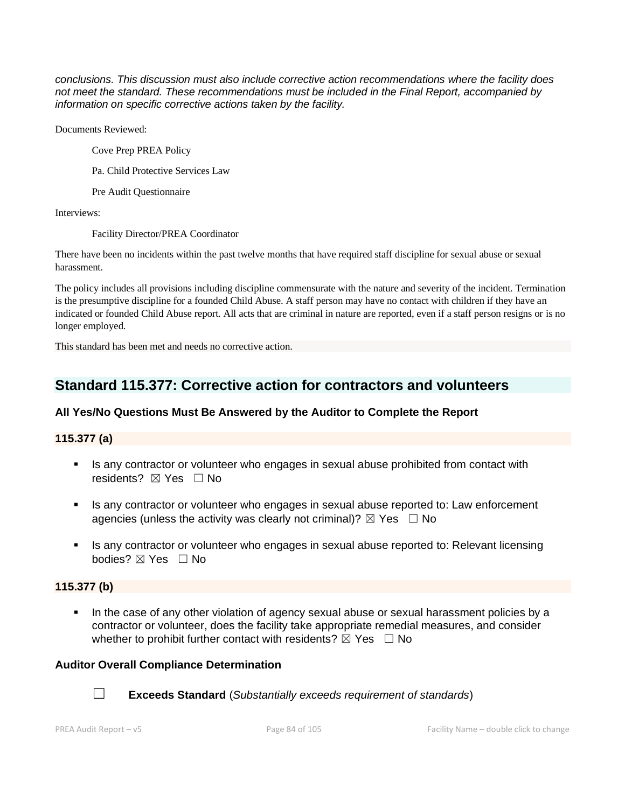*conclusions. This discussion must also include corrective action recommendations where the facility does not meet the standard. These recommendations must be included in the Final Report, accompanied by information on specific corrective actions taken by the facility.*

Documents Reviewed:

Cove Prep PREA Policy

Pa. Child Protective Services Law

Pre Audit Questionnaire

Interviews:

Facility Director/PREA Coordinator

There have been no incidents within the past twelve months that have required staff discipline for sexual abuse or sexual harassment.

The policy includes all provisions including discipline commensurate with the nature and severity of the incident. Termination is the presumptive discipline for a founded Child Abuse. A staff person may have no contact with children if they have an indicated or founded Child Abuse report. All acts that are criminal in nature are reported, even if a staff person resigns or is no longer employed.

This standard has been met and needs no corrective action.

# **Standard 115.377: Corrective action for contractors and volunteers**

# **All Yes/No Questions Must Be Answered by the Auditor to Complete the Report**

# **115.377 (a)**

- **EXECT** Is any contractor or volunteer who engages in sexual abuse prohibited from contact with residents? **⊠** Yes □ No
- **EXT** Is any contractor or volunteer who engages in sexual abuse reported to: Law enforcement agencies (unless the activity was clearly not criminal)?  $\boxtimes$  Yes  $\Box$  No
- **EXECT** Is any contractor or volunteer who engages in sexual abuse reported to: Relevant licensing bodies? ☒ Yes ☐ No

# **115.377 (b)**

In the case of any other violation of agency sexual abuse or sexual harassment policies by a contractor or volunteer, does the facility take appropriate remedial measures, and consider whether to prohibit further contact with residents?  $\boxtimes$  Yes  $\Box$  No

# **Auditor Overall Compliance Determination**



☐ **Exceeds Standard** (*Substantially exceeds requirement of standards*)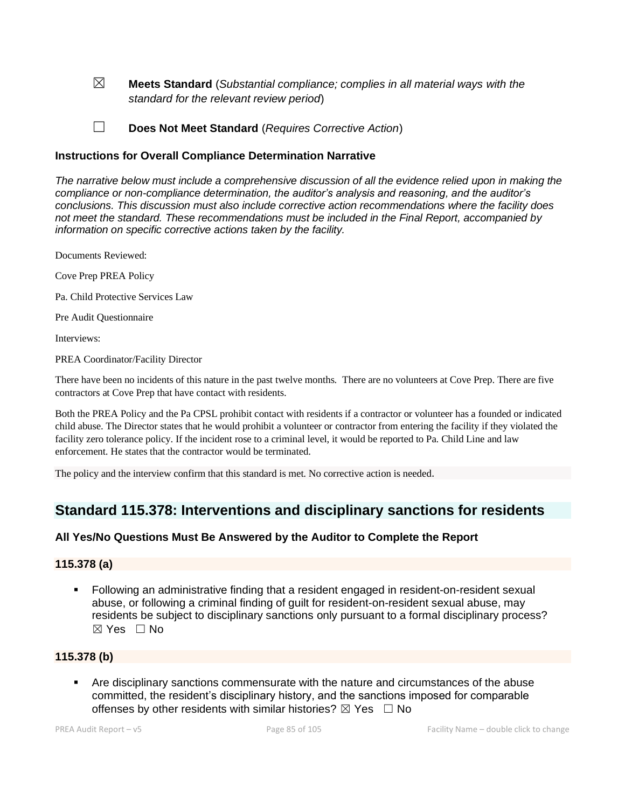☒ **Meets Standard** (*Substantial compliance; complies in all material ways with the standard for the relevant review period*)

☐ **Does Not Meet Standard** (*Requires Corrective Action*)

### **Instructions for Overall Compliance Determination Narrative**

*The narrative below must include a comprehensive discussion of all the evidence relied upon in making the compliance or non-compliance determination, the auditor's analysis and reasoning, and the auditor's conclusions. This discussion must also include corrective action recommendations where the facility does not meet the standard. These recommendations must be included in the Final Report, accompanied by information on specific corrective actions taken by the facility.*

Documents Reviewed:

Cove Prep PREA Policy

Pa. Child Protective Services Law

Pre Audit Questionnaire

Interviews:

PREA Coordinator/Facility Director

There have been no incidents of this nature in the past twelve months. There are no volunteers at Cove Prep. There are five contractors at Cove Prep that have contact with residents.

Both the PREA Policy and the Pa CPSL prohibit contact with residents if a contractor or volunteer has a founded or indicated child abuse. The Director states that he would prohibit a volunteer or contractor from entering the facility if they violated the facility zero tolerance policy. If the incident rose to a criminal level, it would be reported to Pa. Child Line and law enforcement. He states that the contractor would be terminated.

The policy and the interview confirm that this standard is met. No corrective action is needed.

# **Standard 115.378: Interventions and disciplinary sanctions for residents**

# **All Yes/No Questions Must Be Answered by the Auditor to Complete the Report**

# **115.378 (a)**

▪ Following an administrative finding that a resident engaged in resident-on-resident sexual abuse, or following a criminal finding of guilt for resident-on-resident sexual abuse, may residents be subject to disciplinary sanctions only pursuant to a formal disciplinary process? ☒ Yes ☐ No

# **115.378 (b)**

Are disciplinary sanctions commensurate with the nature and circumstances of the abuse committed, the resident's disciplinary history, and the sanctions imposed for comparable offenses by other residents with similar histories?  $\boxtimes$  Yes  $\Box$  No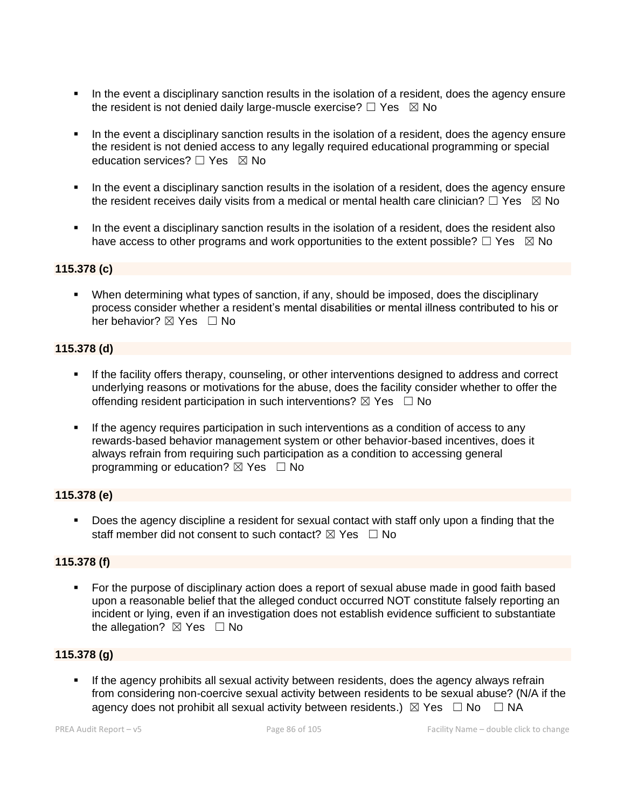- **•** In the event a disciplinary sanction results in the isolation of a resident, does the agency ensure the resident is not denied daily large-muscle exercise?  $\Box$  Yes  $\boxtimes$  No
- In the event a disciplinary sanction results in the isolation of a resident, does the agency ensure the resident is not denied access to any legally required educational programming or special education services?  $\Box$  Yes  $\boxtimes$  No
- **.** In the event a disciplinary sanction results in the isolation of a resident, does the agency ensure the resident receives daily visits from a medical or mental health care clinician?  $\Box$  Yes  $\boxtimes$  No
- In the event a disciplinary sanction results in the isolation of a resident, does the resident also have access to other programs and work opportunities to the extent possible?  $\Box$  Yes  $\boxtimes$  No

# **115.378 (c)**

▪ When determining what types of sanction, if any, should be imposed, does the disciplinary process consider whether a resident's mental disabilities or mental illness contributed to his or her behavior?  $\boxtimes$  Yes  $\Box$  No

### **115.378 (d)**

- If the facility offers therapy, counseling, or other interventions designed to address and correct underlying reasons or motivations for the abuse, does the facility consider whether to offer the offending resident participation in such interventions?  $\boxtimes$  Yes  $\Box$  No
- If the agency requires participation in such interventions as a condition of access to any rewards-based behavior management system or other behavior-based incentives, does it always refrain from requiring such participation as a condition to accessing general programming or education?  $\boxtimes$  Yes  $\Box$  No

# **115.378 (e)**

▪ Does the agency discipline a resident for sexual contact with staff only upon a finding that the staff member did not consent to such contact?  $\boxtimes$  Yes  $\Box$  No

# **115.378 (f)**

■ For the purpose of disciplinary action does a report of sexual abuse made in good faith based upon a reasonable belief that the alleged conduct occurred NOT constitute falsely reporting an incident or lying, even if an investigation does not establish evidence sufficient to substantiate the allegation?  $\boxtimes$  Yes  $\Box$  No

# **115.378 (g)**

If the agency prohibits all sexual activity between residents, does the agency always refrain from considering non-coercive sexual activity between residents to be sexual abuse? (N/A if the agency does not prohibit all sexual activity between residents.)  $\boxtimes$  Yes  $\Box$  No  $\Box$  NA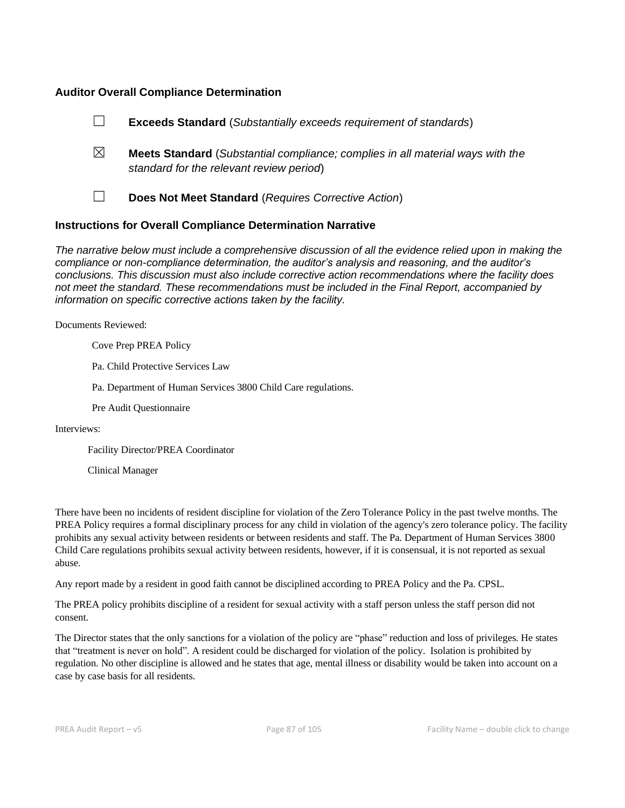#### **Auditor Overall Compliance Determination**

|                                                                    | <b>Exceeds Standard</b> (Substantially exceeds requirement of standards)                                                          |
|--------------------------------------------------------------------|-----------------------------------------------------------------------------------------------------------------------------------|
| ⊠                                                                  | <b>Meets Standard</b> (Substantial compliance; complies in all material ways with the<br>standard for the relevant review period) |
|                                                                    | Does Not Meet Standard (Requires Corrective Action)                                                                               |
| <b>Instructions for Overall Compliance Determination Narrative</b> |                                                                                                                                   |

*The narrative below must include a comprehensive discussion of all the evidence relied upon in making the compliance or non-compliance determination, the auditor's analysis and reasoning, and the auditor's conclusions. This discussion must also include corrective action recommendations where the facility does not meet the standard. These recommendations must be included in the Final Report, accompanied by information on specific corrective actions taken by the facility.*

Documents Reviewed:

Cove Prep PREA Policy

Pa. Child Protective Services Law

Pa. Department of Human Services 3800 Child Care regulations.

Pre Audit Questionnaire

Interviews:

Facility Director/PREA Coordinator

Clinical Manager

There have been no incidents of resident discipline for violation of the Zero Tolerance Policy in the past twelve months. The PREA Policy requires a formal disciplinary process for any child in violation of the agency's zero tolerance policy. The facility prohibits any sexual activity between residents or between residents and staff. The Pa. Department of Human Services 3800 Child Care regulations prohibits sexual activity between residents, however, if it is consensual, it is not reported as sexual abuse.

Any report made by a resident in good faith cannot be disciplined according to PREA Policy and the Pa. CPSL.

The PREA policy prohibits discipline of a resident for sexual activity with a staff person unless the staff person did not consent.

The Director states that the only sanctions for a violation of the policy are "phase" reduction and loss of privileges. He states that "treatment is never on hold". A resident could be discharged for violation of the policy. Isolation is prohibited by regulation. No other discipline is allowed and he states that age, mental illness or disability would be taken into account on a case by case basis for all residents.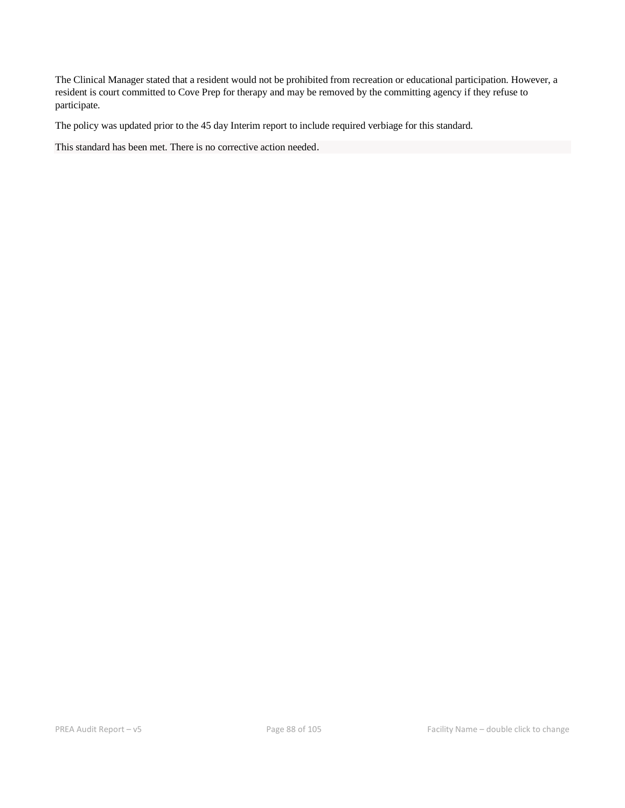The Clinical Manager stated that a resident would not be prohibited from recreation or educational participation. However, a resident is court committed to Cove Prep for therapy and may be removed by the committing agency if they refuse to participate.

The policy was updated prior to the 45 day Interim report to include required verbiage for this standard.

This standard has been met. There is no corrective action needed.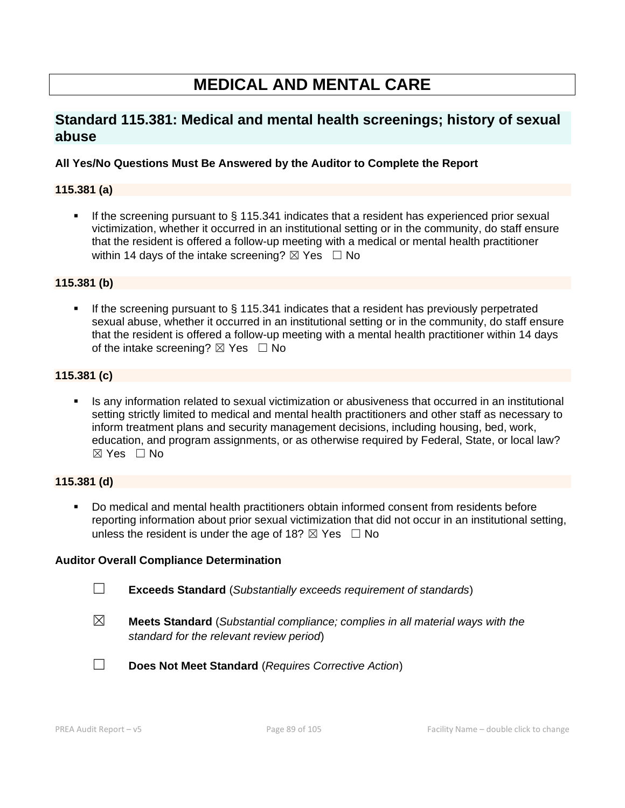# **MEDICAL AND MENTAL CARE**

# **Standard 115.381: Medical and mental health screenings; history of sexual abuse**

# **All Yes/No Questions Must Be Answered by the Auditor to Complete the Report**

# **115.381 (a)**

If the screening pursuant to  $\S$  115.341 indicates that a resident has experienced prior sexual victimization, whether it occurred in an institutional setting or in the community, do staff ensure that the resident is offered a follow-up meeting with a medical or mental health practitioner within 14 days of the intake screening?  $\boxtimes$  Yes  $\Box$  No

### **115.381 (b)**

■ If the screening pursuant to § 115.341 indicates that a resident has previously perpetrated sexual abuse, whether it occurred in an institutional setting or in the community, do staff ensure that the resident is offered a follow-up meeting with a mental health practitioner within 14 days of the intake screening?  $\boxtimes$  Yes  $\Box$  No

# **115.381 (c)**

**EXECT** Is any information related to sexual victimization or abusiveness that occurred in an institutional setting strictly limited to medical and mental health practitioners and other staff as necessary to inform treatment plans and security management decisions, including housing, bed, work, education, and program assignments, or as otherwise required by Federal, State, or local law?  $\boxtimes$  Yes  $\Box$  No

#### **115.381 (d)**

▪ Do medical and mental health practitioners obtain informed consent from residents before reporting information about prior sexual victimization that did not occur in an institutional setting, unless the resident is under the age of 18?  $\boxtimes$  Yes  $\Box$  No

#### **Auditor Overall Compliance Determination**

- ☐ **Exceeds Standard** (*Substantially exceeds requirement of standards*)
- 

☒ **Meets Standard** (*Substantial compliance; complies in all material ways with the standard for the relevant review period*)



☐ **Does Not Meet Standard** (*Requires Corrective Action*)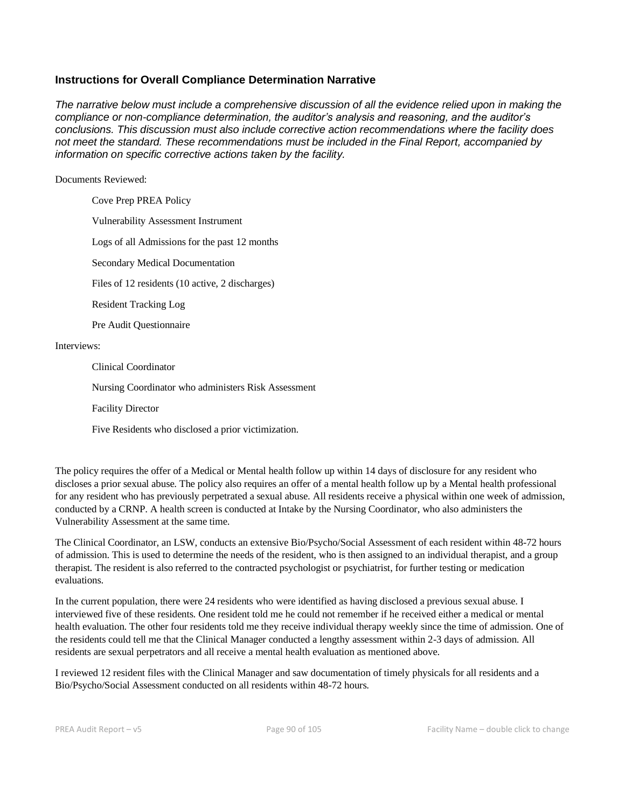### **Instructions for Overall Compliance Determination Narrative**

*The narrative below must include a comprehensive discussion of all the evidence relied upon in making the compliance or non-compliance determination, the auditor's analysis and reasoning, and the auditor's conclusions. This discussion must also include corrective action recommendations where the facility does not meet the standard. These recommendations must be included in the Final Report, accompanied by information on specific corrective actions taken by the facility.*

#### Documents Reviewed:

Cove Prep PREA Policy Vulnerability Assessment Instrument Logs of all Admissions for the past 12 months Secondary Medical Documentation Files of 12 residents (10 active, 2 discharges) Resident Tracking Log Pre Audit Questionnaire Interviews: Clinical Coordinator Nursing Coordinator who administers Risk Assessment

Facility Director

Five Residents who disclosed a prior victimization.

The policy requires the offer of a Medical or Mental health follow up within 14 days of disclosure for any resident who discloses a prior sexual abuse. The policy also requires an offer of a mental health follow up by a Mental health professional for any resident who has previously perpetrated a sexual abuse. All residents receive a physical within one week of admission, conducted by a CRNP. A health screen is conducted at Intake by the Nursing Coordinator, who also administers the Vulnerability Assessment at the same time.

The Clinical Coordinator, an LSW, conducts an extensive Bio/Psycho/Social Assessment of each resident within 48-72 hours of admission. This is used to determine the needs of the resident, who is then assigned to an individual therapist, and a group therapist. The resident is also referred to the contracted psychologist or psychiatrist, for further testing or medication evaluations.

In the current population, there were 24 residents who were identified as having disclosed a previous sexual abuse. I interviewed five of these residents. One resident told me he could not remember if he received either a medical or mental health evaluation. The other four residents told me they receive individual therapy weekly since the time of admission. One of the residents could tell me that the Clinical Manager conducted a lengthy assessment within 2-3 days of admission. All residents are sexual perpetrators and all receive a mental health evaluation as mentioned above.

I reviewed 12 resident files with the Clinical Manager and saw documentation of timely physicals for all residents and a Bio/Psycho/Social Assessment conducted on all residents within 48-72 hours.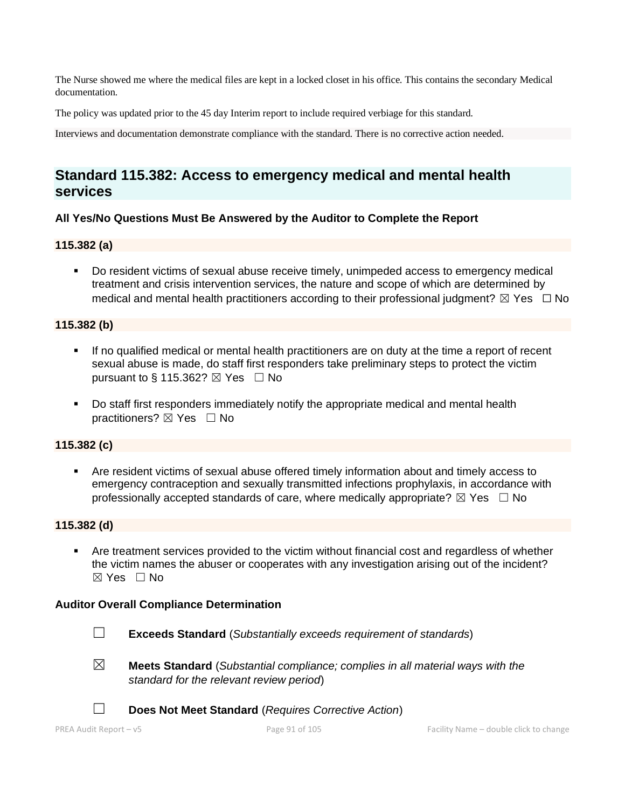The Nurse showed me where the medical files are kept in a locked closet in his office. This contains the secondary Medical documentation.

The policy was updated prior to the 45 day Interim report to include required verbiage for this standard.

Interviews and documentation demonstrate compliance with the standard. There is no corrective action needed.

# **Standard 115.382: Access to emergency medical and mental health services**

### **All Yes/No Questions Must Be Answered by the Auditor to Complete the Report**

#### **115.382 (a)**

▪ Do resident victims of sexual abuse receive timely, unimpeded access to emergency medical treatment and crisis intervention services, the nature and scope of which are determined by medical and mental health practitioners according to their professional judgment?  $\boxtimes$  Yes  $\Box$  No

### **115.382 (b)**

- If no qualified medical or mental health practitioners are on duty at the time a report of recent sexual abuse is made, do staff first responders take preliminary steps to protect the victim pursuant to § 115.362?  $\boxtimes$  Yes  $\Box$  No
- Do staff first responders immediately notify the appropriate medical and mental health practitioners? ⊠ Yes □ No

#### **115.382 (c)**

Are resident victims of sexual abuse offered timely information about and timely access to emergency contraception and sexually transmitted infections prophylaxis, in accordance with professionally accepted standards of care, where medically appropriate?  $\boxtimes$  Yes  $\Box$  No

#### **115.382 (d)**

Are treatment services provided to the victim without financial cost and regardless of whether the victim names the abuser or cooperates with any investigation arising out of the incident?  $\boxtimes$  Yes  $\Box$  No

#### **Auditor Overall Compliance Determination**



- ☐ **Exceeds Standard** (*Substantially exceeds requirement of standards*)
- 
- ☒ **Meets Standard** (*Substantial compliance; complies in all material ways with the standard for the relevant review period*)
- 

☐ **Does Not Meet Standard** (*Requires Corrective Action*)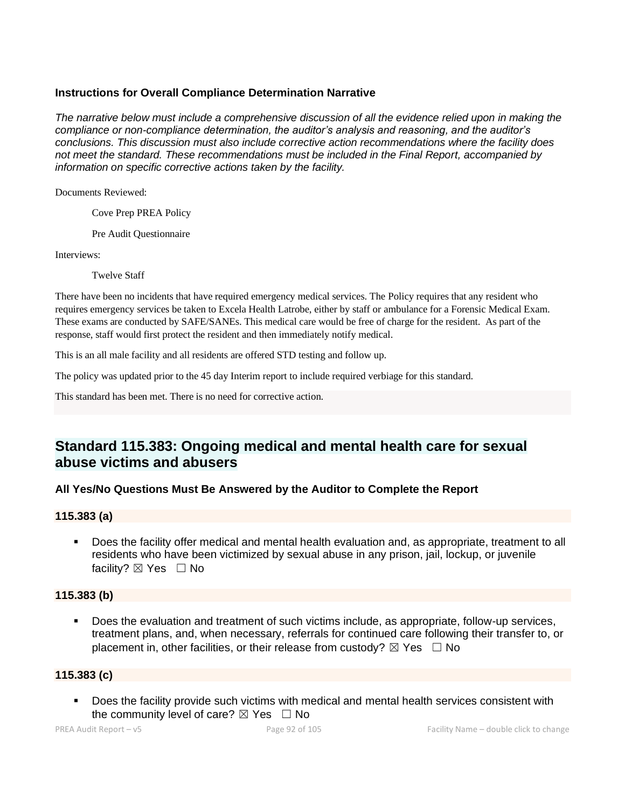# **Instructions for Overall Compliance Determination Narrative**

*The narrative below must include a comprehensive discussion of all the evidence relied upon in making the compliance or non-compliance determination, the auditor's analysis and reasoning, and the auditor's conclusions. This discussion must also include corrective action recommendations where the facility does not meet the standard. These recommendations must be included in the Final Report, accompanied by information on specific corrective actions taken by the facility.*

Documents Reviewed:

Cove Prep PREA Policy

Pre Audit Questionnaire

Interviews:

Twelve Staff

There have been no incidents that have required emergency medical services. The Policy requires that any resident who requires emergency services be taken to Excela Health Latrobe, either by staff or ambulance for a Forensic Medical Exam. These exams are conducted by SAFE/SANEs. This medical care would be free of charge for the resident. As part of the response, staff would first protect the resident and then immediately notify medical.

This is an all male facility and all residents are offered STD testing and follow up.

The policy was updated prior to the 45 day Interim report to include required verbiage for this standard.

This standard has been met. There is no need for corrective action.

# **Standard 115.383: Ongoing medical and mental health care for sexual abuse victims and abusers**

# **All Yes/No Questions Must Be Answered by the Auditor to Complete the Report**

#### **115.383 (a)**

▪ Does the facility offer medical and mental health evaluation and, as appropriate, treatment to all residents who have been victimized by sexual abuse in any prison, jail, lockup, or juvenile facility? ⊠ Yes □ No

# **115.383 (b)**

Does the evaluation and treatment of such victims include, as appropriate, follow-up services, treatment plans, and, when necessary, referrals for continued care following their transfer to, or placement in, other facilities, or their release from custody?  $\boxtimes$  Yes  $\Box$  No

# **115.383 (c)**

■ Does the facility provide such victims with medical and mental health services consistent with the community level of care?  $\boxtimes$  Yes  $\Box$  No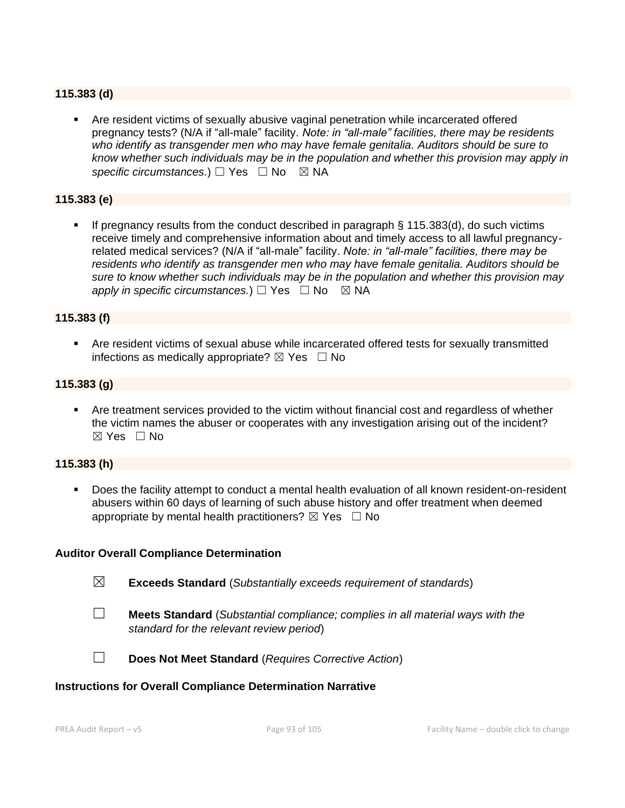### **115.383 (d)**

▪ Are resident victims of sexually abusive vaginal penetration while incarcerated offered pregnancy tests? (N/A if "all-male" facility. *Note: in "all-male" facilities, there may be residents who identify as transgender men who may have female genitalia. Auditors should be sure to know whether such individuals may be in the population and whether this provision may apply in*  specific circumstances.) □ Yes □ No ⊠ NA

### **115.383 (e)**

If pregnancy results from the conduct described in paragraph  $\S$  115.383(d), do such victims receive timely and comprehensive information about and timely access to all lawful pregnancyrelated medical services? (N/A if "all-male" facility. *Note: in "all-male" facilities, there may be residents who identify as transgender men who may have female genitalia. Auditors should be sure to know whether such individuals may be in the population and whether this provision may apply in specific circumstances.*)  $\Box$  Yes  $\Box$  No  $\boxtimes$  NA

#### **115.383 (f)**

▪ Are resident victims of sexual abuse while incarcerated offered tests for sexually transmitted infections as medically appropriate?  $\boxtimes$  Yes  $\Box$  No

#### **115.383 (g)**

**•** Are treatment services provided to the victim without financial cost and regardless of whether the victim names the abuser or cooperates with any investigation arising out of the incident?  $\boxtimes$  Yes  $\Box$  No

#### **115.383 (h)**

Does the facility attempt to conduct a mental health evaluation of all known resident-on-resident abusers within 60 days of learning of such abuse history and offer treatment when deemed appropriate by mental health practitioners?  $\boxtimes$  Yes  $\Box$  No

#### **Auditor Overall Compliance Determination**

- ☒ **Exceeds Standard** (*Substantially exceeds requirement of standards*)
- 
- ☐ **Meets Standard** (*Substantial compliance; complies in all material ways with the standard for the relevant review period*)



☐ **Does Not Meet Standard** (*Requires Corrective Action*)

#### **Instructions for Overall Compliance Determination Narrative**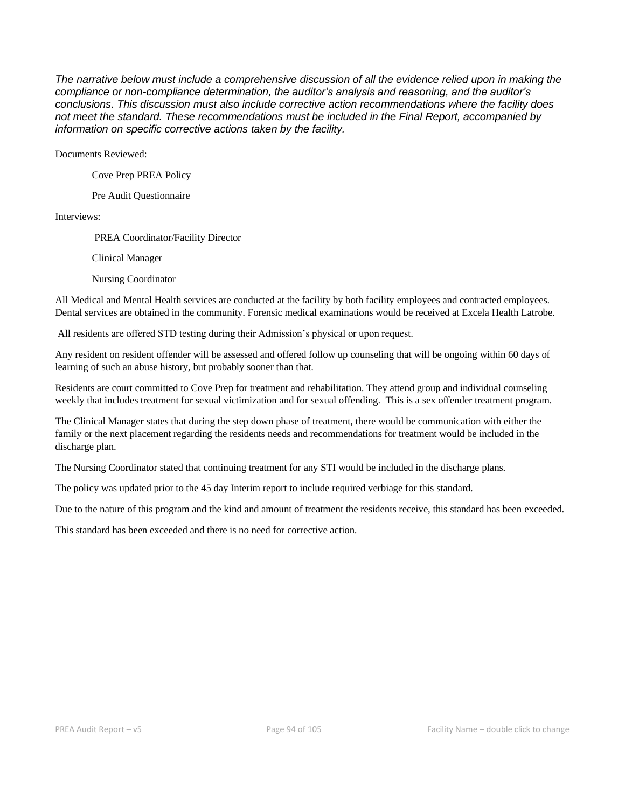*The narrative below must include a comprehensive discussion of all the evidence relied upon in making the compliance or non-compliance determination, the auditor's analysis and reasoning, and the auditor's conclusions. This discussion must also include corrective action recommendations where the facility does not meet the standard. These recommendations must be included in the Final Report, accompanied by information on specific corrective actions taken by the facility.*

Documents Reviewed:

Cove Prep PREA Policy

Pre Audit Questionnaire

Interviews:

PREA Coordinator/Facility Director

Clinical Manager

Nursing Coordinator

All Medical and Mental Health services are conducted at the facility by both facility employees and contracted employees. Dental services are obtained in the community. Forensic medical examinations would be received at Excela Health Latrobe.

All residents are offered STD testing during their Admission's physical or upon request.

Any resident on resident offender will be assessed and offered follow up counseling that will be ongoing within 60 days of learning of such an abuse history, but probably sooner than that.

Residents are court committed to Cove Prep for treatment and rehabilitation. They attend group and individual counseling weekly that includes treatment for sexual victimization and for sexual offending. This is a sex offender treatment program.

The Clinical Manager states that during the step down phase of treatment, there would be communication with either the family or the next placement regarding the residents needs and recommendations for treatment would be included in the discharge plan.

The Nursing Coordinator stated that continuing treatment for any STI would be included in the discharge plans.

The policy was updated prior to the 45 day Interim report to include required verbiage for this standard.

Due to the nature of this program and the kind and amount of treatment the residents receive, this standard has been exceeded.

This standard has been exceeded and there is no need for corrective action.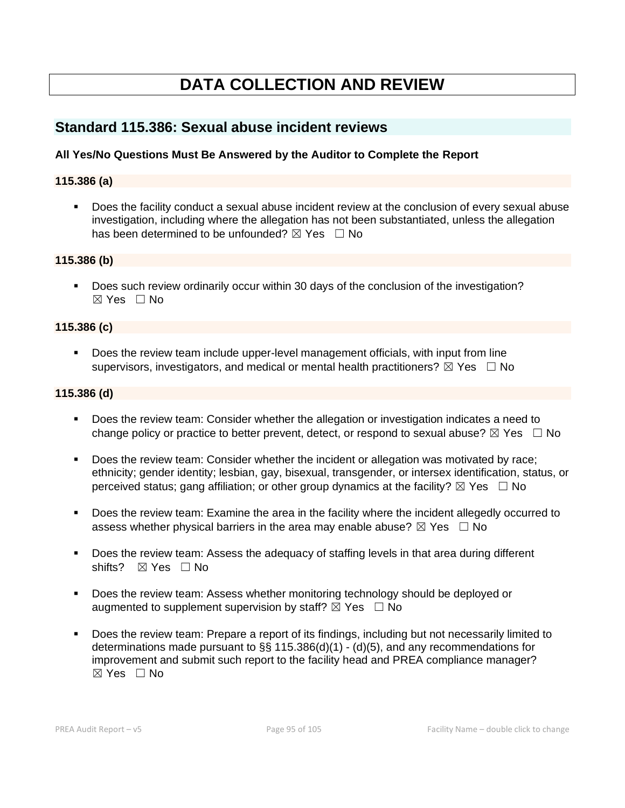# **DATA COLLECTION AND REVIEW**

# **Standard 115.386: Sexual abuse incident reviews**

# **All Yes/No Questions Must Be Answered by the Auditor to Complete the Report**

### **115.386 (a)**

▪ Does the facility conduct a sexual abuse incident review at the conclusion of every sexual abuse investigation, including where the allegation has not been substantiated, unless the allegation has been determined to be unfounded?  $\boxtimes$  Yes  $\Box$  No

### **115.386 (b)**

■ Does such review ordinarily occur within 30 days of the conclusion of the investigation?  $\boxtimes$  Yes  $\Box$  No

#### **115.386 (c)**

■ Does the review team include upper-level management officials, with input from line supervisors, investigators, and medical or mental health practitioners?  $\boxtimes$  Yes  $\Box$  No

### **115.386 (d)**

- Does the review team: Consider whether the allegation or investigation indicates a need to change policy or practice to better prevent, detect, or respond to sexual abuse?  $\boxtimes$  Yes  $\Box$  No
- Does the review team: Consider whether the incident or allegation was motivated by race; ethnicity; gender identity; lesbian, gay, bisexual, transgender, or intersex identification, status, or perceived status; gang affiliation; or other group dynamics at the facility?  $\boxtimes$  Yes  $\Box$  No
- Does the review team: Examine the area in the facility where the incident allegedly occurred to assess whether physical barriers in the area may enable abuse?  $\boxtimes$  Yes  $\Box$  No
- Does the review team: Assess the adequacy of staffing levels in that area during different shifts? ⊠ Yes □ No
- Does the review team: Assess whether monitoring technology should be deployed or augmented to supplement supervision by staff?  $\boxtimes$  Yes  $\Box$  No
- Does the review team: Prepare a report of its findings, including but not necessarily limited to determinations made pursuant to §§ 115.386(d)(1) - (d)(5), and any recommendations for improvement and submit such report to the facility head and PREA compliance manager? ☒ Yes ☐ No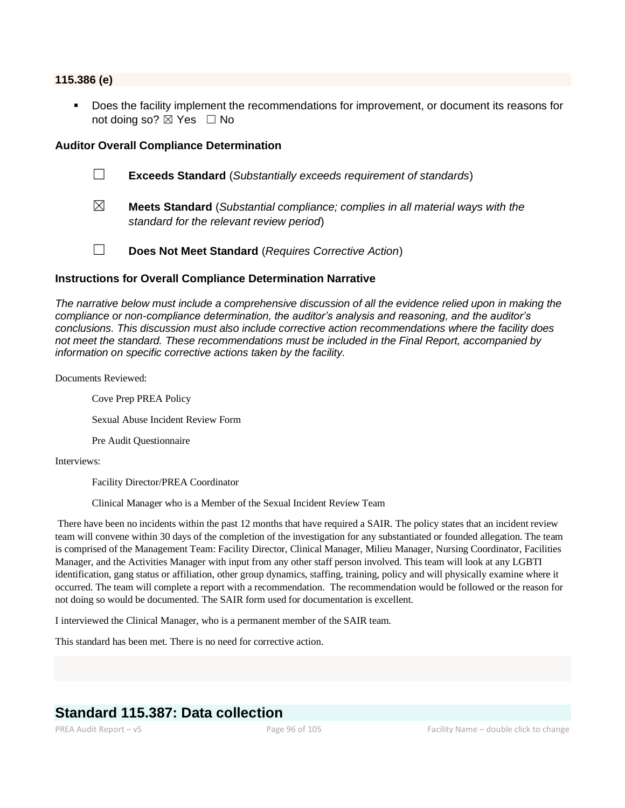#### **115.386 (e)**

Does the facility implement the recommendations for improvement, or document its reasons for not doing so? ⊠ Yes □ No

#### **Auditor Overall Compliance Determination**

- ☐ **Exceeds Standard** (*Substantially exceeds requirement of standards*)
- ☒ **Meets Standard** (*Substantial compliance; complies in all material ways with the standard for the relevant review period*)
- ☐ **Does Not Meet Standard** (*Requires Corrective Action*)

#### **Instructions for Overall Compliance Determination Narrative**

*The narrative below must include a comprehensive discussion of all the evidence relied upon in making the compliance or non-compliance determination, the auditor's analysis and reasoning, and the auditor's conclusions. This discussion must also include corrective action recommendations where the facility does not meet the standard. These recommendations must be included in the Final Report, accompanied by information on specific corrective actions taken by the facility.*

Documents Reviewed:

Cove Prep PREA Policy Sexual Abuse Incident Review Form Pre Audit Questionnaire

Interviews:

Facility Director/PREA Coordinator

Clinical Manager who is a Member of the Sexual Incident Review Team

There have been no incidents within the past 12 months that have required a SAIR. The policy states that an incident review team will convene within 30 days of the completion of the investigation for any substantiated or founded allegation. The team is comprised of the Management Team: Facility Director, Clinical Manager, Milieu Manager, Nursing Coordinator, Facilities Manager, and the Activities Manager with input from any other staff person involved. This team will look at any LGBTI identification, gang status or affiliation, other group dynamics, staffing, training, policy and will physically examine where it occurred. The team will complete a report with a recommendation. The recommendation would be followed or the reason for not doing so would be documented. The SAIR form used for documentation is excellent.

I interviewed the Clinical Manager, who is a permanent member of the SAIR team.

This standard has been met. There is no need for corrective action.

# **Standard 115.387: Data collection**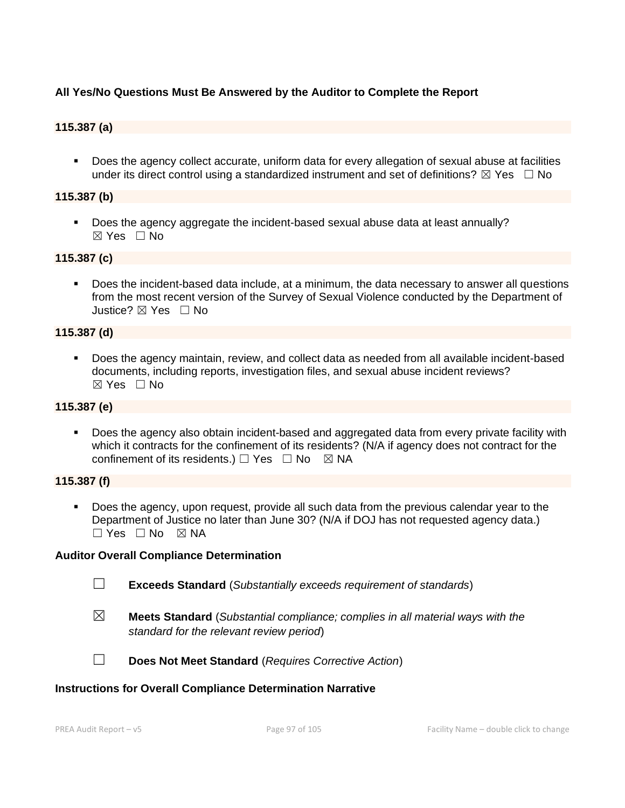# **All Yes/No Questions Must Be Answered by the Auditor to Complete the Report**

# **115.387 (a)**

■ Does the agency collect accurate, uniform data for every allegation of sexual abuse at facilities under its direct control using a standardized instrument and set of definitions?  $\boxtimes$  Yes  $\Box$  No

### **115.387 (b)**

▪ Does the agency aggregate the incident-based sexual abuse data at least annually? ☒ Yes ☐ No

# **115.387 (c)**

▪ Does the incident-based data include, at a minimum, the data necessary to answer all questions from the most recent version of the Survey of Sexual Violence conducted by the Department of Justice? ☒ Yes ☐ No

#### **115.387 (d)**

▪ Does the agency maintain, review, and collect data as needed from all available incident-based documents, including reports, investigation files, and sexual abuse incident reviews?  $\boxtimes$  Yes  $\Box$  No

### **115.387 (e)**

■ Does the agency also obtain incident-based and aggregated data from every private facility with which it contracts for the confinement of its residents? (N/A if agency does not contract for the confinement of its residents.)  $\Box$  Yes  $\Box$  No  $\boxtimes$  NA

#### **115.387 (f)**

▪ Does the agency, upon request, provide all such data from the previous calendar year to the Department of Justice no later than June 30? (N/A if DOJ has not requested agency data.)  $\Box$  Yes  $\Box$  No  $\boxtimes$  NA

#### **Auditor Overall Compliance Determination**

- ☐ **Exceeds Standard** (*Substantially exceeds requirement of standards*)
- ☒ **Meets Standard** (*Substantial compliance; complies in all material ways with the standard for the relevant review period*)



☐ **Does Not Meet Standard** (*Requires Corrective Action*)

#### **Instructions for Overall Compliance Determination Narrative**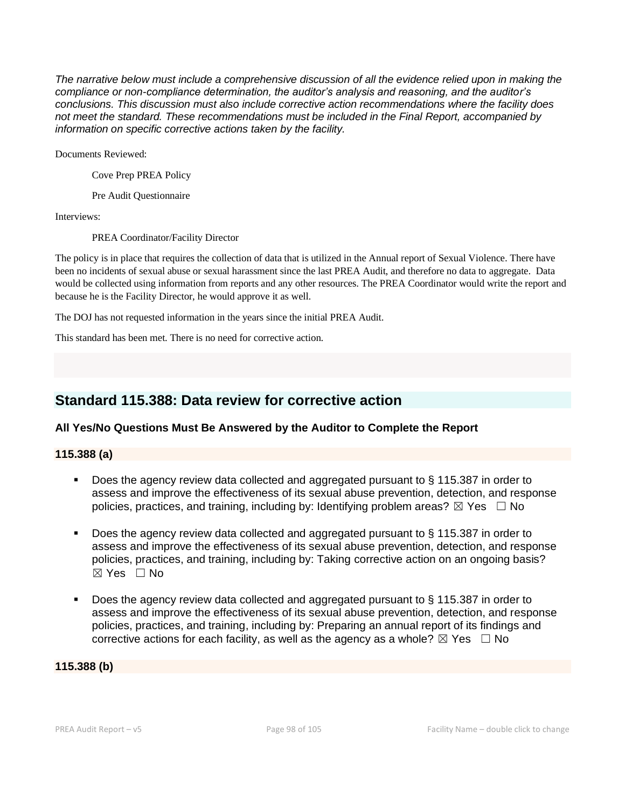*The narrative below must include a comprehensive discussion of all the evidence relied upon in making the compliance or non-compliance determination, the auditor's analysis and reasoning, and the auditor's conclusions. This discussion must also include corrective action recommendations where the facility does not meet the standard. These recommendations must be included in the Final Report, accompanied by information on specific corrective actions taken by the facility.*

Documents Reviewed:

Cove Prep PREA Policy

Pre Audit Questionnaire

Interviews:

PREA Coordinator/Facility Director

The policy is in place that requires the collection of data that is utilized in the Annual report of Sexual Violence. There have been no incidents of sexual abuse or sexual harassment since the last PREA Audit, and therefore no data to aggregate. Data would be collected using information from reports and any other resources. The PREA Coordinator would write the report and because he is the Facility Director, he would approve it as well.

The DOJ has not requested information in the years since the initial PREA Audit.

This standard has been met. There is no need for corrective action.

# **Standard 115.388: Data review for corrective action**

# **All Yes/No Questions Must Be Answered by the Auditor to Complete the Report**

# **115.388 (a)**

- Does the agency review data collected and aggregated pursuant to § 115.387 in order to assess and improve the effectiveness of its sexual abuse prevention, detection, and response policies, practices, and training, including by: Identifying problem areas?  $\boxtimes$  Yes  $\Box$  No
- Does the agency review data collected and aggregated pursuant to § 115.387 in order to assess and improve the effectiveness of its sexual abuse prevention, detection, and response policies, practices, and training, including by: Taking corrective action on an ongoing basis? ☒ Yes ☐ No
- Does the agency review data collected and aggregated pursuant to  $\S$  115.387 in order to assess and improve the effectiveness of its sexual abuse prevention, detection, and response policies, practices, and training, including by: Preparing an annual report of its findings and corrective actions for each facility, as well as the agency as a whole?  $\boxtimes$  Yes  $\Box$  No

**115.388 (b)**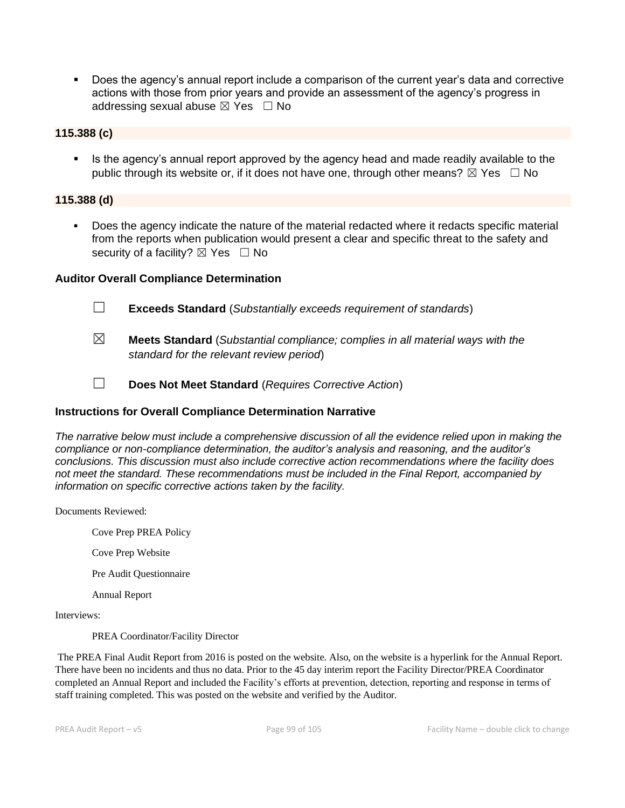▪ Does the agency's annual report include a comparison of the current year's data and corrective actions with those from prior years and provide an assessment of the agency's progress in addressing sexual abuse  $\boxtimes$  Yes  $\Box$  No

#### **115.388 (c)**

Is the agency's annual report approved by the agency head and made readily available to the public through its website or, if it does not have one, through other means?  $\boxtimes$  Yes  $\Box$  No

#### **115.388 (d)**

Does the agency indicate the nature of the material redacted where it redacts specific material from the reports when publication would present a clear and specific threat to the safety and security of a facility?  $\boxtimes$  Yes  $\Box$  No

#### **Auditor Overall Compliance Determination**

- ☐ **Exceeds Standard** (*Substantially exceeds requirement of standards*)
- ☒ **Meets Standard** (*Substantial compliance; complies in all material ways with the standard for the relevant review period*)
- ☐ **Does Not Meet Standard** (*Requires Corrective Action*)

#### **Instructions for Overall Compliance Determination Narrative**

*The narrative below must include a comprehensive discussion of all the evidence relied upon in making the compliance or non-compliance determination, the auditor's analysis and reasoning, and the auditor's conclusions. This discussion must also include corrective action recommendations where the facility does not meet the standard. These recommendations must be included in the Final Report, accompanied by information on specific corrective actions taken by the facility.*

Documents Reviewed:

Cove Prep PREA Policy

Cove Prep Website

Pre Audit Questionnaire

Annual Report

Interviews:

PREA Coordinator/Facility Director

The PREA Final Audit Report from 2016 is posted on the website. Also, on the website is a hyperlink for the Annual Report. There have been no incidents and thus no data. Prior to the 45 day interim report the Facility Director/PREA Coordinator completed an Annual Report and included the Facility's efforts at prevention, detection, reporting and response in terms of staff training completed. This was posted on the website and verified by the Auditor.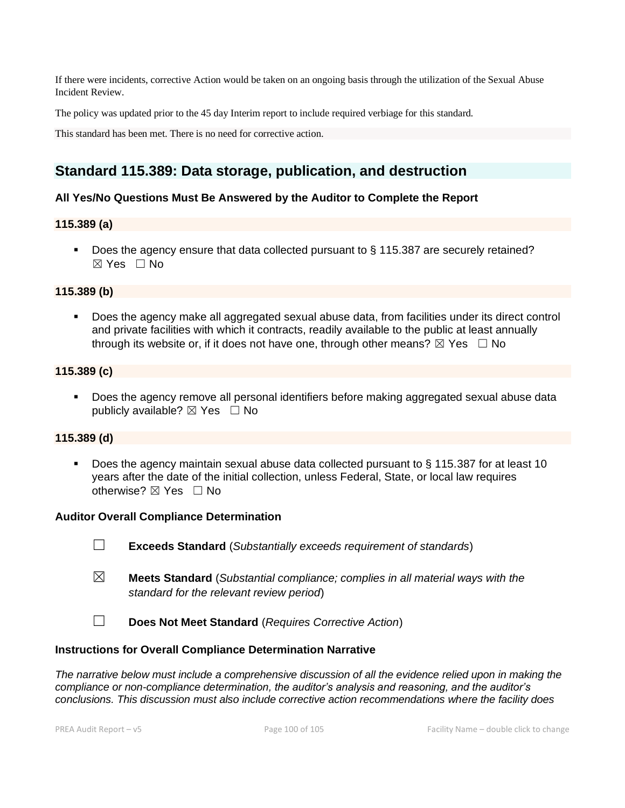If there were incidents, corrective Action would be taken on an ongoing basis through the utilization of the Sexual Abuse Incident Review.

The policy was updated prior to the 45 day Interim report to include required verbiage for this standard.

This standard has been met. There is no need for corrective action.

# **Standard 115.389: Data storage, publication, and destruction**

### **All Yes/No Questions Must Be Answered by the Auditor to Complete the Report**

#### **115.389 (a)**

■ Does the agency ensure that data collected pursuant to § 115.387 are securely retained? ☒ Yes ☐ No

#### **115.389 (b)**

▪ Does the agency make all aggregated sexual abuse data, from facilities under its direct control and private facilities with which it contracts, readily available to the public at least annually through its website or, if it does not have one, through other means?  $\boxtimes$  Yes  $\Box$  No

### **115.389 (c)**

■ Does the agency remove all personal identifiers before making aggregated sexual abuse data publicly available?  $\boxtimes$  Yes  $\Box$  No

#### **115.389 (d)**

Does the agency maintain sexual abuse data collected pursuant to  $\S$  115.387 for at least 10 years after the date of the initial collection, unless Federal, State, or local law requires otherwise?  $\boxtimes$  Yes  $\Box$  No

#### **Auditor Overall Compliance Determination**

- ☐ **Exceeds Standard** (*Substantially exceeds requirement of standards*)
- ☒ **Meets Standard** (*Substantial compliance; complies in all material ways with the standard for the relevant review period*)
- ☐ **Does Not Meet Standard** (*Requires Corrective Action*)

#### **Instructions for Overall Compliance Determination Narrative**

*The narrative below must include a comprehensive discussion of all the evidence relied upon in making the compliance or non-compliance determination, the auditor's analysis and reasoning, and the auditor's conclusions. This discussion must also include corrective action recommendations where the facility does*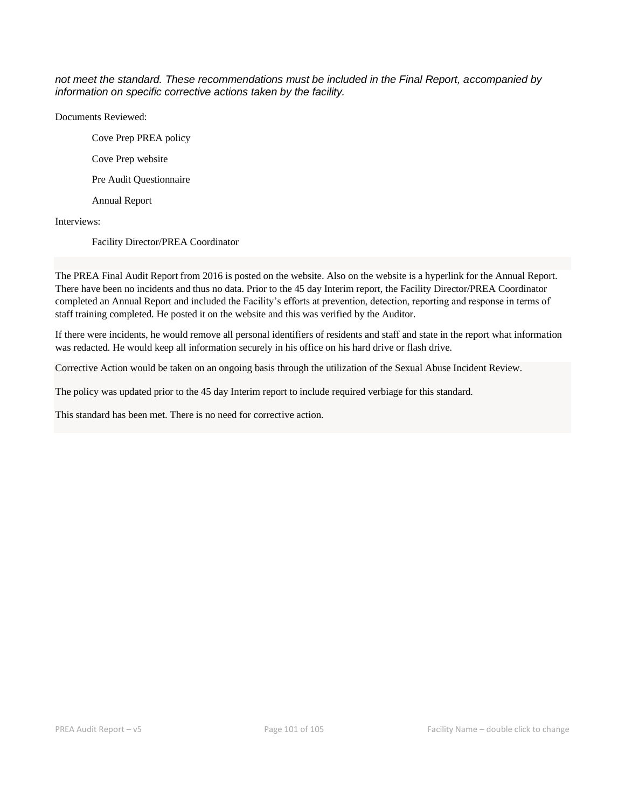*not meet the standard. These recommendations must be included in the Final Report, accompanied by information on specific corrective actions taken by the facility.*

Documents Reviewed:

Cove Prep PREA policy Cove Prep website

Pre Audit Questionnaire

Annual Report

Interviews:

Facility Director/PREA Coordinator

The PREA Final Audit Report from 2016 is posted on the website. Also on the website is a hyperlink for the Annual Report. There have been no incidents and thus no data. Prior to the 45 day Interim report, the Facility Director/PREA Coordinator completed an Annual Report and included the Facility's efforts at prevention, detection, reporting and response in terms of staff training completed. He posted it on the website and this was verified by the Auditor.

If there were incidents, he would remove all personal identifiers of residents and staff and state in the report what information was redacted. He would keep all information securely in his office on his hard drive or flash drive.

Corrective Action would be taken on an ongoing basis through the utilization of the Sexual Abuse Incident Review.

The policy was updated prior to the 45 day Interim report to include required verbiage for this standard.

This standard has been met. There is no need for corrective action.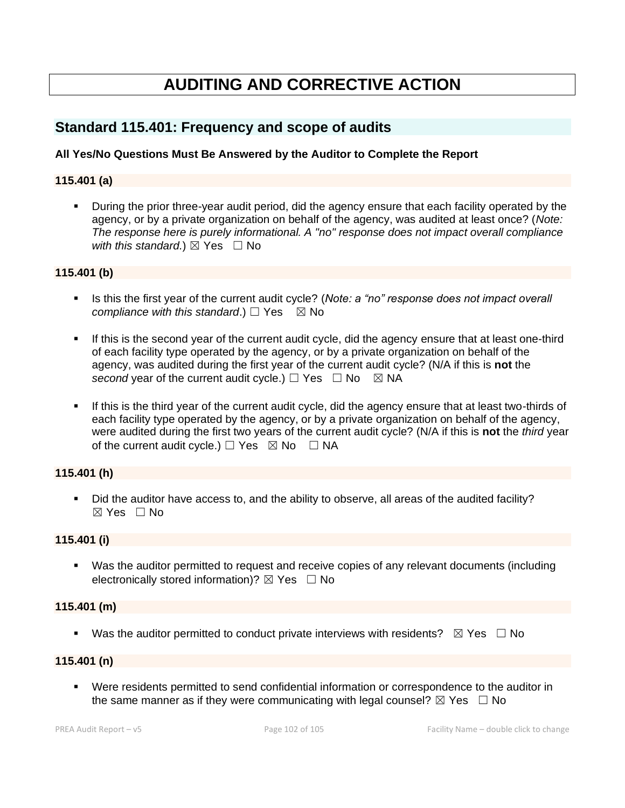# **AUDITING AND CORRECTIVE ACTION**

# **Standard 115.401: Frequency and scope of audits**

# **All Yes/No Questions Must Be Answered by the Auditor to Complete the Report**

### **115.401 (a)**

**•** During the prior three-year audit period, did the agency ensure that each facility operated by the agency, or by a private organization on behalf of the agency, was audited at least once? (*Note: The response here is purely informational. A "no" response does not impact overall compliance with this standard.*)  $\boxtimes$  Yes  $\Box$  No

#### **115.401 (b)**

- **EXECT** Is this the first year of the current audit cycle? (*Note: a "no" response does not impact overall compliance with this standard.*)  $\Box$  Yes  $\boxtimes$  No
- **.** If this is the second year of the current audit cycle, did the agency ensure that at least one-third of each facility type operated by the agency, or by a private organization on behalf of the agency, was audited during the first year of the current audit cycle? (N/A if this is **not** the *second* year of the current audit cycle.)  $\Box$  Yes  $\Box$  No  $\boxtimes$  NA
- If this is the third year of the current audit cycle, did the agency ensure that at least two-thirds of each facility type operated by the agency, or by a private organization on behalf of the agency, were audited during the first two years of the current audit cycle? (N/A if this is **not** the *third* year of the current audit cycle.)  $\Box$  Yes  $\boxtimes$  No  $\Box$  NA

# **115.401 (h)**

▪ Did the auditor have access to, and the ability to observe, all areas of the audited facility?  $\boxtimes$  Yes  $\Box$  No

## **115.401 (i)**

■ Was the auditor permitted to request and receive copies of any relevant documents (including electronically stored information)?  $\boxtimes$  Yes  $\Box$  No

# **115.401 (m)**

**■** Was the auditor permitted to conduct private interviews with residents?  $\boxtimes$  Yes  $\Box$  No

#### **115.401 (n)**

▪ Were residents permitted to send confidential information or correspondence to the auditor in the same manner as if they were communicating with legal counsel?  $\boxtimes$  Yes  $\Box$  No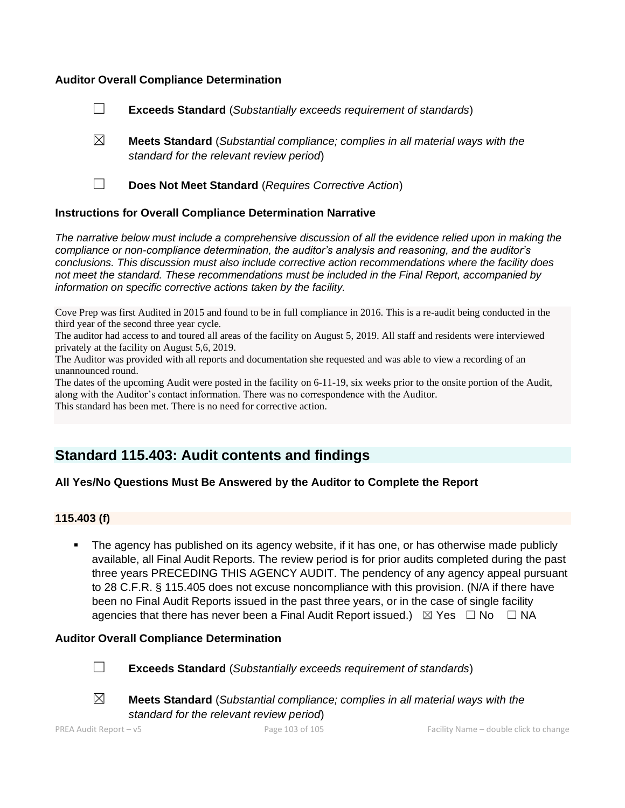### **Auditor Overall Compliance Determination**

- ☐ **Exceeds Standard** (*Substantially exceeds requirement of standards*)
- ☒ **Meets Standard** (*Substantial compliance; complies in all material ways with the standard for the relevant review period*)
- 
- ☐ **Does Not Meet Standard** (*Requires Corrective Action*)

### **Instructions for Overall Compliance Determination Narrative**

*The narrative below must include a comprehensive discussion of all the evidence relied upon in making the compliance or non-compliance determination, the auditor's analysis and reasoning, and the auditor's conclusions. This discussion must also include corrective action recommendations where the facility does not meet the standard. These recommendations must be included in the Final Report, accompanied by information on specific corrective actions taken by the facility.*

Cove Prep was first Audited in 2015 and found to be in full compliance in 2016. This is a re-audit being conducted in the third year of the second three year cycle.

The auditor had access to and toured all areas of the facility on August 5, 2019. All staff and residents were interviewed privately at the facility on August 5,6, 2019.

The Auditor was provided with all reports and documentation she requested and was able to view a recording of an unannounced round.

The dates of the upcoming Audit were posted in the facility on 6-11-19, six weeks prior to the onsite portion of the Audit, along with the Auditor's contact information. There was no correspondence with the Auditor. This standard has been met. There is no need for corrective action.

# **Standard 115.403: Audit contents and findings**

# **All Yes/No Questions Must Be Answered by the Auditor to Complete the Report**

# **115.403 (f)**

The agency has published on its agency website, if it has one, or has otherwise made publicly available, all Final Audit Reports. The review period is for prior audits completed during the past three years PRECEDING THIS AGENCY AUDIT. The pendency of any agency appeal pursuant to 28 C.F.R. § 115.405 does not excuse noncompliance with this provision. (N/A if there have been no Final Audit Reports issued in the past three years, or in the case of single facility agencies that there has never been a Final Audit Report issued.)  $\boxtimes$  Yes  $\Box$  No  $\Box$  NA

#### **Auditor Overall Compliance Determination**



☐ **Exceeds Standard** (*Substantially exceeds requirement of standards*)



☒ **Meets Standard** (*Substantial compliance; complies in all material ways with the* 

*standard for the relevant review period*)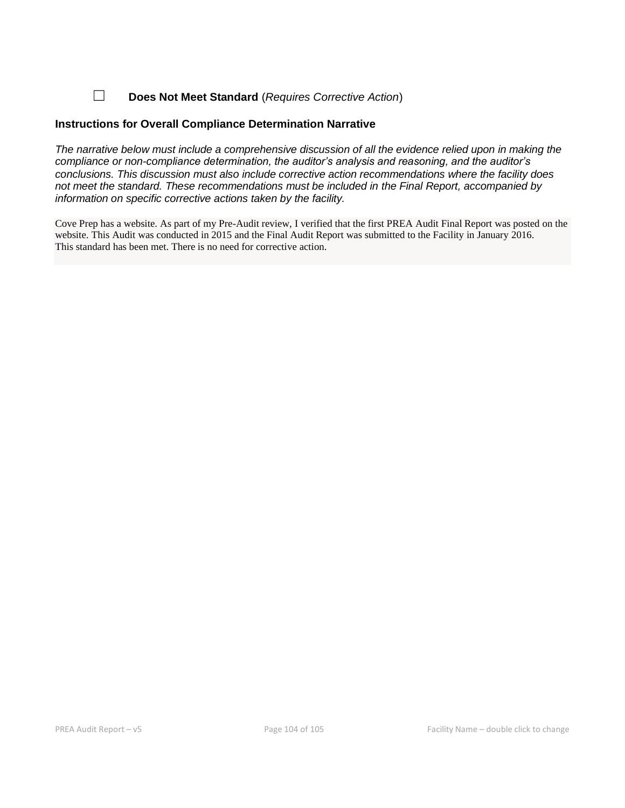☐ **Does Not Meet Standard** (*Requires Corrective Action*)

### **Instructions for Overall Compliance Determination Narrative**

*The narrative below must include a comprehensive discussion of all the evidence relied upon in making the compliance or non-compliance determination, the auditor's analysis and reasoning, and the auditor's conclusions. This discussion must also include corrective action recommendations where the facility does not meet the standard. These recommendations must be included in the Final Report, accompanied by information on specific corrective actions taken by the facility.*

Cove Prep has a website. As part of my Pre-Audit review, I verified that the first PREA Audit Final Report was posted on the website. This Audit was conducted in 2015 and the Final Audit Report was submitted to the Facility in January 2016. This standard has been met. There is no need for corrective action.